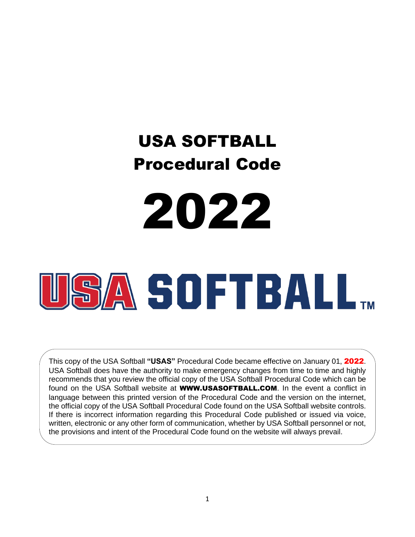# USA SOFTBALL Procedural Code





This copy of the USA Softball **"USAS"** Procedural Code became effective on January 01, 2022. USA Softball does have the authority to make emergency changes from time to time and highly recommends that you review the official copy of the USA Softball Procedural Code which can be found on the USA Softball website at **WWW.USASOFTBALL.COM**. In the event a conflict in language between this printed version of the Procedural Code and the version on the internet, the official copy of the USA Softball Procedural Code found on the USA Softball website controls. If there is incorrect information regarding this Procedural Code published or issued via voice, written, electronic or any other form of communication, whether by USA Softball personnel or not, the provisions and intent of the Procedural Code found on the website will always prevail.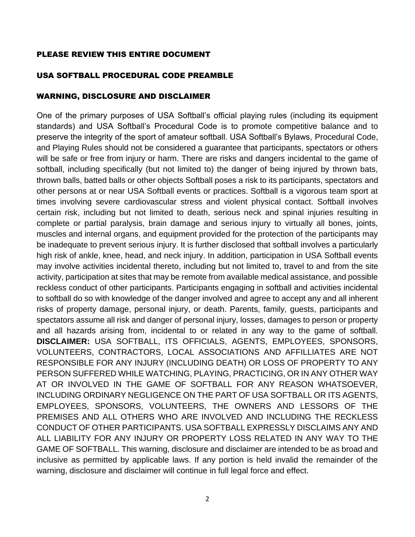## PLEASE REVIEW THIS ENTIRE DOCUMENT

# USA SOFTBALL PROCEDURAL CODE PREAMBLE

## WARNING, DISCLOSURE AND DISCLAIMER

One of the primary purposes of USA Softball's official playing rules (including its equipment standards) and USA Softball's Procedural Code is to promote competitive balance and to preserve the integrity of the sport of amateur softball. USA Softball's Bylaws, Procedural Code, and Playing Rules should not be considered a guarantee that participants, spectators or others will be safe or free from injury or harm. There are risks and dangers incidental to the game of softball, including specifically (but not limited to) the danger of being injured by thrown bats, thrown balls, batted balls or other objects Softball poses a risk to its participants, spectators and other persons at or near USA Softball events or practices. Softball is a vigorous team sport at times involving severe cardiovascular stress and violent physical contact. Softball involves certain risk, including but not limited to death, serious neck and spinal injuries resulting in complete or partial paralysis, brain damage and serious injury to virtually all bones, joints, muscles and internal organs, and equipment provided for the protection of the participants may be inadequate to prevent serious injury. It is further disclosed that softball involves a particularly high risk of ankle, knee, head, and neck injury. In addition, participation in USA Softball events may involve activities incidental thereto, including but not limited to, travel to and from the site activity, participation at sites that may be remote from available medical assistance, and possible reckless conduct of other participants. Participants engaging in softball and activities incidental to softball do so with knowledge of the danger involved and agree to accept any and all inherent risks of property damage, personal injury, or death. Parents, family, guests, participants and spectators assume all risk and danger of personal injury, losses, damages to person or property and all hazards arising from, incidental to or related in any way to the game of softball. **DISCLAIMER:** USA SOFTBALL, ITS OFFICIALS, AGENTS, EMPLOYEES, SPONSORS, VOLUNTEERS, CONTRACTORS, LOCAL ASSOCIATIONS AND AFFILLIATES ARE NOT RESPONSIBLE FOR ANY INJURY (INCLUDING DEATH) OR LOSS OF PROPERTY TO ANY PERSON SUFFERED WHILE WATCHING, PLAYING, PRACTICING, OR IN ANY OTHER WAY AT OR INVOLVED IN THE GAME OF SOFTBALL FOR ANY REASON WHATSOEVER, INCLUDING ORDINARY NEGLIGENCE ON THE PART OF USA SOFTBALL OR ITS AGENTS, EMPLOYEES, SPONSORS, VOLUNTEERS, THE OWNERS AND LESSORS OF THE PREMISES AND ALL OTHERS WHO ARE INVOLVED AND INCLUDING THE RECKLESS CONDUCT OF OTHER PARTICIPANTS. USA SOFTBALL EXPRESSLY DISCLAIMS ANY AND ALL LIABILITY FOR ANY INJURY OR PROPERTY LOSS RELATED IN ANY WAY TO THE GAME OF SOFTBALL. This warning, disclosure and disclaimer are intended to be as broad and inclusive as permitted by applicable laws. If any portion is held invalid the remainder of the warning, disclosure and disclaimer will continue in full legal force and effect.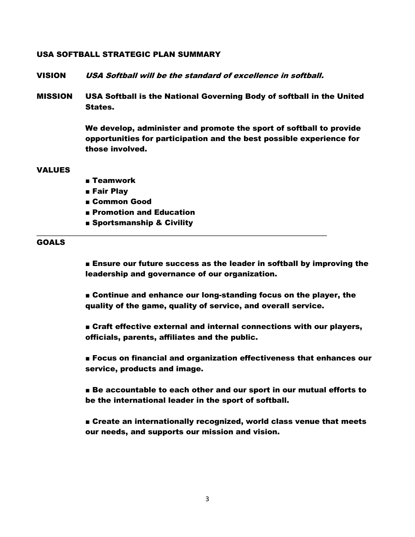#### USA SOFTBALL STRATEGIC PLAN SUMMARY

VISION USA Softball will be the standard of excellence in softball.

\_\_\_\_\_\_\_\_\_\_\_\_\_\_\_\_\_\_\_\_\_\_\_\_\_\_\_\_\_\_\_\_\_\_\_\_\_\_\_\_\_\_\_\_\_\_\_\_\_\_\_\_\_\_\_\_\_\_\_\_\_\_\_\_\_\_\_\_\_\_

MISSION USA Softball is the National Governing Body of softball in the United States.

> We develop, administer and promote the sport of softball to provide opportunities for participation and the best possible experience for those involved.

#### VALUES

- Teamwork
- Fair Play
- Common Good
- Promotion and Education
- Sportsmanship & Civility

#### GOALS

■ Ensure our future success as the leader in softball by improving the leadership and governance of our organization.

■ Continue and enhance our long-standing focus on the player, the quality of the game, quality of service, and overall service.

■ Craft effective external and internal connections with our players, officials, parents, affiliates and the public.

■ Focus on financial and organization effectiveness that enhances our service, products and image.

■ Be accountable to each other and our sport in our mutual efforts to be the international leader in the sport of softball.

■ Create an internationally recognized, world class venue that meets our needs, and supports our mission and vision.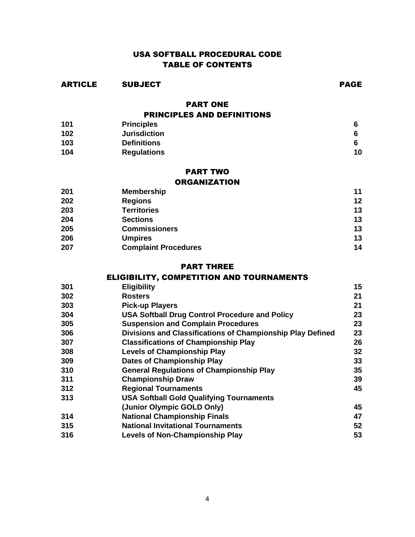# USA SOFTBALL PROCEDURAL CODE TABLE OF CONTENTS

ARTICLE SUBJECT PAGE

PART ONE

| <b>PRINCIPLES AND DEFINITIONS</b> |                     |    |
|-----------------------------------|---------------------|----|
| 101                               | <b>Principles</b>   |    |
| 102                               | <b>Jurisdiction</b> | 6  |
| 103                               | <b>Definitions</b>  |    |
| 104                               | <b>Regulations</b>  | 10 |

## PART TWO

#### **ORGANIZATION**

| 201 | <b>Membership</b>           | 11 |
|-----|-----------------------------|----|
| 202 | <b>Regions</b>              | 12 |
| 203 | <b>Territories</b>          | 13 |
| 204 | <b>Sections</b>             | 13 |
| 205 | <b>Commissioners</b>        | 13 |
| 206 | <b>Umpires</b>              | 13 |
| 207 | <b>Complaint Procedures</b> | 14 |

#### PART THREE

# ELIGIBILITY, COMPETITION AND TOURNAMENTS

| 301 | <b>Eligibility</b>                                         | 15 |
|-----|------------------------------------------------------------|----|
| 302 | <b>Rosters</b>                                             | 21 |
| 303 | <b>Pick-up Players</b>                                     | 21 |
| 304 | <b>USA Softball Drug Control Procedure and Policy</b>      | 23 |
| 305 | <b>Suspension and Complain Procedures</b>                  | 23 |
| 306 | Divisions and Classifications of Championship Play Defined | 23 |
| 307 | <b>Classifications of Championship Play</b>                | 26 |
| 308 | <b>Levels of Championship Play</b>                         | 32 |
| 309 | <b>Dates of Championship Play</b>                          | 33 |
| 310 | <b>General Regulations of Championship Play</b>            | 35 |
| 311 | <b>Championship Draw</b>                                   | 39 |
| 312 | <b>Regional Tournaments</b>                                | 45 |
| 313 | <b>USA Softball Gold Qualifying Tournaments</b>            |    |
|     | (Junior Olympic GOLD Only)                                 | 45 |
| 314 | <b>National Championship Finals</b>                        | 47 |
| 315 | <b>National Invitational Tournaments</b>                   | 52 |
| 316 | <b>Levels of Non-Championship Play</b>                     | 53 |
|     |                                                            |    |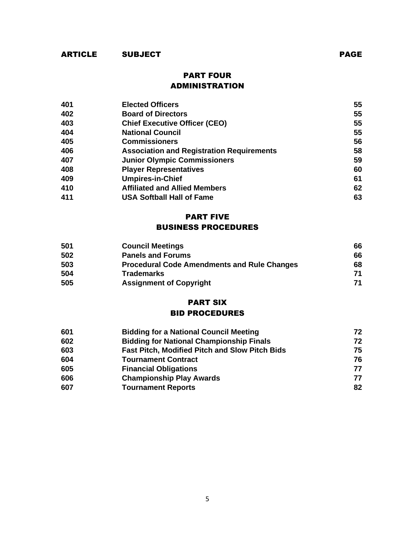# ARTICLE SUBJECT PAGE

# PART FOUR ADMINISTRATION

| 401 | <b>Elected Officers</b>                          | 55 |
|-----|--------------------------------------------------|----|
| 402 | <b>Board of Directors</b>                        | 55 |
| 403 | <b>Chief Executive Officer (CEO)</b>             | 55 |
| 404 | <b>National Council</b>                          | 55 |
| 405 | <b>Commissioners</b>                             | 56 |
| 406 | <b>Association and Registration Requirements</b> | 58 |
| 407 | <b>Junior Olympic Commissioners</b>              | 59 |
| 408 | <b>Player Representatives</b>                    | 60 |
| 409 | <b>Umpires-in-Chief</b>                          | 61 |
| 410 | <b>Affiliated and Allied Members</b>             | 62 |
| 411 | <b>USA Softball Hall of Fame</b>                 | 63 |

#### PART FIVE

#### BUSINESS PROCEDURES

| 501 | <b>Council Meetings</b>                            | 66 |
|-----|----------------------------------------------------|----|
| 502 | <b>Panels and Forums</b>                           | 66 |
| 503 | <b>Procedural Code Amendments and Rule Changes</b> | 68 |
| 504 | <b>Trademarks</b>                                  | 71 |
| 505 | <b>Assignment of Copyright</b>                     | 71 |

## PART SIX BID PROCEDURES

| 601 | <b>Bidding for a National Council Meeting</b>         | 72 |
|-----|-------------------------------------------------------|----|
| 602 | <b>Bidding for National Championship Finals</b>       | 72 |
| 603 | <b>Fast Pitch, Modified Pitch and Slow Pitch Bids</b> | 75 |
| 604 | <b>Tournament Contract</b>                            | 76 |
| 605 | <b>Financial Obligations</b>                          | 77 |
| 606 | <b>Championship Play Awards</b>                       | 77 |
| 607 | <b>Tournament Reports</b>                             | 82 |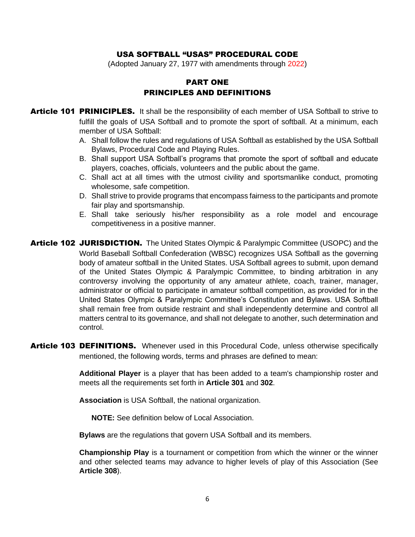#### USA SOFTBALL "USAS" PROCEDURAL CODE

(Adopted January 27, 1977 with amendments through 2022)

## PART ONE PRINCIPLES AND DEFINITIONS

- **Article 101 PRINICIPLES.** It shall be the responsibility of each member of USA Softball to strive to fulfill the goals of USA Softball and to promote the sport of softball. At a minimum, each member of USA Softball:
	- A. Shall follow the rules and regulations of USA Softball as established by the USA Softball Bylaws, Procedural Code and Playing Rules.
	- B. Shall support USA Softball's programs that promote the sport of softball and educate players, coaches, officials, volunteers and the public about the game.
	- C. Shall act at all times with the utmost civility and sportsmanlike conduct, promoting wholesome, safe competition.
	- D. Shall strive to provide programs that encompass fairness to the participants and promote fair play and sportsmanship.
	- E. Shall take seriously his/her responsibility as a role model and encourage competitiveness in a positive manner.
- Article 102 JURISDICTION. The United States Olympic & Paralympic Committee (USOPC) and the World Baseball Softball Confederation (WBSC) recognizes USA Softball as the governing body of amateur softball in the United States. USA Softball agrees to submit, upon demand of the United States Olympic & Paralympic Committee, to binding arbitration in any controversy involving the opportunity of any amateur athlete, coach, trainer, manager, administrator or official to participate in amateur softball competition, as provided for in the United States Olympic & Paralympic Committee's Constitution and Bylaws. USA Softball shall remain free from outside restraint and shall independently determine and control all matters central to its governance, and shall not delegate to another, such determination and control.
- Article 103 DEFINITIONS. Whenever used in this Procedural Code, unless otherwise specifically mentioned, the following words, terms and phrases are defined to mean:

**Additional Player** is a player that has been added to a team's championship roster and meets all the requirements set forth in **Article 301** and **302**.

**Association** is USA Softball, the national organization.

**NOTE:** See definition below of Local Association.

**Bylaws** are the regulations that govern USA Softball and its members.

**Championship Play** is a tournament or competition from which the winner or the winner and other selected teams may advance to higher levels of play of this Association (See **Article 308**).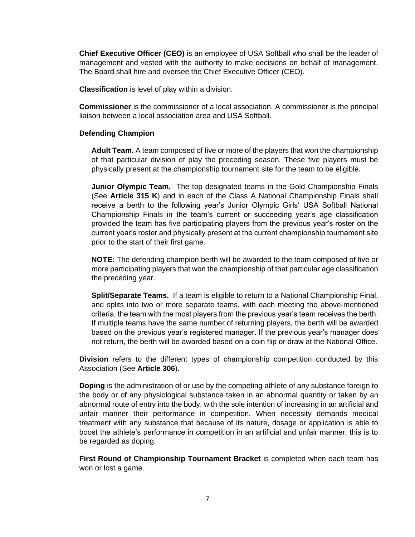**Chief Executive Officer (CEO)** is an employee of USA Softball who shall be the leader of management and vested with the authority to make decisions on behalf of management. The Board shall hire and oversee the Chief Executive Officer (CEO).

**Classification** is level of play within a division.

**Commissioner** is the commissioner of a local association. A commissioner is the principal liaison between a local association area and USA Softball.

#### **Defending Champion**

**Adult Team.** A team composed of five or more of the players that won the championship of that particular division of play the preceding season. These five players must be physically present at the championship tournament site for the team to be eligible.

**Junior Olympic Team.** The top designated teams in the Gold Championship Finals (See **Article 315 K**) and in each of the Class A National Championship Finals shall receive a berth to the following year's Junior Olympic Girls' USA Softball National Championship Finals in the team's current or succeeding year's age classification provided the team has five participating players from the previous year's roster on the current year's roster and physically present at the current championship tournament site prior to the start of their first game.

**NOTE:** The defending champion berth will be awarded to the team composed of five or more participating players that won the championship of that particular age classification the preceding year.

**Split/Separate Teams.** If a team is eligible to return to a National Championship Final, and splits into two or more separate teams, with each meeting the above-mentioned criteria, the team with the most players from the previous year's team receives the berth. If multiple teams have the same number of returning players, the berth will be awarded based on the previous year's registered manager. If the previous year's manager does not return, the berth will be awarded based on a coin flip or draw at the National Office.

**Division** refers to the different types of championship competition conducted by this Association (See **Article 306**).

**Doping** is the administration of or use by the competing athlete of any substance foreign to the body or of any physiological substance taken in an abnormal quantity or taken by an abnormal route of entry into the body, with the sole intention of increasing in an artificial and unfair manner their performance in competition. When necessity demands medical treatment with any substance that because of its nature, dosage or application is able to boost the athlete's performance in competition in an artificial and unfair manner, this is to be regarded as doping.

**First Round of Championship Tournament Bracket** is completed when each team has won or lost a game.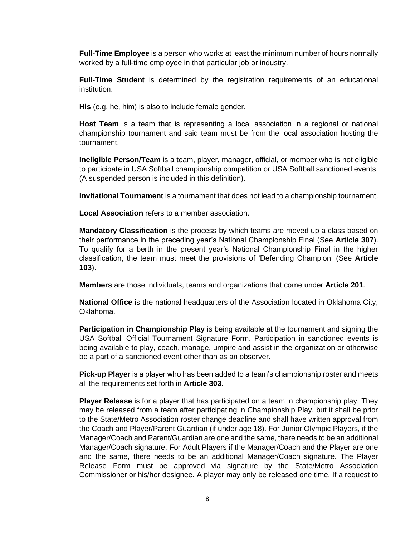**Full-Time Employee** is a person who works at least the minimum number of hours normally worked by a full-time employee in that particular job or industry.

**Full-Time Student** is determined by the registration requirements of an educational institution.

**His** (e.g. he, him) is also to include female gender.

**Host Team** is a team that is representing a local association in a regional or national championship tournament and said team must be from the local association hosting the tournament.

**Ineligible Person/Team** is a team, player, manager, official, or member who is not eligible to participate in USA Softball championship competition or USA Softball sanctioned events, (A suspended person is included in this definition).

**Invitational Tournament** is a tournament that does not lead to a championship tournament.

**Local Association** refers to a member association.

**Mandatory Classification** is the process by which teams are moved up a class based on their performance in the preceding year's National Championship Final (See **Article 307**). To qualify for a berth in the present year's National Championship Final in the higher classification, the team must meet the provisions of 'Defending Champion' (See **Article 103**).

**Members** are those individuals, teams and organizations that come under **Article 201**.

**National Office** is the national headquarters of the Association located in Oklahoma City, Oklahoma.

**Participation in Championship Play** is being available at the tournament and signing the USA Softball Official Tournament Signature Form. Participation in sanctioned events is being available to play, coach, manage, umpire and assist in the organization or otherwise be a part of a sanctioned event other than as an observer.

**Pick-up Player** is a player who has been added to a team's championship roster and meets all the requirements set forth in **Article 303**.

**Player Release** is for a player that has participated on a team in championship play. They may be released from a team after participating in Championship Play, but it shall be prior to the State/Metro Association roster change deadline and shall have written approval from the Coach and Player/Parent Guardian (if under age 18). For Junior Olympic Players, if the Manager/Coach and Parent/Guardian are one and the same, there needs to be an additional Manager/Coach signature. For Adult Players if the Manager/Coach and the Player are one and the same, there needs to be an additional Manager/Coach signature. The Player Release Form must be approved via signature by the State/Metro Association Commissioner or his/her designee. A player may only be released one time. If a request to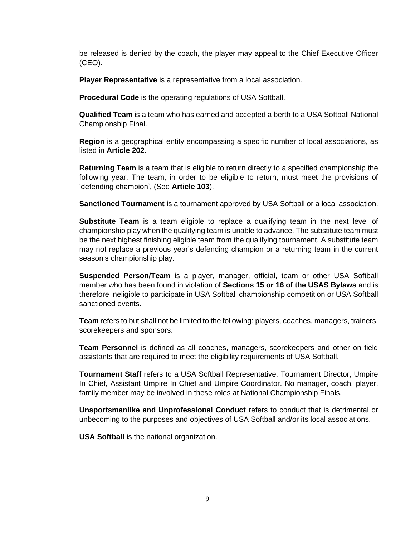be released is denied by the coach, the player may appeal to the Chief Executive Officer (CEO).

**Player Representative** is a representative from a local association.

**Procedural Code** is the operating regulations of USA Softball.

**Qualified Team** is a team who has earned and accepted a berth to a USA Softball National Championship Final.

**Region** is a geographical entity encompassing a specific number of local associations, as listed in **Article 202**.

**Returning Team** is a team that is eligible to return directly to a specified championship the following year. The team, in order to be eligible to return, must meet the provisions of 'defending champion', (See **Article 103**).

**Sanctioned Tournament** is a tournament approved by USA Softball or a local association.

**Substitute Team** is a team eligible to replace a qualifying team in the next level of championship play when the qualifying team is unable to advance. The substitute team must be the next highest finishing eligible team from the qualifying tournament. A substitute team may not replace a previous year's defending champion or a returning team in the current season's championship play.

**Suspended Person/Team** is a player, manager, official, team or other USA Softball member who has been found in violation of **Sections 15 or 16 of the USAS Bylaws** and is therefore ineligible to participate in USA Softball championship competition or USA Softball sanctioned events.

**Team** refers to but shall not be limited to the following: players, coaches, managers, trainers, scorekeepers and sponsors.

**Team Personnel** is defined as all coaches, managers, scorekeepers and other on field assistants that are required to meet the eligibility requirements of USA Softball.

**Tournament Staff** refers to a USA Softball Representative, Tournament Director, Umpire In Chief, Assistant Umpire In Chief and Umpire Coordinator. No manager, coach, player, family member may be involved in these roles at National Championship Finals.

**Unsportsmanlike and Unprofessional Conduct** refers to conduct that is detrimental or unbecoming to the purposes and objectives of USA Softball and/or its local associations.

**USA Softball** is the national organization.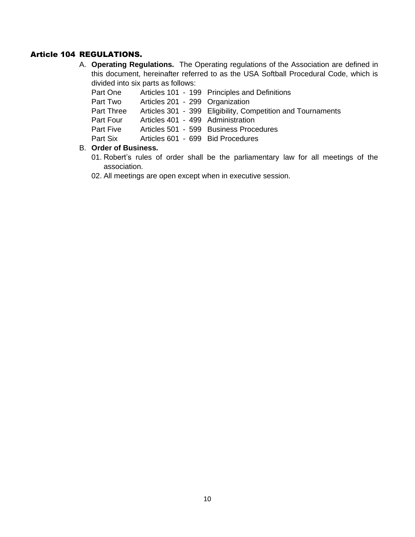## Article 104 REGULATIONS.

A. **Operating Regulations.** The Operating regulations of the Association are defined in this document, hereinafter referred to as the USA Softball Procedural Code, which is divided into six parts as follows:

| Part One         |                                   | Articles 101 - 199 Principles and Definitions               |
|------------------|-----------------------------------|-------------------------------------------------------------|
| Part Two         | Articles 201 - 299 Organization   |                                                             |
| Part Three       |                                   | Articles 301 - 399 Eligibility, Competition and Tournaments |
| Part Four        | Articles 401 - 499 Administration |                                                             |
| <b>Part Five</b> |                                   | Articles 501 - 599 Business Procedures                      |
| Part Six         | Articles 601 - 699 Bid Procedures |                                                             |

#### B. **Order of Business.**

- 01. Robert's rules of order shall be the parliamentary law for all meetings of the association.
- 02. All meetings are open except when in executive session.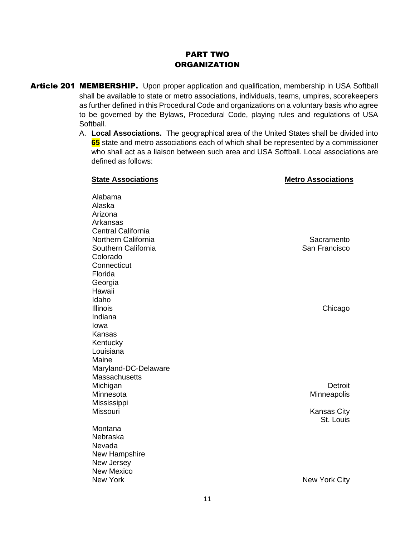# PART TWO **ORGANIZATION**

- Article 201 MEMBERSHIP. Upon proper application and qualification, membership in USA Softball shall be available to state or metro associations, individuals, teams, umpires, scorekeepers as further defined in this Procedural Code and organizations on a voluntary basis who agree to be governed by the Bylaws, Procedural Code, playing rules and regulations of USA Softball.
	- A. **Local Associations.** The geographical area of the United States shall be divided into **65** state and metro associations each of which shall be represented by a commissioner who shall act as a liaison between such area and USA Softball. Local associations are defined as follows:

| <b>State Associations</b> | <b>Metro Associations</b>       |
|---------------------------|---------------------------------|
| Alabama                   |                                 |
| Alaska                    |                                 |
| Arizona                   |                                 |
| Arkansas                  |                                 |
| Central California        |                                 |
| Northern California       | Sacramento                      |
| Southern California       | San Francisco                   |
| Colorado                  |                                 |
| Connecticut               |                                 |
| Florida                   |                                 |
| Georgia                   |                                 |
| Hawaii                    |                                 |
| Idaho                     |                                 |
| <b>Illinois</b>           | Chicago                         |
| Indiana                   |                                 |
| lowa                      |                                 |
| Kansas                    |                                 |
| Kentucky                  |                                 |
| Louisiana                 |                                 |
| Maine                     |                                 |
| Maryland-DC-Delaware      |                                 |
| Massachusetts             |                                 |
| Michigan                  | Detroit                         |
| Minnesota                 | Minneapolis                     |
| Mississippi               |                                 |
| <b>Missouri</b>           | <b>Kansas City</b><br>St. Louis |
| Montana                   |                                 |
| Nebraska                  |                                 |
| Nevada                    |                                 |
| New Hampshire             |                                 |
| New Jersey                |                                 |
| <b>New Mexico</b>         |                                 |
| New York                  | <b>New York City</b>            |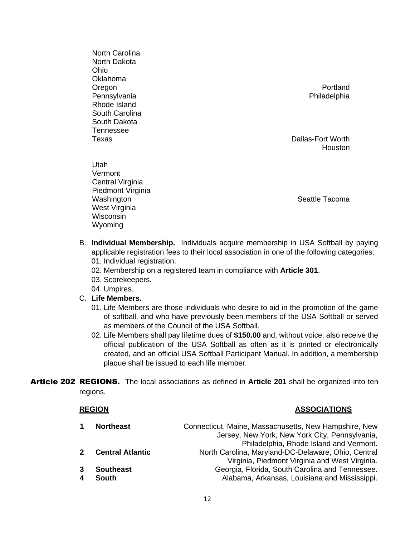North Carolina North Dakota Ohio Oklahoma Oregon **Profile Contains the Containing Contains and Containing Containing Containing Containing Containing Containing Containing Containing Containing Containing Containing Containing Containing Containing Containing Cont** Pennsylvania **Philadelphia** Philadelphia Rhode Island South Carolina South Dakota Tennessee

Central Virginia Piedmont Virginia

West Virginia Wisconsin Wyoming

Utah Vermont

Texas Dallas-Fort Worth **Houston** 

Washington **Seattle Tacoma** Seattle Tacoma

- B. **Individual Membership.** Individuals acquire membership in USA Softball by paying applicable registration fees to their local association in one of the following categories: 01. Individual registration.
	- 02. Membership on a registered team in compliance with **Article 301**.
	- 03. Scorekeepers.
	- 04. Umpires.

#### C. **Life Members.**

- 01. Life Members are those individuals who desire to aid in the promotion of the game of softball, and who have previously been members of the USA Softball or served as members of the Council of the USA Softball.
- 02. Life Members shall pay lifetime dues of **\$150.00** and, without voice, also receive the official publication of the USA Softball as often as it is printed or electronically created, and an official USA Softball Participant Manual. In addition, a membership plaque shall be issued to each life member.
- Article 202 REGIONS. The local associations as defined in **Article 201** shall be organized into ten regions.

| <b>REGION</b>           | <b>ASSOCIATIONS</b>                                                                                                                                |
|-------------------------|----------------------------------------------------------------------------------------------------------------------------------------------------|
| <b>Northeast</b>        | Connecticut, Maine, Massachusetts, New Hampshire, New<br>Jersey, New York, New York City, Pennsylvania,<br>Philadelphia, Rhode Island and Vermont. |
| <b>Central Atlantic</b> | North Carolina, Maryland-DC-Delaware, Ohio, Central<br>Virginia, Piedmont Virginia and West Virginia.                                              |
| <b>Southeast</b>        | Georgia, Florida, South Carolina and Tennessee.                                                                                                    |
| <b>South</b>            | Alabama, Arkansas, Louisiana and Mississippi.                                                                                                      |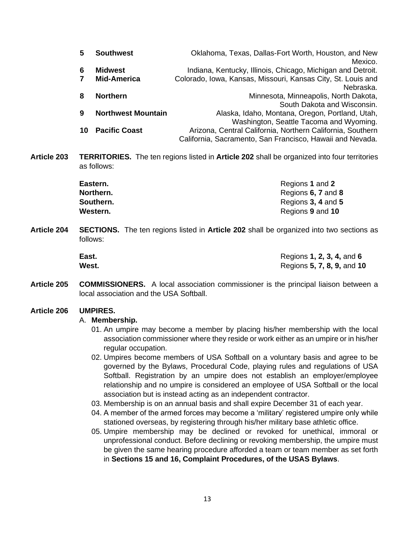| 5  | <b>Southwest</b>          | Oklahoma, Texas, Dallas-Fort Worth, Houston, and New         |
|----|---------------------------|--------------------------------------------------------------|
|    |                           | Mexico.                                                      |
| 6  | <b>Midwest</b>            | Indiana, Kentucky, Illinois, Chicago, Michigan and Detroit.  |
|    | <b>Mid-America</b>        | Colorado, Iowa, Kansas, Missouri, Kansas City, St. Louis and |
|    |                           | Nebraska.                                                    |
| 8  | <b>Northern</b>           | Minnesota, Minneapolis, North Dakota,                        |
|    |                           | South Dakota and Wisconsin.                                  |
| 9  | <b>Northwest Mountain</b> | Alaska, Idaho, Montana, Oregon, Portland, Utah,              |
|    |                           | Washington, Seattle Tacoma and Wyoming.                      |
| 10 | <b>Pacific Coast</b>      | Arizona, Central California, Northern California, Southern   |
|    |                           | California, Sacramento, San Francisco, Hawaii and Nevada.    |

**Article 203 TERRITORIES.** The ten regions listed in **Article 202** shall be organized into four territories as follows:

| Eastern.  | Regions 1 and 2    |
|-----------|--------------------|
| Northern. | Regions 6, 7 and 8 |
| Southern. | Regions 3, 4 and 5 |
| Western.  | Regions 9 and 10   |

**Article 204 SECTIONS.** The ten regions listed in **Article 202** shall be organized into two sections as follows:

| East. | Regions 1, 2, 3, 4, and 6  |
|-------|----------------------------|
| West. | Regions 5, 7, 8, 9, and 10 |

**Article 205 COMMISSIONERS.** A local association commissioner is the principal liaison between a local association and the USA Softball.

#### **Article 206 UMPIRES.**

#### A. **Membership.**

- 01. An umpire may become a member by placing his/her membership with the local association commissioner where they reside or work either as an umpire or in his/her regular occupation.
- 02. Umpires become members of USA Softball on a voluntary basis and agree to be governed by the Bylaws, Procedural Code, playing rules and regulations of USA Softball. Registration by an umpire does not establish an employer/employee relationship and no umpire is considered an employee of USA Softball or the local association but is instead acting as an independent contractor.
- 03. Membership is on an annual basis and shall expire December 31 of each year.
- 04. A member of the armed forces may become a 'military' registered umpire only while stationed overseas, by registering through his/her military base athletic office.
- 05. Umpire membership may be declined or revoked for unethical, immoral or unprofessional conduct. Before declining or revoking membership, the umpire must be given the same hearing procedure afforded a team or team member as set forth in **Sections 15 and 16, Complaint Procedures, of the USAS Bylaws**.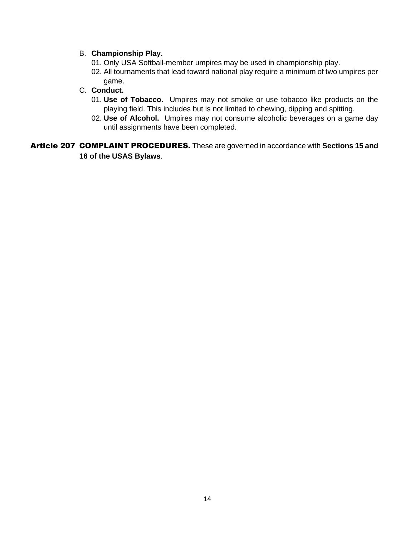#### B. **Championship Play.**

- 01. Only USA Softball-member umpires may be used in championship play.
- 02. All tournaments that lead toward national play require a minimum of two umpires per game.

## C. **Conduct.**

- 01. **Use of Tobacco.** Umpires may not smoke or use tobacco like products on the playing field. This includes but is not limited to chewing, dipping and spitting.
- 02. **Use of Alcohol.** Umpires may not consume alcoholic beverages on a game day until assignments have been completed.

Article 207 COMPLAINT PROCEDURES. These are governed in accordance with **Sections 15 and 16 of the USAS Bylaws**.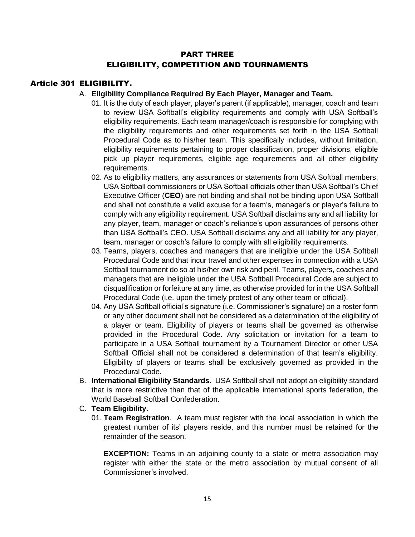# PART THREE ELIGIBILITY, COMPETITION AND TOURNAMENTS

## Article 301 ELIGIBILITY.

#### A. **Eligibility Compliance Required By Each Player, Manager and Team.**

- 01. It is the duty of each player, player's parent (if applicable), manager, coach and team to review USA Softball's eligibility requirements and comply with USA Softball's eligibility requirements. Each team manager/coach is responsible for complying with the eligibility requirements and other requirements set forth in the USA Softball Procedural Code as to his/her team. This specifically includes, without limitation, eligibility requirements pertaining to proper classification, proper divisions, eligible pick up player requirements, eligible age requirements and all other eligibility requirements.
- 02. As to eligibility matters, any assurances or statements from USA Softball members, USA Softball commissioners or USA Softball officials other than USA Softball's Chief Executive Officer (**CEO**) are not binding and shall not be binding upon USA Softball and shall not constitute a valid excuse for a team's, manager's or player's failure to comply with any eligibility requirement. USA Softball disclaims any and all liability for any player, team, manager or coach's reliance's upon assurances of persons other than USA Softball's CEO. USA Softball disclaims any and all liability for any player, team, manager or coach's failure to comply with all eligibility requirements.
- 03. Teams, players, coaches and managers that are ineligible under the USA Softball Procedural Code and that incur travel and other expenses in connection with a USA Softball tournament do so at his/her own risk and peril. Teams, players, coaches and managers that are ineligible under the USA Softball Procedural Code are subject to disqualification or forfeiture at any time, as otherwise provided for in the USA Softball Procedural Code (i.e. upon the timely protest of any other team or official).
- 04. Any USA Softball official's signature (i.e. Commissioner's signature) on a roster form or any other document shall not be considered as a determination of the eligibility of a player or team. Eligibility of players or teams shall be governed as otherwise provided in the Procedural Code. Any solicitation or invitation for a team to participate in a USA Softball tournament by a Tournament Director or other USA Softball Official shall not be considered a determination of that team's eligibility. Eligibility of players or teams shall be exclusively governed as provided in the Procedural Code.
- B. **International Eligibility Standards.** USA Softball shall not adopt an eligibility standard that is more restrictive than that of the applicable international sports federation, the World Baseball Softball Confederation.
- C. **Team Eligibility.**
	- 01. **Team Registration**. A team must register with the local association in which the greatest number of its' players reside, and this number must be retained for the remainder of the season.

**EXCEPTION:** Teams in an adjoining county to a state or metro association may register with either the state or the metro association by mutual consent of all Commissioner's involved.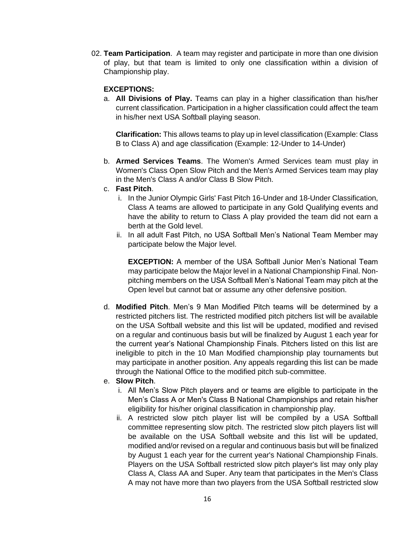02. **Team Participation**. A team may register and participate in more than one division of play, but that team is limited to only one classification within a division of Championship play.

#### **EXCEPTIONS:**

a. **All Divisions of Play.** Teams can play in a higher classification than his/her current classification. Participation in a higher classification could affect the team in his/her next USA Softball playing season.

**Clarification:** This allows teams to play up in level classification (Example: Class B to Class A) and age classification (Example: 12-Under to 14-Under)

b. **Armed Services Teams**. The Women's Armed Services team must play in Women's Class Open Slow Pitch and the Men's Armed Services team may play in the Men's Class A and/or Class B Slow Pitch.

#### c. **Fast Pitch**.

- i. In the Junior Olympic Girls' Fast Pitch 16-Under and 18-Under Classification, Class A teams are allowed to participate in any Gold Qualifying events and have the ability to return to Class A play provided the team did not earn a berth at the Gold level.
- ii. In all adult Fast Pitch, no USA Softball Men's National Team Member may participate below the Major level.

**EXCEPTION:** A member of the USA Softball Junior Men's National Team may participate below the Major level in a National Championship Final. Nonpitching members on the USA Softball Men's National Team may pitch at the Open level but cannot bat or assume any other defensive position.

- d. **Modified Pitch**. Men's 9 Man Modified Pitch teams will be determined by a restricted pitchers list. The restricted modified pitch pitchers list will be available on the USA Softball website and this list will be updated, modified and revised on a regular and continuous basis but will be finalized by August 1 each year for the current year's National Championship Finals. Pitchers listed on this list are ineligible to pitch in the 10 Man Modified championship play tournaments but may participate in another position. Any appeals regarding this list can be made through the National Office to the modified pitch sub-committee.
- e. **Slow Pitch**.
	- i. All Men's Slow Pitch players and or teams are eligible to participate in the Men's Class A or Men's Class B National Championships and retain his/her eligibility for his/her original classification in championship play.
	- ii. A restricted slow pitch player list will be compiled by a USA Softball committee representing slow pitch. The restricted slow pitch players list will be available on the USA Softball website and this list will be updated, modified and/or revised on a regular and continuous basis but will be finalized by August 1 each year for the current year's National Championship Finals. Players on the USA Softball restricted slow pitch player's list may only play Class A, Class AA and Super. Any team that participates in the Men's Class A may not have more than two players from the USA Softball restricted slow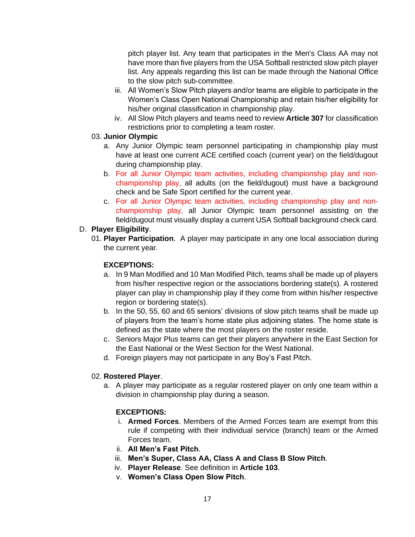pitch player list. Any team that participates in the Men's Class AA may not have more than five players from the USA Softball restricted slow pitch player list. Any appeals regarding this list can be made through the National Office to the slow pitch sub-committee.

- iii. All Women's Slow Pitch players and/or teams are eligible to participate in the Women's Class Open National Championship and retain his/her eligibility for his/her original classification in championship play.
- iv. All Slow Pitch players and teams need to review **Article 307** for classification restrictions prior to completing a team roster.

## 03. **Junior Olympic**

- a. Any Junior Olympic team personnel participating in championship play must have at least one current ACE certified coach (current year) on the field/dugout during championship play.
- b. For all Junior Olympic team activities, including championship play and nonchampionship play, all adults (on the field/dugout) must have a background check and be Safe Sport certified for the current year.
- c. For all Junior Olympic team activities, including championship play and nonchampionship play, all Junior Olympic team personnel assisting on the field/dugout must visually display a current USA Softball background check card.

## D. **Player Eligibility**.

01. **Player Participation**. A player may participate in any one local association during the current year.

## **EXCEPTIONS:**

- a. In 9 Man Modified and 10 Man Modified Pitch, teams shall be made up of players from his/her respective region or the associations bordering state(s). A rostered player can play in championship play if they come from within his/her respective region or bordering state(s).
- b. In the 50, 55, 60 and 65 seniors' divisions of slow pitch teams shall be made up of players from the team's home state plus adjoining states. The home state is defined as the state where the most players on the roster reside.
- c. Seniors Major Plus teams can get their players anywhere in the East Section for the East National or the West Section for the West National.
- d. Foreign players may not participate in any Boy's Fast Pitch.

## 02. **Rostered Player**.

a. A player may participate as a regular rostered player on only one team within a division in championship play during a season.

## **EXCEPTIONS:**

- i. **Armed Forces**. Members of the Armed Forces team are exempt from this rule if competing with their individual service (branch) team or the Armed Forces team.
- ii. **All Men's Fast Pitch**.
- iii. **Men's Super, Class AA, Class A and Class B Slow Pitch**.
- iv. **Player Release**. See definition in **Article 103**.
- v. **Women's Class Open Slow Pitch**.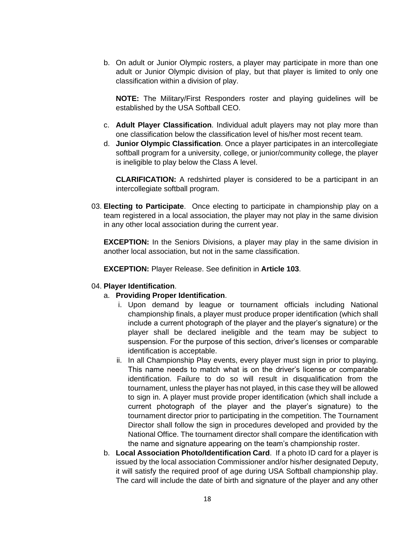b. On adult or Junior Olympic rosters, a player may participate in more than one adult or Junior Olympic division of play, but that player is limited to only one classification within a division of play.

**NOTE:** The Military/First Responders roster and playing guidelines will be established by the USA Softball CEO.

- c. **Adult Player Classification**. Individual adult players may not play more than one classification below the classification level of his/her most recent team.
- d. **Junior Olympic Classification**. Once a player participates in an intercollegiate softball program for a university, college, or junior/community college, the player is ineligible to play below the Class A level.

**CLARIFICATION:** A redshirted player is considered to be a participant in an intercollegiate softball program.

03. **Electing to Participate**. Once electing to participate in championship play on a team registered in a local association, the player may not play in the same division in any other local association during the current year.

**EXCEPTION:** In the Seniors Divisions, a player may play in the same division in another local association, but not in the same classification.

**EXCEPTION:** Player Release. See definition in **Article 103**.

#### 04. **Player Identification**.

#### a. **Providing Proper Identification**.

- i. Upon demand by league or tournament officials including National championship finals, a player must produce proper identification (which shall include a current photograph of the player and the player's signature) or the player shall be declared ineligible and the team may be subject to suspension. For the purpose of this section, driver's licenses or comparable identification is acceptable.
- ii. In all Championship Play events, every player must sign in prior to playing. This name needs to match what is on the driver's license or comparable identification. Failure to do so will result in disqualification from the tournament, unless the player has not played, in this case they will be allowed to sign in. A player must provide proper identification (which shall include a current photograph of the player and the player's signature) to the tournament director prior to participating in the competition. The Tournament Director shall follow the sign in procedures developed and provided by the National Office. The tournament director shall compare the identification with the name and signature appearing on the team's championship roster.
- b. **Local Association Photo/Identification Card**. If a photo ID card for a player is issued by the local association Commissioner and/or his/her designated Deputy, it will satisfy the required proof of age during USA Softball championship play. The card will include the date of birth and signature of the player and any other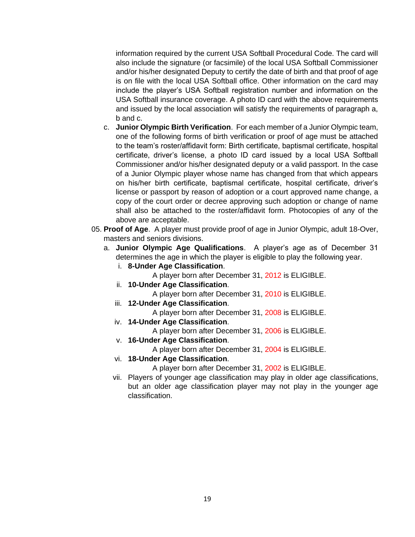information required by the current USA Softball Procedural Code. The card will also include the signature (or facsimile) of the local USA Softball Commissioner and/or his/her designated Deputy to certify the date of birth and that proof of age is on file with the local USA Softball office. Other information on the card may include the player's USA Softball registration number and information on the USA Softball insurance coverage. A photo ID card with the above requirements and issued by the local association will satisfy the requirements of paragraph a, b and c.

- c. **Junior Olympic Birth Verification**. For each member of a Junior Olympic team, one of the following forms of birth verification or proof of age must be attached to the team's roster/affidavit form: Birth certificate, baptismal certificate, hospital certificate, driver's license, a photo ID card issued by a local USA Softball Commissioner and/or his/her designated deputy or a valid passport. In the case of a Junior Olympic player whose name has changed from that which appears on his/her birth certificate, baptismal certificate, hospital certificate, driver's license or passport by reason of adoption or a court approved name change, a copy of the court order or decree approving such adoption or change of name shall also be attached to the roster/affidavit form. Photocopies of any of the above are acceptable.
- 05. **Proof of Age**. A player must provide proof of age in Junior Olympic, adult 18-Over, masters and seniors divisions.
	- a. **Junior Olympic Age Qualifications**. A player's age as of December 31 determines the age in which the player is eligible to play the following year.
		- i. **8-Under Age Classification**.
			- A player born after December 31, 2012 is ELIGIBLE.
		- ii. **10-Under Age Classification**.
			- A player born after December 31, 2010 is ELIGIBLE.
		- iii. **12-Under Age Classification**.
			- A player born after December 31, 2008 is ELIGIBLE.
		- iv. **14-Under Age Classification**.
			- A player born after December 31, 2006 is ELIGIBLE.
		- v. **16-Under Age Classification**.

A player born after December 31, 2004 is ELIGIBLE.

- vi. **18-Under Age Classification**.
	- A player born after December 31, 2002 is ELIGIBLE.
- vii. Players of younger age classification may play in older age classifications, but an older age classification player may not play in the younger age classification.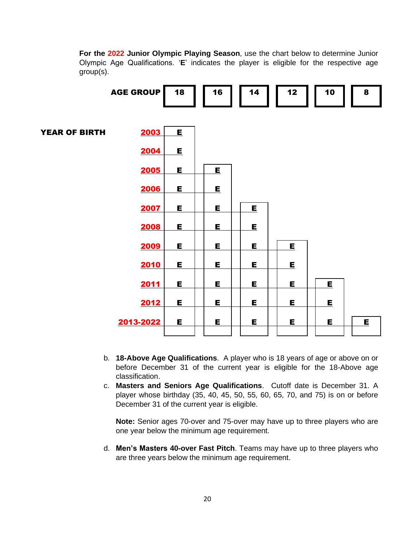**For the 2022 Junior Olympic Playing Season**, use the chart below to determine Junior Olympic Age Qualifications. '**E**' indicates the player is eligible for the respective age group(s).



- b. **18-Above Age Qualifications**. A player who is 18 years of age or above on or before December 31 of the current year is eligible for the 18-Above age classification.
- c. **Masters and Seniors Age Qualifications**. Cutoff date is December 31. A player whose birthday (35, 40, 45, 50, 55, 60, 65, 70, and 75) is on or before December 31 of the current year is eligible.

**Note:** Senior ages 70-over and 75-over may have up to three players who are one year below the minimum age requirement.

d. **Men's Masters 40-over Fast Pitch**. Teams may have up to three players who are three years below the minimum age requirement.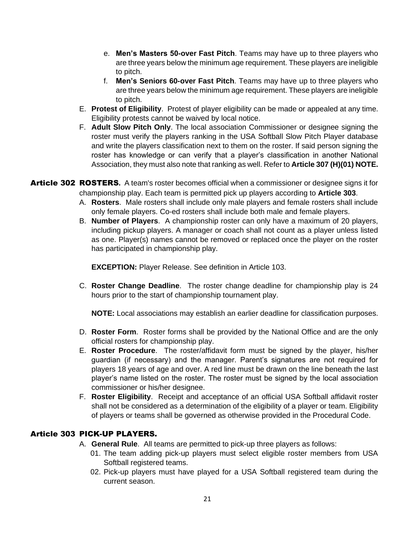- e. **Men's Masters 50-over Fast Pitch**. Teams may have up to three players who are three years below the minimum age requirement. These players are ineligible to pitch.
- f. **Men's Seniors 60-over Fast Pitch**. Teams may have up to three players who are three years below the minimum age requirement. These players are ineligible to pitch.
- E. **Protest of Eligibility**. Protest of player eligibility can be made or appealed at any time. Eligibility protests cannot be waived by local notice.
- F. **Adult Slow Pitch Only**. The local association Commissioner or designee signing the roster must verify the players ranking in the USA Softball Slow Pitch Player database and write the players classification next to them on the roster. If said person signing the roster has knowledge or can verify that a player's classification in another National Association, they must also note that ranking as well. Refer to **Article 307 (H)(01) NOTE.**
- Article 302 ROSTERS**.** A team's roster becomes official when a commissioner or designee signs it for championship play. Each team is permitted pick up players according to **Article 303**.
	- A. **Rosters**. Male rosters shall include only male players and female rosters shall include only female players. Co-ed rosters shall include both male and female players.
	- B. **Number of Players**. A championship roster can only have a maximum of 20 players, including pickup players. A manager or coach shall not count as a player unless listed as one. Player(s) names cannot be removed or replaced once the player on the roster has participated in championship play.

**EXCEPTION:** Player Release. See definition in Article 103.

C. **Roster Change Deadline**. The roster change deadline for championship play is 24 hours prior to the start of championship tournament play.

**NOTE:** Local associations may establish an earlier deadline for classification purposes.

- D. **Roster Form**. Roster forms shall be provided by the National Office and are the only official rosters for championship play.
- E. **Roster Procedure**. The roster/affidavit form must be signed by the player, his/her guardian (if necessary) and the manager. Parent's signatures are not required for players 18 years of age and over. A red line must be drawn on the line beneath the last player's name listed on the roster. The roster must be signed by the local association commissioner or his/her designee.
- F. **Roster Eligibility**. Receipt and acceptance of an official USA Softball affidavit roster shall not be considered as a determination of the eligibility of a player or team. Eligibility of players or teams shall be governed as otherwise provided in the Procedural Code.

# Article 303 PICK-UP PLAYERS.

- A. **General Rule**. All teams are permitted to pick-up three players as follows:
	- 01. The team adding pick-up players must select eligible roster members from USA Softball registered teams.
	- 02. Pick-up players must have played for a USA Softball registered team during the current season.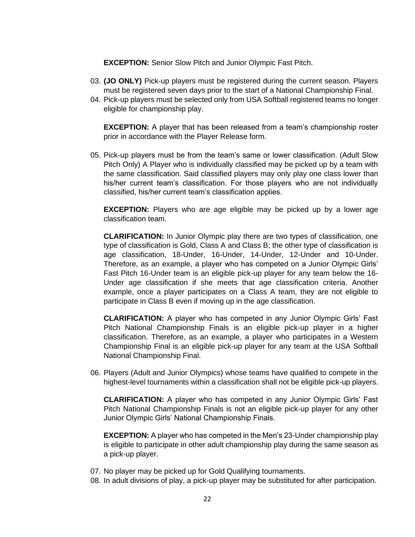**EXCEPTION:** Senior Slow Pitch and Junior Olympic Fast Pitch.

- 03. **(JO ONLY)** Pick-up players must be registered during the current season. Players must be registered seven days prior to the start of a National Championship Final.
- 04. Pick-up players must be selected only from USA Softball registered teams no longer eligible for championship play.

**EXCEPTION:** A player that has been released from a team's championship roster prior in accordance with the Player Release form.

05. Pick-up players must be from the team's same or lower classification. (Adult Slow Pitch Only) A Player who is individually classified may be picked up by a team with the same classification. Said classified players may only play one class lower than his/her current team's classification. For those players who are not individually classified, his/her current team's classification applies.

**EXCEPTION:** Players who are age eligible may be picked up by a lower age classification team.

**CLARIFICATION:** In Junior Olympic play there are two types of classification, one type of classification is Gold, Class A and Class B; the other type of classification is age classification, 18-Under, 16-Under, 14-Under, 12-Under and 10-Under. Therefore, as an example, a player who has competed on a Junior Olympic Girls' Fast Pitch 16-Under team is an eligible pick-up player for any team below the 16- Under age classification if she meets that age classification criteria. Another example, once a player participates on a Class A team, they are not eligible to participate in Class B even if moving up in the age classification.

**CLARIFICATION:** A player who has competed in any Junior Olympic Girls' Fast Pitch National Championship Finals is an eligible pick-up player in a higher classification. Therefore, as an example, a player who participates in a Western Championship Final is an eligible pick-up player for any team at the USA Softball National Championship Final.

06. Players (Adult and Junior Olympics) whose teams have qualified to compete in the highest-level tournaments within a classification shall not be eligible pick-up players.

**CLARIFICATION:** A player who has competed in any Junior Olympic Girls' Fast Pitch National Championship Finals is not an eligible pick-up player for any other Junior Olympic Girls' National Championship Finals.

**EXCEPTION:** A player who has competed in the Men's 23-Under championship play is eligible to participate in other adult championship play during the same season as a pick-up player.

- 07. No player may be picked up for Gold Qualifying tournaments.
- 08. In adult divisions of play, a pick-up player may be substituted for after participation.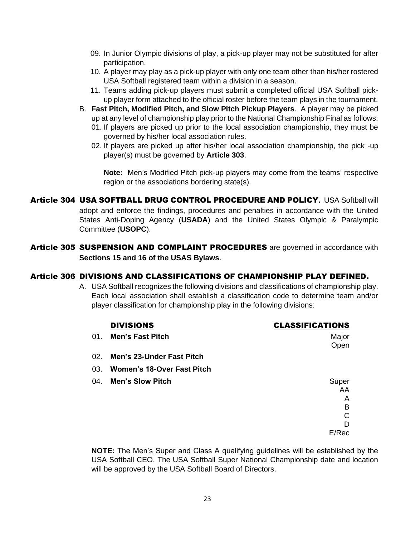- 09. In Junior Olympic divisions of play, a pick-up player may not be substituted for after participation.
- 10. A player may play as a pick-up player with only one team other than his/her rostered USA Softball registered team within a division in a season.
- 11. Teams adding pick-up players must submit a completed official USA Softball pickup player form attached to the official roster before the team plays in the tournament.
- B. **Fast Pitch, Modified Pitch, and Slow Pitch Pickup Players**. A player may be picked up at any level of championship play prior to the National Championship Final as follows:
	- 01. If players are picked up prior to the local association championship, they must be governed by his/her local association rules.
	- 02. If players are picked up after his/her local association championship, the pick -up player(s) must be governed by **Article 303**.

**Note:** Men's Modified Pitch pick-up players may come from the teams' respective region or the associations bordering state(s).

Article 304 USA SOFTBALL DRUG CONTROL PROCEDURE AND POLICY**.** USA Softball will adopt and enforce the findings, procedures and penalties in accordance with the United States Anti-Doping Agency (**USADA**) and the United States Olympic & Paralympic Committee (**USOPC**).

Article 305 SUSPENSION AND COMPLAINT PROCEDURES are governed in accordance with **Sections 15 and 16 of the USAS Bylaws**.

## Article 306 DIVISIONS AND CLASSIFICATIONS OF CHAMPIONSHIP PLAY DEFINED.

A. USA Softball recognizes the following divisions and classifications of championship play. Each local association shall establish a classification code to determine team and/or player classification for championship play in the following divisions:

|     | <b>DIVISIONS</b>                  | <b>CLASSIFICATIONS</b> |
|-----|-----------------------------------|------------------------|
| 01. | <b>Men's Fast Pitch</b>           | Major                  |
|     |                                   | Open                   |
|     | 02. Men's 23-Under Fast Pitch     |                        |
| 03. | <b>Women's 18-Over Fast Pitch</b> |                        |
|     | 04. Men's Slow Pitch              | Super                  |
|     |                                   | AA                     |
|     |                                   | A                      |
|     |                                   | B                      |
|     |                                   | $\mathsf{C}$           |
|     |                                   | D                      |
|     |                                   | E/Rec                  |

**NOTE:** The Men's Super and Class A qualifying guidelines will be established by the USA Softball CEO. The USA Softball Super National Championship date and location will be approved by the USA Softball Board of Directors.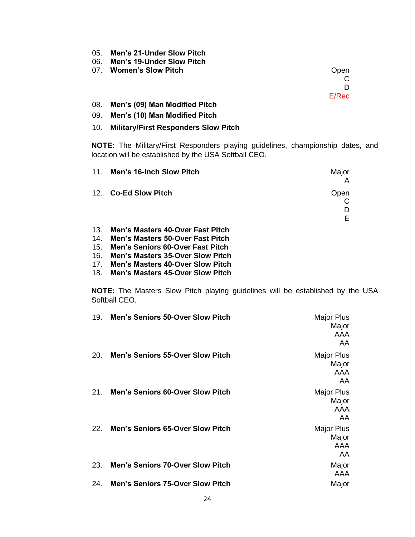- 05. **Men's 21-Under Slow Pitch**
- 06. **Men's 19-Under Slow Pitch**

07. **Women's Slow Pitch Open Open** 

C D

E/Rec

08. **Men's (09) Man Modified Pitch**

#### 09. **Men's (10) Man Modified Pitch**

#### 10. **Military/First Responders Slow Pitch**

**NOTE:** The Military/First Responders playing guidelines, championship dates, and location will be established by the USA Softball CEO.

|     | 11. Men's 16-Inch Slow Pitch                                            | Major |
|-----|-------------------------------------------------------------------------|-------|
|     | 12. Co-Ed Slow Pitch                                                    | Open  |
|     |                                                                         | E.    |
| 13. | Men's Masters 40-Over Fast Pitch<br>14 Man's Masters E0-Over East Ditch |       |

- 14. **Men's Masters 50-Over Fast Pitch**
- 15. **Men's Seniors 60-Over Fast Pitch**
- 16. **Men's Masters 35-Over Slow Pitch**
- 17. **Men's Masters 40-Over Slow Pitch**
- 18. **Men's Masters 45-Over Slow Pitch**

**NOTE:** The Masters Slow Pitch playing guidelines will be established by the USA Softball CEO.

| 19. | <b>Men's Seniors 50-Over Slow Pitch</b> | Major Plus<br>Major<br>AAA<br>AA  |
|-----|-----------------------------------------|-----------------------------------|
| 20. | <b>Men's Seniors 55-Over Slow Pitch</b> | Major Plus<br>Major<br>AAA<br>AA  |
| 21. | <b>Men's Seniors 60-Over Slow Pitch</b> | Major Plus<br>Major<br>AAA<br>AA. |
| 22. | <b>Men's Seniors 65-Over Slow Pitch</b> | Major Plus<br>Major<br>AAA<br>AA  |
| 23. | <b>Men's Seniors 70-Over Slow Pitch</b> | Major<br>AAA                      |
| 24. | <b>Men's Seniors 75-Over Slow Pitch</b> | Major                             |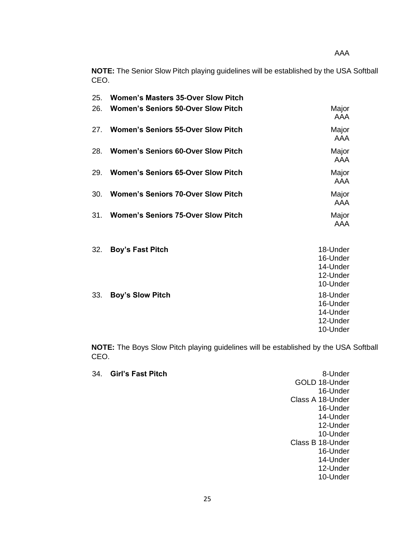AAA

**NOTE:** The Senior Slow Pitch playing guidelines will be established by the USA Softball CEO.

| 25. | <b>Women's Masters 35-Over Slow Pitch</b> |                                                          |
|-----|-------------------------------------------|----------------------------------------------------------|
| 26. | <b>Women's Seniors 50-Over Slow Pitch</b> | Major<br><b>AAA</b>                                      |
| 27. | <b>Women's Seniors 55-Over Slow Pitch</b> | Major<br>AAA                                             |
| 28. | <b>Women's Seniors 60-Over Slow Pitch</b> | Major<br><b>AAA</b>                                      |
| 29. | <b>Women's Seniors 65-Over Slow Pitch</b> | Major<br>AAA                                             |
| 30. | <b>Women's Seniors 70-Over Slow Pitch</b> | Major<br><b>AAA</b>                                      |
| 31. | <b>Women's Seniors 75-Over Slow Pitch</b> | Major<br>AAA                                             |
| 32. | <b>Boy's Fast Pitch</b>                   | 18-Under<br>16-Under<br>14-Under<br>12-Under<br>10-Under |
| 33. | <b>Boy's Slow Pitch</b>                   | 18-Under<br>16-Under<br>14-Under<br>12-Under<br>10-Under |

**NOTE:** The Boys Slow Pitch playing guidelines will be established by the USA Softball CEO.

|  | 34. Girl's Fast Pitch | 8-Under          |
|--|-----------------------|------------------|
|  |                       | GOLD 18-Under    |
|  |                       | 16-Under         |
|  |                       | Class A 18-Under |
|  |                       | 16-Under         |
|  |                       | 14-Under         |
|  |                       | 12-Under         |
|  |                       | 10-Under         |
|  |                       | Class B 18-Under |
|  |                       | 16-Under         |
|  |                       | 14-Under         |
|  |                       | 12-Under         |
|  |                       | 10-Under         |
|  |                       |                  |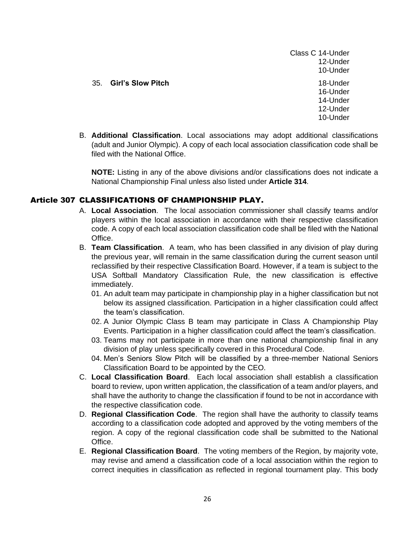#### 35. **Girl's Slow Pitch** 18-Under

Class C 14-Under 12-Under 10-Under 16-Under 14-Under 12-Under 10-Under

B. **Additional Classification**. Local associations may adopt additional classifications (adult and Junior Olympic). A copy of each local association classification code shall be filed with the National Office.

**NOTE:** Listing in any of the above divisions and/or classifications does not indicate a National Championship Final unless also listed under **Article 314**.

## Article 307 CLASSIFICATIONS OF CHAMPIONSHIP PLAY.

- A. **Local Association**. The local association commissioner shall classify teams and/or players within the local association in accordance with their respective classification code. A copy of each local association classification code shall be filed with the National Office.
- B. **Team Classification**. A team, who has been classified in any division of play during the previous year, will remain in the same classification during the current season until reclassified by their respective Classification Board. However, if a team is subject to the USA Softball Mandatory Classification Rule, the new classification is effective immediately.
	- 01. An adult team may participate in championship play in a higher classification but not below its assigned classification. Participation in a higher classification could affect the team's classification.
	- 02. A Junior Olympic Class B team may participate in Class A Championship Play Events. Participation in a higher classification could affect the team's classification.
	- 03. Teams may not participate in more than one national championship final in any division of play unless specifically covered in this Procedural Code.
	- 04. Men's Seniors Slow Pitch will be classified by a three-member National Seniors Classification Board to be appointed by the CEO.
- C. **Local Classification Board**. Each local association shall establish a classification board to review, upon written application, the classification of a team and/or players, and shall have the authority to change the classification if found to be not in accordance with the respective classification code.
- D. **Regional Classification Code**. The region shall have the authority to classify teams according to a classification code adopted and approved by the voting members of the region. A copy of the regional classification code shall be submitted to the National Office.
- E. **Regional Classification Board**. The voting members of the Region, by majority vote, may revise and amend a classification code of a local association within the region to correct inequities in classification as reflected in regional tournament play. This body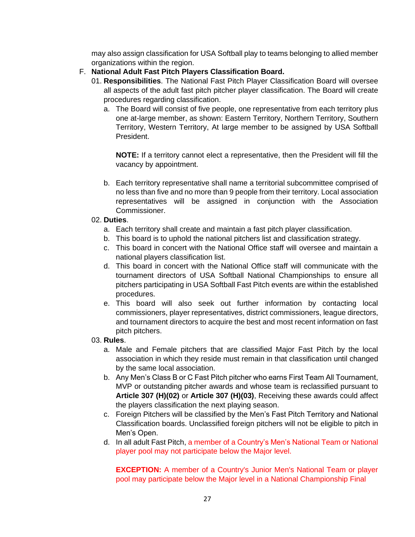may also assign classification for USA Softball play to teams belonging to allied member organizations within the region.

- F. **National Adult Fast Pitch Players Classification Board.**
	- 01. **Responsibilities**. The National Fast Pitch Player Classification Board will oversee all aspects of the adult fast pitch pitcher player classification. The Board will create procedures regarding classification.
		- a. The Board will consist of five people, one representative from each territory plus one at-large member, as shown: Eastern Territory, Northern Territory, Southern Territory, Western Territory, At large member to be assigned by USA Softball President.

**NOTE:** If a territory cannot elect a representative, then the President will fill the vacancy by appointment.

b. Each territory representative shall name a territorial subcommittee comprised of no less than five and no more than 9 people from their territory. Local association representatives will be assigned in conjunction with the Association Commissioner.

#### 02. **Duties**.

- a. Each territory shall create and maintain a fast pitch player classification.
- b. This board is to uphold the national pitchers list and classification strategy.
- c. This board in concert with the National Office staff will oversee and maintain a national players classification list.
- d. This board in concert with the National Office staff will communicate with the tournament directors of USA Softball National Championships to ensure all pitchers participating in USA Softball Fast Pitch events are within the established procedures.
- e. This board will also seek out further information by contacting local commissioners, player representatives, district commissioners, league directors, and tournament directors to acquire the best and most recent information on fast pitch pitchers.

#### 03. **Rules**.

- a. Male and Female pitchers that are classified Major Fast Pitch by the local association in which they reside must remain in that classification until changed by the same local association.
- b. Any Men's Class B or C Fast Pitch pitcher who earns First Team All Tournament, MVP or outstanding pitcher awards and whose team is reclassified pursuant to **Article 307 (H)(02)** or **Article 307 (H)(03)**, Receiving these awards could affect the players classification the next playing season.
- c. Foreign Pitchers will be classified by the Men's Fast Pitch Territory and National Classification boards. Unclassified foreign pitchers will not be eligible to pitch in Men's Open.
- d. In all adult Fast Pitch, a member of a Country's Men's National Team or National player pool may not participate below the Major level.

**EXCEPTION:** A member of a Country's Junior Men's National Team or player pool may participate below the Major level in a National Championship Final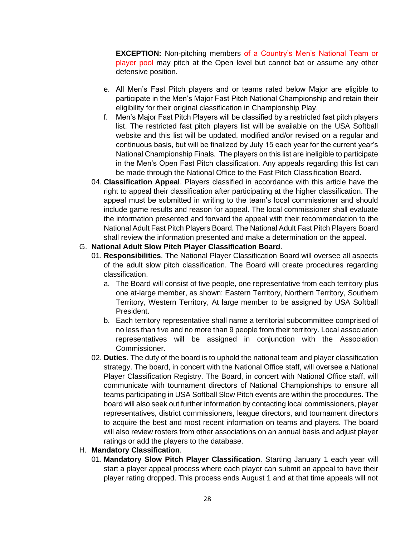**EXCEPTION:** Non-pitching members of a Country's Men's National Team or player pool may pitch at the Open level but cannot bat or assume any other defensive position.

- e. All Men's Fast Pitch players and or teams rated below Major are eligible to participate in the Men's Major Fast Pitch National Championship and retain their eligibility for their original classification in Championship Play.
- f. Men's Major Fast Pitch Players will be classified by a restricted fast pitch players list. The restricted fast pitch players list will be available on the USA Softball website and this list will be updated, modified and/or revised on a regular and continuous basis, but will be finalized by July 15 each year for the current year's National Championship Finals. The players on this list are ineligible to participate in the Men's Open Fast Pitch classification. Any appeals regarding this list can be made through the National Office to the Fast Pitch Classification Board.
- 04. **Classification Appeal**. Players classified in accordance with this article have the right to appeal their classification after participating at the higher classification. The appeal must be submitted in writing to the team's local commissioner and should include game results and reason for appeal. The local commissioner shall evaluate the information presented and forward the appeal with their recommendation to the National Adult Fast Pitch Players Board. The National Adult Fast Pitch Players Board shall review the information presented and make a determination on the appeal.

#### G. **National Adult Slow Pitch Player Classification Board**.

- 01. **Responsibilities**. The National Player Classification Board will oversee all aspects of the adult slow pitch classification. The Board will create procedures regarding classification.
	- a. The Board will consist of five people, one representative from each territory plus one at-large member, as shown: Eastern Territory, Northern Territory, Southern Territory, Western Territory, At large member to be assigned by USA Softball President.
	- b. Each territory representative shall name a territorial subcommittee comprised of no less than five and no more than 9 people from their territory. Local association representatives will be assigned in conjunction with the Association Commissioner.
- 02. **Duties**. The duty of the board is to uphold the national team and player classification strategy. The board, in concert with the National Office staff, will oversee a National Player Classification Registry. The Board, in concert with National Office staff, will communicate with tournament directors of National Championships to ensure all teams participating in USA Softball Slow Pitch events are within the procedures. The board will also seek out further information by contacting local commissioners, player representatives, district commissioners, league directors, and tournament directors to acquire the best and most recent information on teams and players. The board will also review rosters from other associations on an annual basis and adjust player ratings or add the players to the database.

#### H. **Mandatory Classification**.

01. **Mandatory Slow Pitch Player Classification**. Starting January 1 each year will start a player appeal process where each player can submit an appeal to have their player rating dropped. This process ends August 1 and at that time appeals will not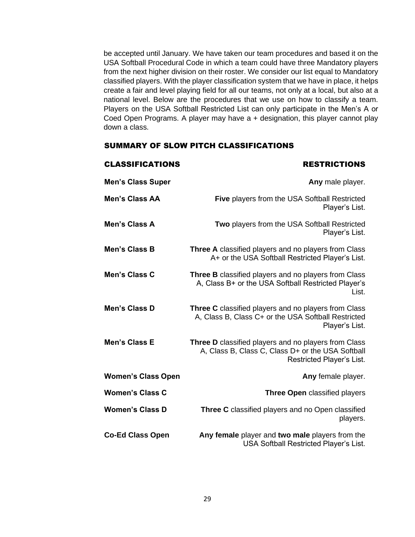be accepted until January. We have taken our team procedures and based it on the USA Softball Procedural Code in which a team could have three Mandatory players from the next higher division on their roster. We consider our list equal to Mandatory classified players. With the player classification system that we have in place, it helps create a fair and level playing field for all our teams, not only at a local, but also at a national level. Below are the procedures that we use on how to classify a team. Players on the USA Softball Restricted List can only participate in the Men's A or Coed Open Programs. A player may have a + designation, this player cannot play down a class.

#### SUMMARY OF SLOW PITCH CLASSIFICATIONS

| <b>CLASSIFICATIONS</b>    | <b>RESTRICTIONS</b>                                                                                                                    |
|---------------------------|----------------------------------------------------------------------------------------------------------------------------------------|
| <b>Men's Class Super</b>  | Any male player.                                                                                                                       |
| <b>Men's Class AA</b>     | Five players from the USA Softball Restricted<br>Player's List.                                                                        |
| Men's Class A             | Two players from the USA Softball Restricted<br>Player's List.                                                                         |
| Men's Class B             | <b>Three A</b> classified players and no players from Class<br>A+ or the USA Softball Restricted Player's List.                        |
| Men's Class C             | <b>Three B</b> classified players and no players from Class<br>A, Class B+ or the USA Softball Restricted Player's<br>List.            |
| Men's Class D             | Three C classified players and no players from Class<br>A, Class B, Class C+ or the USA Softball Restricted<br>Player's List.          |
| Men's Class E             | Three D classified players and no players from Class<br>A, Class B, Class C, Class D+ or the USA Softball<br>Restricted Player's List. |
| <b>Women's Class Open</b> | Any female player.                                                                                                                     |
| <b>Women's Class C</b>    | Three Open classified players                                                                                                          |
| <b>Women's Class D</b>    | Three C classified players and no Open classified<br>players.                                                                          |
| <b>Co-Ed Class Open</b>   | Any female player and two male players from the<br>USA Softball Restricted Player's List.                                              |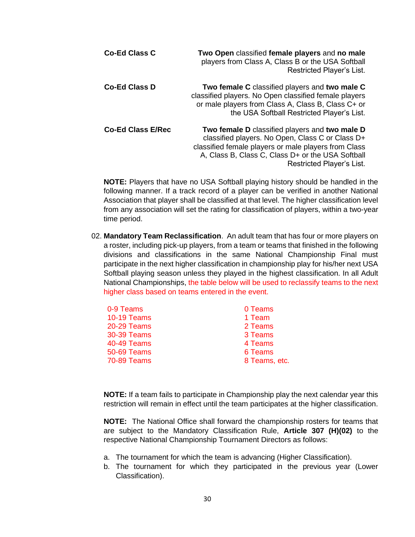| <b>Co-Ed Class C</b>     | Two Open classified female players and no male<br>players from Class A, Class B or the USA Softball<br>Restricted Player's List.                                                                                                             |
|--------------------------|----------------------------------------------------------------------------------------------------------------------------------------------------------------------------------------------------------------------------------------------|
| <b>Co-Ed Class D</b>     | Two female C classified players and two male C<br>classified players. No Open classified female players<br>or male players from Class A, Class B, Class C+ or<br>the USA Softball Restricted Player's List.                                  |
| <b>Co-Ed Class E/Rec</b> | Two female D classified players and two male D<br>classified players. No Open, Class C or Class D+<br>classified female players or male players from Class<br>A, Class B, Class C, Class D+ or the USA Softball<br>Restricted Player's List. |

**NOTE:** Players that have no USA Softball playing history should be handled in the following manner. If a track record of a player can be verified in another National Association that player shall be classified at that level. The higher classification level from any association will set the rating for classification of players, within a two-year time period.

02. **Mandatory Team Reclassification**. An adult team that has four or more players on a roster, including pick-up players, from a team or teams that finished in the following divisions and classifications in the same National Championship Final must participate in the next higher classification in championship play for his/her next USA Softball playing season unless they played in the highest classification. In all Adult National Championships, the table below will be used to reclassify teams to the next higher class based on teams entered in the event.

| 0-9 Teams          | 0 Teams       |
|--------------------|---------------|
| <b>10-19 Teams</b> | 1 Team        |
| <b>20-29 Teams</b> | 2 Teams       |
| 30-39 Teams        | 3 Teams       |
| <b>40-49 Teams</b> | 4 Teams       |
| <b>50-69 Teams</b> | 6 Teams       |
| <b>70-89 Teams</b> | 8 Teams, etc. |

**NOTE:** If a team fails to participate in Championship play the next calendar year this restriction will remain in effect until the team participates at the higher classification.

**NOTE:** The National Office shall forward the championship rosters for teams that are subject to the Mandatory Classification Rule, **Article 307 (H)(02)** to the respective National Championship Tournament Directors as follows:

- a. The tournament for which the team is advancing (Higher Classification).
- b. The tournament for which they participated in the previous year (Lower Classification).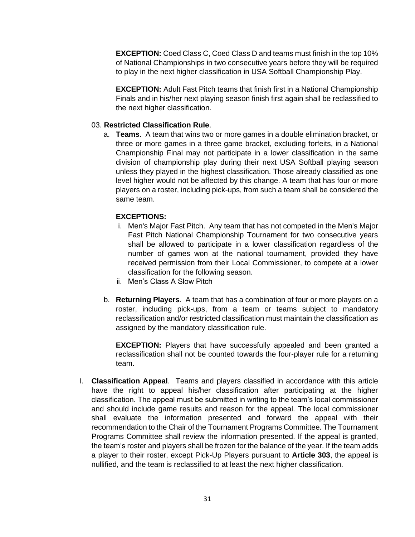**EXCEPTION:** Coed Class C, Coed Class D and teams must finish in the top 10% of National Championships in two consecutive years before they will be required to play in the next higher classification in USA Softball Championship Play.

**EXCEPTION:** Adult Fast Pitch teams that finish first in a National Championship Finals and in his/her next playing season finish first again shall be reclassified to the next higher classification.

#### 03. **Restricted Classification Rule**.

a. **Teams**. A team that wins two or more games in a double elimination bracket, or three or more games in a three game bracket, excluding forfeits, in a National Championship Final may not participate in a lower classification in the same division of championship play during their next USA Softball playing season unless they played in the highest classification. Those already classified as one level higher would not be affected by this change. A team that has four or more players on a roster, including pick-ups, from such a team shall be considered the same team.

#### **EXCEPTIONS:**

- i. Men's Major Fast Pitch. Any team that has not competed in the Men's Major Fast Pitch National Championship Tournament for two consecutive years shall be allowed to participate in a lower classification regardless of the number of games won at the national tournament, provided they have received permission from their Local Commissioner, to compete at a lower classification for the following season.
- ii. Men's Class A Slow Pitch
- b. **Returning Players**. A team that has a combination of four or more players on a roster, including pick-ups, from a team or teams subject to mandatory reclassification and/or restricted classification must maintain the classification as assigned by the mandatory classification rule.

**EXCEPTION:** Players that have successfully appealed and been granted a reclassification shall not be counted towards the four-player rule for a returning team.

I. **Classification Appeal**. Teams and players classified in accordance with this article have the right to appeal his/her classification after participating at the higher classification. The appeal must be submitted in writing to the team's local commissioner and should include game results and reason for the appeal. The local commissioner shall evaluate the information presented and forward the appeal with their recommendation to the Chair of the Tournament Programs Committee. The Tournament Programs Committee shall review the information presented. If the appeal is granted, the team's roster and players shall be frozen for the balance of the year. If the team adds a player to their roster, except Pick-Up Players pursuant to **Article 303**, the appeal is nullified, and the team is reclassified to at least the next higher classification.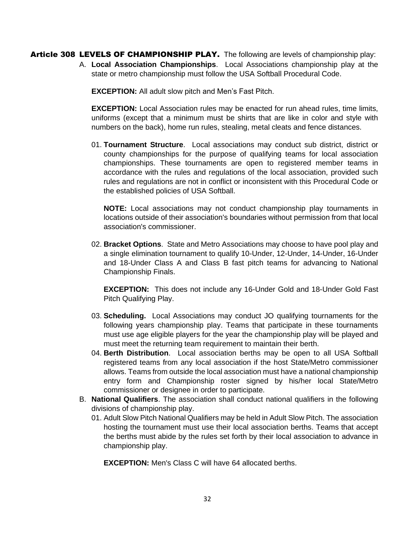Article 308 LEVELS OF CHAMPIONSHIP PLAY. The following are levels of championship play:

A. **Local Association Championships**. Local Associations championship play at the state or metro championship must follow the USA Softball Procedural Code.

**EXCEPTION:** All adult slow pitch and Men's Fast Pitch.

**EXCEPTION:** Local Association rules may be enacted for run ahead rules, time limits, uniforms (except that a minimum must be shirts that are like in color and style with numbers on the back), home run rules, stealing, metal cleats and fence distances.

01. **Tournament Structure**. Local associations may conduct sub district, district or county championships for the purpose of qualifying teams for local association championships. These tournaments are open to registered member teams in accordance with the rules and regulations of the local association, provided such rules and regulations are not in conflict or inconsistent with this Procedural Code or the established policies of USA Softball.

**NOTE:** Local associations may not conduct championship play tournaments in locations outside of their association's boundaries without permission from that local association's commissioner.

02. **Bracket Options**. State and Metro Associations may choose to have pool play and a single elimination tournament to qualify 10-Under, 12-Under, 14-Under, 16-Under and 18-Under Class A and Class B fast pitch teams for advancing to National Championship Finals.

**EXCEPTION:** This does not include any 16-Under Gold and 18-Under Gold Fast Pitch Qualifying Play.

- 03. **Scheduling.** Local Associations may conduct JO qualifying tournaments for the following years championship play. Teams that participate in these tournaments must use age eligible players for the year the championship play will be played and must meet the returning team requirement to maintain their berth.
- 04. **Berth Distribution**. Local association berths may be open to all USA Softball registered teams from any local association if the host State/Metro commissioner allows. Teams from outside the local association must have a national championship entry form and Championship roster signed by his/her local State/Metro commissioner or designee in order to participate.
- B. **National Qualifiers**. The association shall conduct national qualifiers in the following divisions of championship play.
	- 01. Adult Slow Pitch National Qualifiers may be held in Adult Slow Pitch. The association hosting the tournament must use their local association berths. Teams that accept the berths must abide by the rules set forth by their local association to advance in championship play.

**EXCEPTION:** Men's Class C will have 64 allocated berths.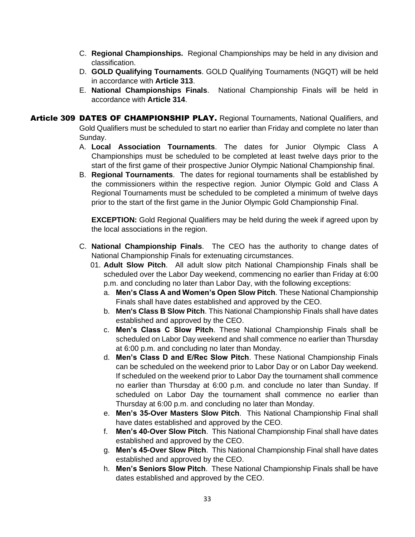- C. **Regional Championships.** Regional Championships may be held in any division and classification.
- D. **GOLD Qualifying Tournaments**. GOLD Qualifying Tournaments (NGQT) will be held in accordance with **Article 313**.
- E. **National Championships Finals**. National Championship Finals will be held in accordance with **Article 314**.

Article 309 DATES OF CHAMPIONSHIP PLAY. Regional Tournaments, National Qualifiers, and Gold Qualifiers must be scheduled to start no earlier than Friday and complete no later than Sunday.

- A. **Local Association Tournaments**. The dates for Junior Olympic Class A Championships must be scheduled to be completed at least twelve days prior to the start of the first game of their prospective Junior Olympic National Championship final.
- B. **Regional Tournaments**. The dates for regional tournaments shall be established by the commissioners within the respective region. Junior Olympic Gold and Class A Regional Tournaments must be scheduled to be completed a minimum of twelve days prior to the start of the first game in the Junior Olympic Gold Championship Final.

**EXCEPTION:** Gold Regional Qualifiers may be held during the week if agreed upon by the local associations in the region.

- C. **National Championship Finals**. The CEO has the authority to change dates of National Championship Finals for extenuating circumstances.
	- 01. **Adult Slow Pitch**. All adult slow pitch National Championship Finals shall be scheduled over the Labor Day weekend, commencing no earlier than Friday at 6:00 p.m. and concluding no later than Labor Day, with the following exceptions:
		- a. **Men's Class A and Women's Open Slow Pitch**. These National Championship Finals shall have dates established and approved by the CEO.
		- b. **Men's Class B Slow Pitch**. This National Championship Finals shall have dates established and approved by the CEO.
		- c. **Men's Class C Slow Pitch**. These National Championship Finals shall be scheduled on Labor Day weekend and shall commence no earlier than Thursday at 6:00 p.m. and concluding no later than Monday.
		- d. **Men's Class D and E/Rec Slow Pitch**. These National Championship Finals can be scheduled on the weekend prior to Labor Day or on Labor Day weekend. If scheduled on the weekend prior to Labor Day the tournament shall commence no earlier than Thursday at 6:00 p.m. and conclude no later than Sunday. If scheduled on Labor Day the tournament shall commence no earlier than Thursday at 6:00 p.m. and concluding no later than Monday.
		- e. **Men's 35-Over Masters Slow Pitch**. This National Championship Final shall have dates established and approved by the CEO.
		- f. **Men's 40-Over Slow Pitch**. This National Championship Final shall have dates established and approved by the CEO.
		- g. **Men's 45-Over Slow Pitch**. This National Championship Final shall have dates established and approved by the CEO.
		- h. **Men's Seniors Slow Pitch**. These National Championship Finals shall be have dates established and approved by the CEO.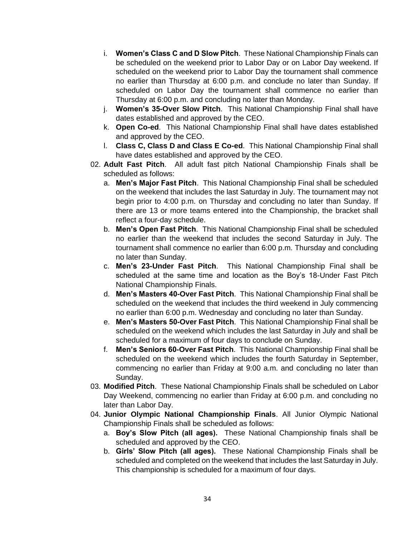- i. **Women's Class C and D Slow Pitch**. These National Championship Finals can be scheduled on the weekend prior to Labor Day or on Labor Day weekend. If scheduled on the weekend prior to Labor Day the tournament shall commence no earlier than Thursday at 6:00 p.m. and conclude no later than Sunday. If scheduled on Labor Day the tournament shall commence no earlier than Thursday at 6:00 p.m. and concluding no later than Monday.
- j. **Women's 35-Over Slow Pitch**. This National Championship Final shall have dates established and approved by the CEO.
- k. **Open Co-ed**. This National Championship Final shall have dates established and approved by the CEO.
- l. **Class C, Class D and Class E Co-ed**. This National Championship Final shall have dates established and approved by the CEO.
- 02. **Adult Fast Pitch**. All adult fast pitch National Championship Finals shall be scheduled as follows:
	- a. **Men's Major Fast Pitch**. This National Championship Final shall be scheduled on the weekend that includes the last Saturday in July. The tournament may not begin prior to 4:00 p.m. on Thursday and concluding no later than Sunday. If there are 13 or more teams entered into the Championship, the bracket shall reflect a four-day schedule.
	- b. **Men's Open Fast Pitch**. This National Championship Final shall be scheduled no earlier than the weekend that includes the second Saturday in July. The tournament shall commence no earlier than 6:00 p.m. Thursday and concluding no later than Sunday.
	- c. **Men's 23-Under Fast Pitch**. This National Championship Final shall be scheduled at the same time and location as the Boy's 18-Under Fast Pitch National Championship Finals.
	- d. **Men's Masters 40-Over Fast Pitch**. This National Championship Final shall be scheduled on the weekend that includes the third weekend in July commencing no earlier than 6:00 p.m. Wednesday and concluding no later than Sunday.
	- e. **Men's Masters 50-Over Fast Pitch**. This National Championship Final shall be scheduled on the weekend which includes the last Saturday in July and shall be scheduled for a maximum of four days to conclude on Sunday.
	- f. **Men's Seniors 60-Over Fast Pitch**. This National Championship Final shall be scheduled on the weekend which includes the fourth Saturday in September, commencing no earlier than Friday at 9:00 a.m. and concluding no later than Sunday.
- 03. **Modified Pitch**. These National Championship Finals shall be scheduled on Labor Day Weekend, commencing no earlier than Friday at 6:00 p.m. and concluding no later than Labor Day.
- 04. **Junior Olympic National Championship Finals**. All Junior Olympic National Championship Finals shall be scheduled as follows:
	- a. **Boy's Slow Pitch (all ages).** These National Championship finals shall be scheduled and approved by the CEO.
	- b. **Girls' Slow Pitch (all ages).** These National Championship Finals shall be scheduled and completed on the weekend that includes the last Saturday in July. This championship is scheduled for a maximum of four days.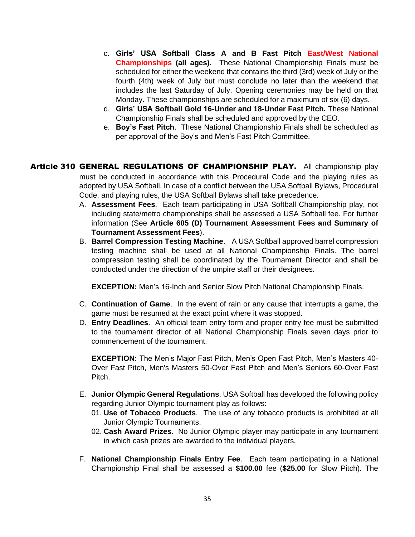- c. **Girls' USA Softball Class A and B Fast Pitch East/West National Championships (all ages).** These National Championship Finals must be scheduled for either the weekend that contains the third (3rd) week of July or the fourth (4th) week of July but must conclude no later than the weekend that includes the last Saturday of July. Opening ceremonies may be held on that Monday. These championships are scheduled for a maximum of six (6) days.
- d. **Girls' USA Softball Gold 16-Under and 18-Under Fast Pitch.** These National Championship Finals shall be scheduled and approved by the CEO.
- e. **Boy's Fast Pitch**. These National Championship Finals shall be scheduled as per approval of the Boy's and Men's Fast Pitch Committee.
- **Article 310 GENERAL REGULATIONS OF CHAMPIONSHIP PLAY.** All championship play must be conducted in accordance with this Procedural Code and the playing rules as adopted by USA Softball. In case of a conflict between the USA Softball Bylaws, Procedural Code, and playing rules, the USA Softball Bylaws shall take precedence.
	- A. **Assessment Fees**. Each team participating in USA Softball Championship play, not including state/metro championships shall be assessed a USA Softball fee. For further information (See **Article 605 (D) Tournament Assessment Fees and Summary of Tournament Assessment Fees**).
	- B. **Barrel Compression Testing Machine**. A USA Softball approved barrel compression testing machine shall be used at all National Championship Finals. The barrel compression testing shall be coordinated by the Tournament Director and shall be conducted under the direction of the umpire staff or their designees.

**EXCEPTION:** Men's 16-Inch and Senior Slow Pitch National Championship Finals.

- C. **Continuation of Game**. In the event of rain or any cause that interrupts a game, the game must be resumed at the exact point where it was stopped.
- D. **Entry Deadlines**. An official team entry form and proper entry fee must be submitted to the tournament director of all National Championship Finals seven days prior to commencement of the tournament.

**EXCEPTION:** The Men's Major Fast Pitch, Men's Open Fast Pitch, Men's Masters 40- Over Fast Pitch, Men's Masters 50-Over Fast Pitch and Men's Seniors 60-Over Fast Pitch.

- E. **Junior Olympic General Regulations**. USA Softball has developed the following policy regarding Junior Olympic tournament play as follows:
	- 01. **Use of Tobacco Products**. The use of any tobacco products is prohibited at all Junior Olympic Tournaments.
	- 02. **Cash Award Prizes**. No Junior Olympic player may participate in any tournament in which cash prizes are awarded to the individual players.
- F. **National Championship Finals Entry Fee**. Each team participating in a National Championship Final shall be assessed a **\$100.00** fee (**\$25.00** for Slow Pitch). The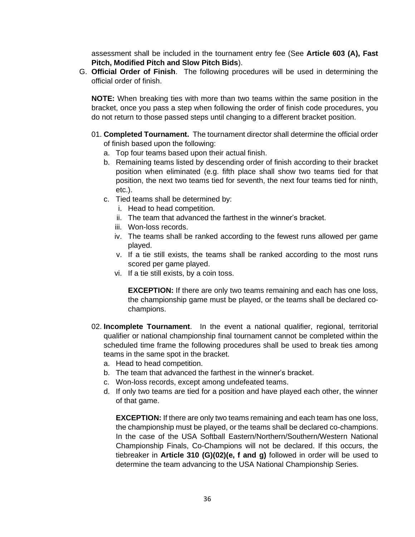assessment shall be included in the tournament entry fee (See **Article 603 (A), Fast Pitch, Modified Pitch and Slow Pitch Bids**).

G. **Official Order of Finish**. The following procedures will be used in determining the official order of finish.

**NOTE:** When breaking ties with more than two teams within the same position in the bracket, once you pass a step when following the order of finish code procedures, you do not return to those passed steps until changing to a different bracket position.

- 01. **Completed Tournament.** The tournament director shall determine the official order of finish based upon the following:
	- a. Top four teams based upon their actual finish.
	- b. Remaining teams listed by descending order of finish according to their bracket position when eliminated (e.g. fifth place shall show two teams tied for that position, the next two teams tied for seventh, the next four teams tied for ninth, etc.).
	- c. Tied teams shall be determined by:
		- i. Head to head competition.
		- ii. The team that advanced the farthest in the winner's bracket.
		- iii. Won-loss records.
		- iv. The teams shall be ranked according to the fewest runs allowed per game played.
		- v. If a tie still exists, the teams shall be ranked according to the most runs scored per game played.
		- vi. If a tie still exists, by a coin toss.

**EXCEPTION:** If there are only two teams remaining and each has one loss, the championship game must be played, or the teams shall be declared cochampions.

- 02. **Incomplete Tournament**. In the event a national qualifier, regional, territorial qualifier or national championship final tournament cannot be completed within the scheduled time frame the following procedures shall be used to break ties among teams in the same spot in the bracket.
	- a. Head to head competition.
	- b. The team that advanced the farthest in the winner's bracket.
	- c. Won-loss records, except among undefeated teams.
	- d. If only two teams are tied for a position and have played each other, the winner of that game.

**EXCEPTION:** If there are only two teams remaining and each team has one loss, the championship must be played, or the teams shall be declared co-champions. In the case of the USA Softball Eastern/Northern/Southern/Western National Championship Finals, Co-Champions will not be declared. If this occurs, the tiebreaker in **Article 310 (G)(02)(e, f and g)** followed in order will be used to determine the team advancing to the USA National Championship Series.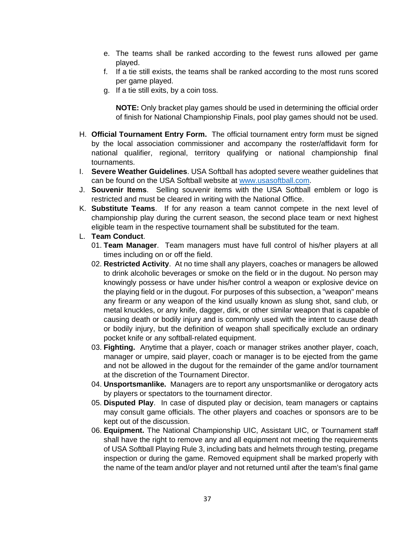- e. The teams shall be ranked according to the fewest runs allowed per game played.
- f. If a tie still exists, the teams shall be ranked according to the most runs scored per game played.
- g. If a tie still exits, by a coin toss.

**NOTE:** Only bracket play games should be used in determining the official order of finish for National Championship Finals, pool play games should not be used.

- H. **Official Tournament Entry Form.** The official tournament entry form must be signed by the local association commissioner and accompany the roster/affidavit form for national qualifier, regional, territory qualifying or national championship final tournaments.
- I. **Severe Weather Guidelines**. USA Softball has adopted severe weather guidelines that can be found on the USA Softball website at [www.usasoftball.com.](http://www.usasoftball.com/)
- J. **Souvenir Items**. Selling souvenir items with the USA Softball emblem or logo is restricted and must be cleared in writing with the National Office.
- K. **Substitute Teams**. If for any reason a team cannot compete in the next level of championship play during the current season, the second place team or next highest eligible team in the respective tournament shall be substituted for the team.
- L. **Team Conduct**.
	- 01. **Team Manager**. Team managers must have full control of his/her players at all times including on or off the field.
	- 02. **Restricted Activity**. At no time shall any players, coaches or managers be allowed to drink alcoholic beverages or smoke on the field or in the dugout. No person may knowingly possess or have under his/her control a weapon or explosive device on the playing field or in the dugout. For purposes of this subsection, a "weapon" means any firearm or any weapon of the kind usually known as slung shot, sand club, or metal knuckles, or any knife, dagger, dirk, or other similar weapon that is capable of causing death or bodily injury and is commonly used with the intent to cause death or bodily injury, but the definition of weapon shall specifically exclude an ordinary pocket knife or any softball-related equipment.
	- 03. **Fighting.** Anytime that a player, coach or manager strikes another player, coach, manager or umpire, said player, coach or manager is to be ejected from the game and not be allowed in the dugout for the remainder of the game and/or tournament at the discretion of the Tournament Director.
	- 04. **Unsportsmanlike.** Managers are to report any unsportsmanlike or derogatory acts by players or spectators to the tournament director.
	- 05. **Disputed Play**. In case of disputed play or decision, team managers or captains may consult game officials. The other players and coaches or sponsors are to be kept out of the discussion.
	- 06. **Equipment.** The National Championship UIC, Assistant UIC, or Tournament staff shall have the right to remove any and all equipment not meeting the requirements of USA Softball Playing Rule 3, including bats and helmets through testing, pregame inspection or during the game. Removed equipment shall be marked properly with the name of the team and/or player and not returned until after the team's final game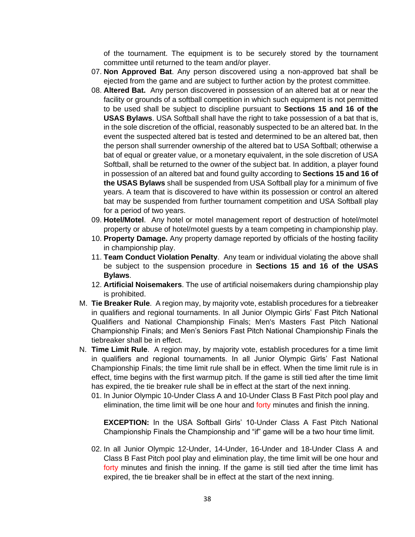of the tournament. The equipment is to be securely stored by the tournament committee until returned to the team and/or player.

- 07. **Non Approved Bat**. Any person discovered using a non-approved bat shall be ejected from the game and are subject to further action by the protest committee.
- 08. **Altered Bat.** Any person discovered in possession of an altered bat at or near the facility or grounds of a softball competition in which such equipment is not permitted to be used shall be subject to discipline pursuant to **Sections 15 and 16 of the USAS Bylaws**. USA Softball shall have the right to take possession of a bat that is, in the sole discretion of the official, reasonably suspected to be an altered bat. In the event the suspected altered bat is tested and determined to be an altered bat, then the person shall surrender ownership of the altered bat to USA Softball; otherwise a bat of equal or greater value, or a monetary equivalent, in the sole discretion of USA Softball, shall be returned to the owner of the subject bat. In addition, a player found in possession of an altered bat and found guilty according to **Sections 15 and 16 of the USAS Bylaws** shall be suspended from USA Softball play for a minimum of five years. A team that is discovered to have within its possession or control an altered bat may be suspended from further tournament competition and USA Softball play for a period of two years.
- 09. **Hotel/Motel**. Any hotel or motel management report of destruction of hotel/motel property or abuse of hotel/motel guests by a team competing in championship play.
- 10. **Property Damage.** Any property damage reported by officials of the hosting facility in championship play.
- 11. **Team Conduct Violation Penalty**. Any team or individual violating the above shall be subject to the suspension procedure in **Sections 15 and 16 of the USAS Bylaws**.
- 12. **Artificial Noisemakers**. The use of artificial noisemakers during championship play is prohibited.
- M. **Tie Breaker Rule**. A region may, by majority vote, establish procedures for a tiebreaker in qualifiers and regional tournaments. In all Junior Olympic Girls' Fast Pitch National Qualifiers and National Championship Finals; Men's Masters Fast Pitch National Championship Finals; and Men's Seniors Fast Pitch National Championship Finals the tiebreaker shall be in effect.
- N. **Time Limit Rule**. A region may, by majority vote, establish procedures for a time limit in qualifiers and regional tournaments. In all Junior Olympic Girls' Fast National Championship Finals; the time limit rule shall be in effect. When the time limit rule is in effect, time begins with the first warmup pitch. If the game is still tied after the time limit has expired, the tie breaker rule shall be in effect at the start of the next inning.
	- 01. In Junior Olympic 10-Under Class A and 10-Under Class B Fast Pitch pool play and elimination, the time limit will be one hour and forty minutes and finish the inning.

**EXCEPTION:** In the USA Softball Girls' 10-Under Class A Fast Pitch National Championship Finals the Championship and "if" game will be a two hour time limit.

02. In all Junior Olympic 12-Under, 14-Under, 16-Under and 18-Under Class A and Class B Fast Pitch pool play and elimination play, the time limit will be one hour and forty minutes and finish the inning. If the game is still tied after the time limit has expired, the tie breaker shall be in effect at the start of the next inning.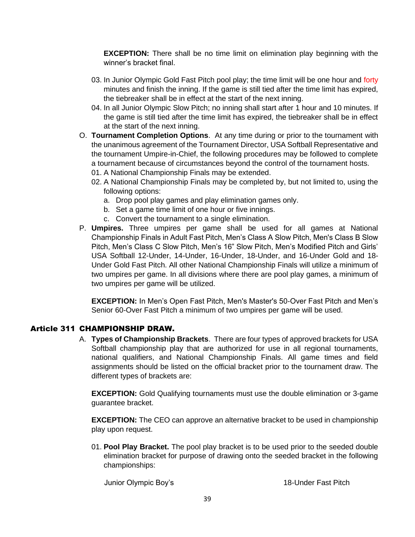**EXCEPTION:** There shall be no time limit on elimination play beginning with the winner's bracket final.

- 03. In Junior Olympic Gold Fast Pitch pool play; the time limit will be one hour and forty minutes and finish the inning. If the game is still tied after the time limit has expired, the tiebreaker shall be in effect at the start of the next inning.
- 04. In all Junior Olympic Slow Pitch; no inning shall start after 1 hour and 10 minutes. If the game is still tied after the time limit has expired, the tiebreaker shall be in effect at the start of the next inning.
- O. **Tournament Completion Options**. At any time during or prior to the tournament with the unanimous agreement of the Tournament Director, USA Softball Representative and the tournament Umpire-in-Chief, the following procedures may be followed to complete a tournament because of circumstances beyond the control of the tournament hosts.
	- 01. A National Championship Finals may be extended.
	- 02. A National Championship Finals may be completed by, but not limited to, using the following options:
		- a. Drop pool play games and play elimination games only.
		- b. Set a game time limit of one hour or five innings.
		- c. Convert the tournament to a single elimination.
- P. **Umpires.** Three umpires per game shall be used for all games at National Championship Finals in Adult Fast Pitch, Men's Class A Slow Pitch, Men's Class B Slow Pitch, Men's Class C Slow Pitch, Men's 16" Slow Pitch, Men's Modified Pitch and Girls' USA Softball 12-Under, 14-Under, 16-Under, 18-Under, and 16-Under Gold and 18- Under Gold Fast Pitch. All other National Championship Finals will utilize a minimum of two umpires per game. In all divisions where there are pool play games, a minimum of two umpires per game will be utilized.

**EXCEPTION:** In Men's Open Fast Pitch, Men's Master's 50-Over Fast Pitch and Men's Senior 60-Over Fast Pitch a minimum of two umpires per game will be used.

### Article 311 CHAMPIONSHIP DRAW.

A. **Types of Championship Brackets**. There are four types of approved brackets for USA Softball championship play that are authorized for use in all regional tournaments, national qualifiers, and National Championship Finals. All game times and field assignments should be listed on the official bracket prior to the tournament draw. The different types of brackets are:

**EXCEPTION:** Gold Qualifying tournaments must use the double elimination or 3-game guarantee bracket.

**EXCEPTION:** The CEO can approve an alternative bracket to be used in championship play upon request.

01. **Pool Play Bracket.** The pool play bracket is to be used prior to the seeded double elimination bracket for purpose of drawing onto the seeded bracket in the following championships:

Junior Olympic Boy's 18-Under Fast Pitch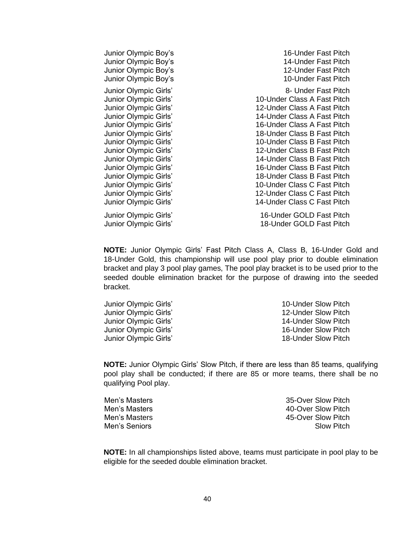| Junior Olympic Boy's  | 16-Under Fast Pitch         |
|-----------------------|-----------------------------|
| Junior Olympic Boy's  | 14-Under Fast Pitch         |
| Junior Olympic Boy's  | 12-Under Fast Pitch         |
| Junior Olympic Boy's  | 10-Under Fast Pitch         |
| Junior Olympic Girls' | 8- Under Fast Pitch         |
| Junior Olympic Girls' | 10-Under Class A Fast Pitch |
| Junior Olympic Girls' | 12-Under Class A Fast Pitch |
| Junior Olympic Girls' | 14-Under Class A Fast Pitch |
| Junior Olympic Girls' | 16-Under Class A Fast Pitch |
| Junior Olympic Girls' | 18-Under Class B Fast Pitch |
| Junior Olympic Girls' | 10-Under Class B Fast Pitch |
| Junior Olympic Girls' | 12-Under Class B Fast Pitch |
| Junior Olympic Girls' | 14-Under Class B Fast Pitch |
| Junior Olympic Girls' | 16-Under Class B Fast Pitch |
| Junior Olympic Girls' | 18-Under Class B Fast Pitch |
| Junior Olympic Girls' | 10-Under Class C Fast Pitch |
| Junior Olympic Girls' | 12-Under Class C Fast Pitch |
| Junior Olympic Girls' | 14-Under Class C Fast Pitch |
| Junior Olympic Girls' | 16-Under GOLD Fast Pitch    |
| Junior Olympic Girls' | 18-Under GOLD Fast Pitch    |

**NOTE:** Junior Olympic Girls' Fast Pitch Class A, Class B, 16-Under Gold and 18-Under Gold, this championship will use pool play prior to double elimination bracket and play 3 pool play games, The pool play bracket is to be used prior to the seeded double elimination bracket for the purpose of drawing into the seeded bracket.

| Junior Olympic Girls' | 10-Under Slow Pitch |
|-----------------------|---------------------|
| Junior Olympic Girls' | 12-Under Slow Pitch |
| Junior Olympic Girls' | 14-Under Slow Pitch |
| Junior Olympic Girls' | 16-Under Slow Pitch |
| Junior Olympic Girls' | 18-Under Slow Pitch |
|                       |                     |

**NOTE:** Junior Olympic Girls' Slow Pitch, if there are less than 85 teams, qualifying pool play shall be conducted; if there are 85 or more teams, there shall be no qualifying Pool play.

| Men's Masters | 35-Over Slow Pitch |
|---------------|--------------------|
| Men's Masters | 40-Over Slow Pitch |
| Men's Masters | 45-Over Slow Pitch |
| Men's Seniors | Slow Pitch         |
|               |                    |

**NOTE:** In all championships listed above, teams must participate in pool play to be eligible for the seeded double elimination bracket.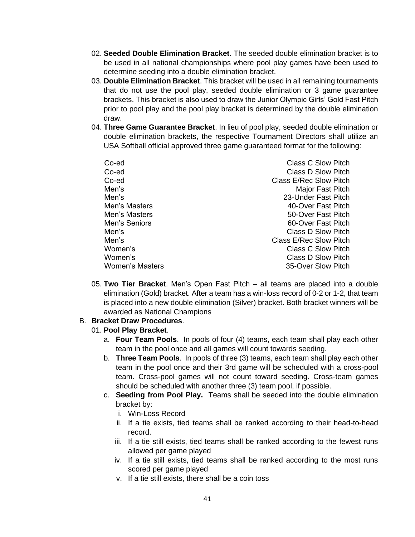- 02. **Seeded Double Elimination Bracket**. The seeded double elimination bracket is to be used in all national championships where pool play games have been used to determine seeding into a double elimination bracket.
- 03. **Double Elimination Bracket**. This bracket will be used in all remaining tournaments that do not use the pool play, seeded double elimination or 3 game guarantee brackets. This bracket is also used to draw the Junior Olympic Girls' Gold Fast Pitch prior to pool play and the pool play bracket is determined by the double elimination draw.
- 04. **Three Game Guarantee Bracket**. In lieu of pool play, seeded double elimination or double elimination brackets, the respective Tournament Directors shall utilize an USA Softball official approved three game guaranteed format for the following:

| Co-ed           | <b>Class C Slow Pitch</b>     |
|-----------------|-------------------------------|
| Co-ed           | <b>Class D Slow Pitch</b>     |
| Co-ed           | <b>Class E/Rec Slow Pitch</b> |
| Men's           | Major Fast Pitch              |
| Men's           | 23-Under Fast Pitch           |
| Men's Masters   | 40-Over Fast Pitch            |
| Men's Masters   | 50-Over Fast Pitch            |
| Men's Seniors   | 60-Over Fast Pitch            |
| Men's           | Class D Slow Pitch            |
| Men's           | <b>Class E/Rec Slow Pitch</b> |
| Women's         | <b>Class C Slow Pitch</b>     |
| Women's         | <b>Class D Slow Pitch</b>     |
| Women's Masters | 35-Over Slow Pitch            |

05. **Two Tier Bracket**. Men's Open Fast Pitch – all teams are placed into a double elimination (Gold) bracket. After a team has a win-loss record of 0-2 or 1-2, that team is placed into a new double elimination (Silver) bracket. Both bracket winners will be awarded as National Champions

### B. **Bracket Draw Procedures**.

#### 01. **Pool Play Bracket**.

- a. **Four Team Pools**. In pools of four (4) teams, each team shall play each other team in the pool once and all games will count towards seeding.
- b. **Three Team Pools**. In pools of three (3) teams, each team shall play each other team in the pool once and their 3rd game will be scheduled with a cross-pool team. Cross-pool games will not count toward seeding. Cross-team games should be scheduled with another three (3) team pool, if possible.
- c. **Seeding from Pool Play.** Teams shall be seeded into the double elimination bracket by:
	- i. Win-Loss Record
	- ii. If a tie exists, tied teams shall be ranked according to their head-to-head record.
	- iii. If a tie still exists, tied teams shall be ranked according to the fewest runs allowed per game played
	- iv. If a tie still exists, tied teams shall be ranked according to the most runs scored per game played
	- v. If a tie still exists, there shall be a coin toss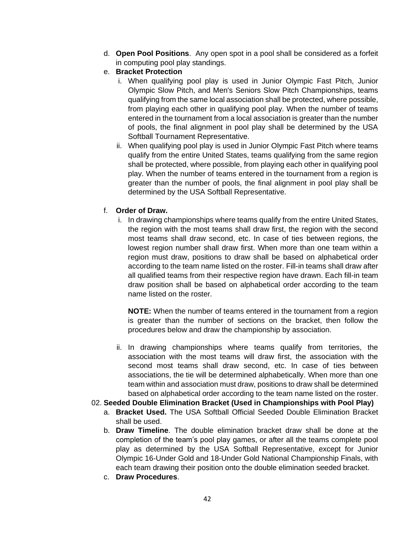- d. **Open Pool Positions**. Any open spot in a pool shall be considered as a forfeit in computing pool play standings.
- e. **Bracket Protection**
	- i. When qualifying pool play is used in Junior Olympic Fast Pitch, Junior Olympic Slow Pitch, and Men's Seniors Slow Pitch Championships, teams qualifying from the same local association shall be protected, where possible, from playing each other in qualifying pool play. When the number of teams entered in the tournament from a local association is greater than the number of pools, the final alignment in pool play shall be determined by the USA Softball Tournament Representative.
	- ii. When qualifying pool play is used in Junior Olympic Fast Pitch where teams qualify from the entire United States, teams qualifying from the same region shall be protected, where possible, from playing each other in qualifying pool play. When the number of teams entered in the tournament from a region is greater than the number of pools, the final alignment in pool play shall be determined by the USA Softball Representative.

# f. **Order of Draw.**

i. In drawing championships where teams qualify from the entire United States, the region with the most teams shall draw first, the region with the second most teams shall draw second, etc. In case of ties between regions, the lowest region number shall draw first. When more than one team within a region must draw, positions to draw shall be based on alphabetical order according to the team name listed on the roster. Fill-in teams shall draw after all qualified teams from their respective region have drawn. Each fill-in team draw position shall be based on alphabetical order according to the team name listed on the roster.

**NOTE:** When the number of teams entered in the tournament from a region is greater than the number of sections on the bracket, then follow the procedures below and draw the championship by association.

ii. In drawing championships where teams qualify from territories, the association with the most teams will draw first, the association with the second most teams shall draw second, etc. In case of ties between associations, the tie will be determined alphabetically. When more than one team within and association must draw, positions to draw shall be determined based on alphabetical order according to the team name listed on the roster.

# 02. **Seeded Double Elimination Bracket (Used in Championships with Pool Play)**

- a. **Bracket Used.** The USA Softball Official Seeded Double Elimination Bracket shall be used.
- b. **Draw Timeline**. The double elimination bracket draw shall be done at the completion of the team's pool play games, or after all the teams complete pool play as determined by the USA Softball Representative, except for Junior Olympic 16-Under Gold and 18-Under Gold National Championship Finals, with each team drawing their position onto the double elimination seeded bracket.
- c. **Draw Procedures**.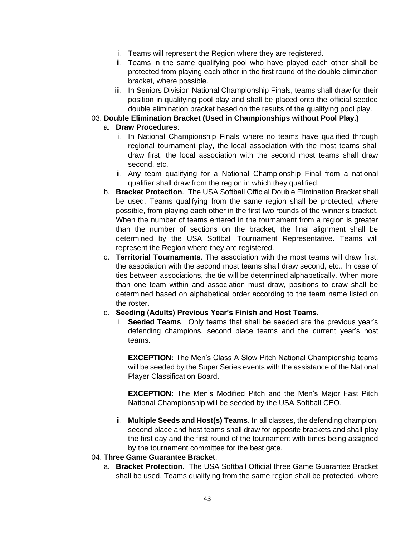- i. Teams will represent the Region where they are registered.
- ii. Teams in the same qualifying pool who have played each other shall be protected from playing each other in the first round of the double elimination bracket, where possible.
- iii. In Seniors Division National Championship Finals, teams shall draw for their position in qualifying pool play and shall be placed onto the official seeded double elimination bracket based on the results of the qualifying pool play.

# 03. **Double Elimination Bracket (Used in Championships without Pool Play.)**

# a. **Draw Procedures**:

- i. In National Championship Finals where no teams have qualified through regional tournament play, the local association with the most teams shall draw first, the local association with the second most teams shall draw second, etc.
- ii. Any team qualifying for a National Championship Final from a national qualifier shall draw from the region in which they qualified.
- b. **Bracket Protection**. The USA Softball Official Double Elimination Bracket shall be used. Teams qualifying from the same region shall be protected, where possible, from playing each other in the first two rounds of the winner's bracket. When the number of teams entered in the tournament from a region is greater than the number of sections on the bracket, the final alignment shall be determined by the USA Softball Tournament Representative. Teams will represent the Region where they are registered.
- c. **Territorial Tournaments**. The association with the most teams will draw first, the association with the second most teams shall draw second, etc.. In case of ties between associations, the tie will be determined alphabetically. When more than one team within and association must draw, positions to draw shall be determined based on alphabetical order according to the team name listed on the roster.

### d. **Seeding (Adults) Previous Year's Finish and Host Teams.**

i. **Seeded Teams**. Only teams that shall be seeded are the previous year's defending champions, second place teams and the current year's host teams.

**EXCEPTION:** The Men's Class A Slow Pitch National Championship teams will be seeded by the Super Series events with the assistance of the National Player Classification Board.

**EXCEPTION:** The Men's Modified Pitch and the Men's Major Fast Pitch National Championship will be seeded by the USA Softball CEO.

ii. **Multiple Seeds and Host(s) Teams**. In all classes, the defending champion, second place and host teams shall draw for opposite brackets and shall play the first day and the first round of the tournament with times being assigned by the tournament committee for the best gate.

### 04. **Three Game Guarantee Bracket**.

a. **Bracket Protection**. The USA Softball Official three Game Guarantee Bracket shall be used. Teams qualifying from the same region shall be protected, where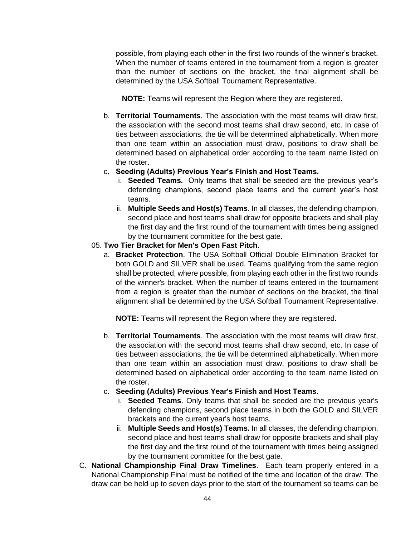possible, from playing each other in the first two rounds of the winner's bracket. When the number of teams entered in the tournament from a region is greater than the number of sections on the bracket, the final alignment shall be determined by the USA Softball Tournament Representative.

**NOTE:** Teams will represent the Region where they are registered.

- b. **Territorial Tournaments**. The association with the most teams will draw first, the association with the second most teams shall draw second, etc. In case of ties between associations, the tie will be determined alphabetically. When more than one team within an association must draw, positions to draw shall be determined based on alphabetical order according to the team name listed on the roster.
- c. **Seeding (Adults) Previous Year's Finish and Host Teams.**
	- i. **Seeded Teams.** Only teams that shall be seeded are the previous year's defending champions, second place teams and the current year's host teams.
	- ii. **Multiple Seeds and Host(s) Teams**. In all classes, the defending champion, second place and host teams shall draw for opposite brackets and shall play the first day and the first round of the tournament with times being assigned by the tournament committee for the best gate.

# 05. **Two Tier Bracket for Men's Open Fast Pitch**.

a. **Bracket Protection**. The USA Softball Official Double Elimination Bracket for both GOLD and SILVER shall be used. Teams qualifying from the same region shall be protected, where possible, from playing each other in the first two rounds of the winner's bracket. When the number of teams entered in the tournament from a region is greater than the number of sections on the bracket, the final alignment shall be determined by the USA Softball Tournament Representative.

**NOTE:** Teams will represent the Region where they are registered.

- b. **Territorial Tournaments**. The association with the most teams will draw first, the association with the second most teams shall draw second, etc. In case of ties between associations, the tie will be determined alphabetically. When more than one team within an association must draw, positions to draw shall be determined based on alphabetical order according to the team name listed on the roster.
- c. **Seeding (Adults) Previous Year's Finish and Host Teams**.
	- i. **Seeded Teams**. Only teams that shall be seeded are the previous year's defending champions, second place teams in both the GOLD and SILVER brackets and the current year's host teams.
	- ii. **Multiple Seeds and Host(s) Teams.** In all classes, the defending champion, second place and host teams shall draw for opposite brackets and shall play the first day and the first round of the tournament with times being assigned by the tournament committee for the best gate.
- C. **National Championship Final Draw Timelines**. Each team properly entered in a National Championship Final must be notified of the time and location of the draw. The draw can be held up to seven days prior to the start of the tournament so teams can be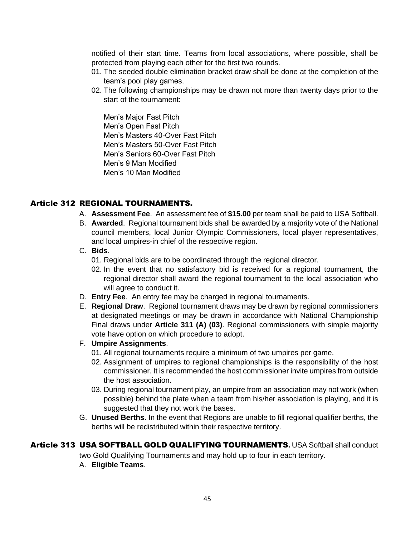notified of their start time. Teams from local associations, where possible, shall be protected from playing each other for the first two rounds.

- 01. The seeded double elimination bracket draw shall be done at the completion of the team's pool play games.
- 02. The following championships may be drawn not more than twenty days prior to the start of the tournament:

Men's Major Fast Pitch Men's Open Fast Pitch Men's Masters 40-Over Fast Pitch Men's Masters 50-Over Fast Pitch Men's Seniors 60-Over Fast Pitch Men's 9 Man Modified Men's 10 Man Modified

### Article 312 REGIONAL TOURNAMENTS.

- A. **Assessment Fee**. An assessment fee of **\$15.00** per team shall be paid to USA Softball.
- B. **Awarded**. Regional tournament bids shall be awarded by a majority vote of the National council members, local Junior Olympic Commissioners, local player representatives, and local umpires-in chief of the respective region.
- C. **Bids**.
	- 01. Regional bids are to be coordinated through the regional director.
	- 02. In the event that no satisfactory bid is received for a regional tournament, the regional director shall award the regional tournament to the local association who will agree to conduct it.
- D. **Entry Fee**. An entry fee may be charged in regional tournaments.
- E. **Regional Draw**. Regional tournament draws may be drawn by regional commissioners at designated meetings or may be drawn in accordance with National Championship Final draws under **Article 311 (A) (03)**. Regional commissioners with simple majority vote have option on which procedure to adopt.

#### F. **Umpire Assignments**.

- 01. All regional tournaments require a minimum of two umpires per game.
- 02. Assignment of umpires to regional championships is the responsibility of the host commissioner. It is recommended the host commissioner invite umpires from outside the host association.
- 03. During regional tournament play, an umpire from an association may not work (when possible) behind the plate when a team from his/her association is playing, and it is suggested that they not work the bases.
- G. **Unused Berths**. In the event that Regions are unable to fill regional qualifier berths, the berths will be redistributed within their respective territory.

# Article 313 USA SOFTBALL GOLD QUALIFYING TOURNAMENTS**.** USA Softball shall conduct

two Gold Qualifying Tournaments and may hold up to four in each territory.

A. **Eligible Teams**.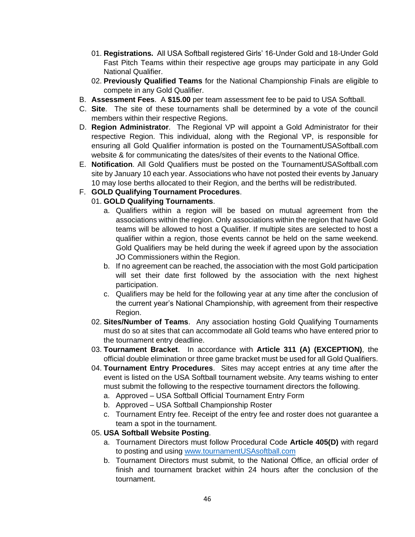- 01. **Registrations.** All USA Softball registered Girls' 16-Under Gold and 18-Under Gold Fast Pitch Teams within their respective age groups may participate in any Gold National Qualifier.
- 02. **Previously Qualified Teams** for the National Championship Finals are eligible to compete in any Gold Qualifier.
- B. **Assessment Fees**. A **\$15.00** per team assessment fee to be paid to USA Softball.
- C. **Site**. The site of these tournaments shall be determined by a vote of the council members within their respective Regions.
- D. **Region Administrator**. The Regional VP will appoint a Gold Administrator for their respective Region. This individual, along with the Regional VP, is responsible for ensuring all Gold Qualifier information is posted on the TournamentUSASoftball.com website & for communicating the dates/sites of their events to the National Office.
- E. **Notification**. All Gold Qualifiers must be posted on the TournamentUSASoftball.com site by January 10 each year. Associations who have not posted their events by January 10 may lose berths allocated to their Region, and the berths will be redistributed.
- F. **GOLD Qualifying Tournament Procedures**.

# 01. **GOLD Qualifying Tournaments**.

- a. Qualifiers within a region will be based on mutual agreement from the associations within the region. Only associations within the region that have Gold teams will be allowed to host a Qualifier. If multiple sites are selected to host a qualifier within a region, those events cannot be held on the same weekend. Gold Qualifiers may be held during the week if agreed upon by the association JO Commissioners within the Region.
- b. If no agreement can be reached, the association with the most Gold participation will set their date first followed by the association with the next highest participation.
- c. Qualifiers may be held for the following year at any time after the conclusion of the current year's National Championship, with agreement from their respective Region.
- 02. **Sites/Number of Teams**. Any association hosting Gold Qualifying Tournaments must do so at sites that can accommodate all Gold teams who have entered prior to the tournament entry deadline.
- 03. **Tournament Bracket**. In accordance with **Article 311 (A) (EXCEPTION)**, the official double elimination or three game bracket must be used for all Gold Qualifiers.
- 04. **Tournament Entry Procedures**. Sites may accept entries at any time after the event is listed on the USA Softball tournament website. Any teams wishing to enter must submit the following to the respective tournament directors the following.
	- a. Approved USA Softball Official Tournament Entry Form
	- b. Approved USA Softball Championship Roster
	- c. Tournament Entry fee. Receipt of the entry fee and roster does not guarantee a team a spot in the tournament.

# 05. **USA Softball Website Posting**.

- a. Tournament Directors must follow Procedural Code **Article 405(D)** with regard to posting and using [www.tournamentUSAsoftball.com](http://www.tournamentusasoftball.com/)
- b. Tournament Directors must submit, to the National Office, an official order of finish and tournament bracket within 24 hours after the conclusion of the tournament.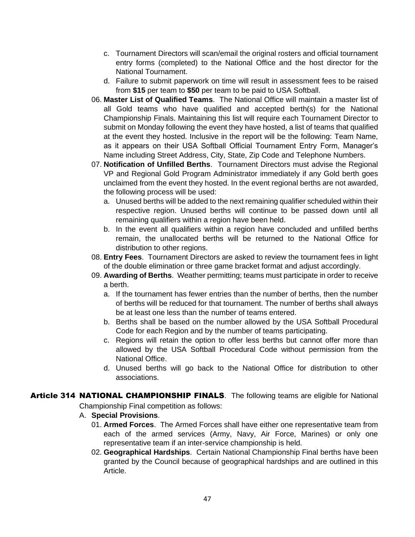- c. Tournament Directors will scan/email the original rosters and official tournament entry forms (completed) to the National Office and the host director for the National Tournament.
- d. Failure to submit paperwork on time will result in assessment fees to be raised from **\$15** per team to **\$50** per team to be paid to USA Softball.
- 06. **Master List of Qualified Teams**. The National Office will maintain a master list of all Gold teams who have qualified and accepted berth(s) for the National Championship Finals. Maintaining this list will require each Tournament Director to submit on Monday following the event they have hosted, a list of teams that qualified at the event they hosted. Inclusive in the report will be the following: Team Name, as it appears on their USA Softball Official Tournament Entry Form, Manager's Name including Street Address, City, State, Zip Code and Telephone Numbers.
- 07. **Notification of Unfilled Berths**. Tournament Directors must advise the Regional VP and Regional Gold Program Administrator immediately if any Gold berth goes unclaimed from the event they hosted. In the event regional berths are not awarded, the following process will be used:
	- a. Unused berths will be added to the next remaining qualifier scheduled within their respective region. Unused berths will continue to be passed down until all remaining qualifiers within a region have been held.
	- b. In the event all qualifiers within a region have concluded and unfilled berths remain, the unallocated berths will be returned to the National Office for distribution to other regions.
- 08. **Entry Fees**. Tournament Directors are asked to review the tournament fees in light of the double elimination or three game bracket format and adjust accordingly.
- 09. **Awarding of Berths**. Weather permitting; teams must participate in order to receive a berth.
	- a. If the tournament has fewer entries than the number of berths, then the number of berths will be reduced for that tournament. The number of berths shall always be at least one less than the number of teams entered.
	- b. Berths shall be based on the number allowed by the USA Softball Procedural Code for each Region and by the number of teams participating.
	- c. Regions will retain the option to offer less berths but cannot offer more than allowed by the USA Softball Procedural Code without permission from the National Office.
	- d. Unused berths will go back to the National Office for distribution to other associations.
- Article 314 NATIONAL CHAMPIONSHIP FINALS. The following teams are eligible for National

Championship Final competition as follows:

- A. **Special Provisions**.
	- 01. **Armed Forces**. The Armed Forces shall have either one representative team from each of the armed services (Army, Navy, Air Force, Marines) or only one representative team if an inter-service championship is held.
	- 02. **Geographical Hardships**. Certain National Championship Final berths have been granted by the Council because of geographical hardships and are outlined in this Article.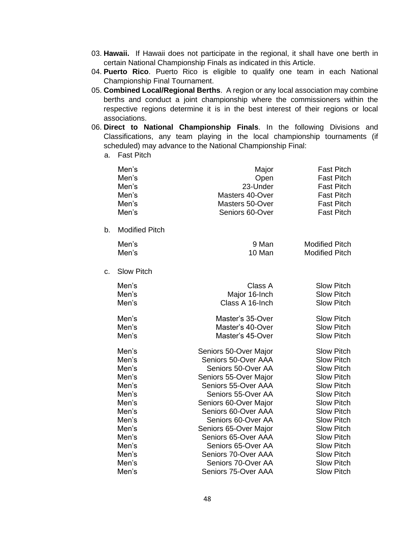- 03. **Hawaii.** If Hawaii does not participate in the regional, it shall have one berth in certain National Championship Finals as indicated in this Article.
- 04. **Puerto Rico**. Puerto Rico is eligible to qualify one team in each National Championship Final Tournament.
- 05. **Combined Local/Regional Berths**. A region or any local association may combine berths and conduct a joint championship where the commissioners within the respective regions determine it is in the best interest of their regions or local associations.
- 06. **Direct to National Championship Finals**. In the following Divisions and Classifications, any team playing in the local championship tournaments (if scheduled) may advance to the National Championship Final:
	- a. Fast Pitch

| Seniors 60-Over                                                                                                                                                                                                                                                                                                                   | <b>Fast Pitch</b><br><b>Fast Pitch</b><br><b>Fast Pitch</b>                                                                                                                                                                                                                                                             |
|-----------------------------------------------------------------------------------------------------------------------------------------------------------------------------------------------------------------------------------------------------------------------------------------------------------------------------------|-------------------------------------------------------------------------------------------------------------------------------------------------------------------------------------------------------------------------------------------------------------------------------------------------------------------------|
|                                                                                                                                                                                                                                                                                                                                   |                                                                                                                                                                                                                                                                                                                         |
| 9 Man<br>10 Man                                                                                                                                                                                                                                                                                                                   | <b>Modified Pitch</b><br><b>Modified Pitch</b>                                                                                                                                                                                                                                                                          |
|                                                                                                                                                                                                                                                                                                                                   |                                                                                                                                                                                                                                                                                                                         |
| Class A<br>Major 16-Inch<br>Class A 16-Inch                                                                                                                                                                                                                                                                                       | <b>Slow Pitch</b><br><b>Slow Pitch</b><br><b>Slow Pitch</b>                                                                                                                                                                                                                                                             |
| Master's 35-Over<br>Master's 40-Over<br>Master's 45-Over                                                                                                                                                                                                                                                                          | <b>Slow Pitch</b><br><b>Slow Pitch</b><br><b>Slow Pitch</b>                                                                                                                                                                                                                                                             |
| Seniors 50-Over Major<br>Seniors 50-Over AAA<br>Seniors 50-Over AA<br>Seniors 55-Over Major<br>Seniors 55-Over AAA<br>Seniors 55-Over AA<br>Seniors 60-Over Major<br>Seniors 60-Over AAA<br>Seniors 60-Over AA<br>Seniors 65-Over Major<br>Seniors 65-Over AAA<br>Seniors 65-Over AA<br>Seniors 70-Over AAA<br>Seniors 70-Over AA | <b>Slow Pitch</b><br><b>Slow Pitch</b><br><b>Slow Pitch</b><br><b>Slow Pitch</b><br><b>Slow Pitch</b><br><b>Slow Pitch</b><br><b>Slow Pitch</b><br><b>Slow Pitch</b><br><b>Slow Pitch</b><br><b>Slow Pitch</b><br><b>Slow Pitch</b><br><b>Slow Pitch</b><br><b>Slow Pitch</b><br><b>Slow Pitch</b><br><b>Slow Pitch</b> |
|                                                                                                                                                                                                                                                                                                                                   | Masters 40-Over<br>Masters 50-Over<br>Seniors 75-Over AAA                                                                                                                                                                                                                                                               |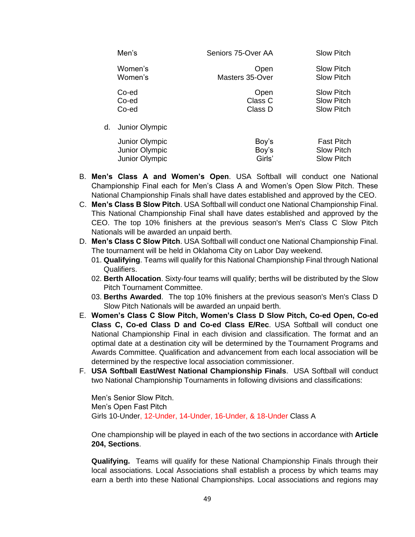|    | Men's          | Seniors 75-Over AA | <b>Slow Pitch</b> |
|----|----------------|--------------------|-------------------|
|    | Women's        | Open               | <b>Slow Pitch</b> |
|    | Women's        | Masters 35-Over    | <b>Slow Pitch</b> |
|    | Co-ed          | Open               | <b>Slow Pitch</b> |
|    | Co-ed          | Class C            | <b>Slow Pitch</b> |
|    | Co-ed          | Class D            | <b>Slow Pitch</b> |
| d. | Junior Olympic |                    |                   |
|    | Junior Olympic | Boy's              | <b>Fast Pitch</b> |
|    | Junior Olympic | Boy's              | <b>Slow Pitch</b> |
|    | Junior Olympic | Girls'             | <b>Slow Pitch</b> |

- B. **Men's Class A and Women's Open**. USA Softball will conduct one National Championship Final each for Men's Class A and Women's Open Slow Pitch. These National Championship Finals shall have dates established and approved by the CEO.
- C. **Men's Class B Slow Pitch**. USA Softball will conduct one National Championship Final. This National Championship Final shall have dates established and approved by the CEO. The top 10% finishers at the previous season's Men's Class C Slow Pitch Nationals will be awarded an unpaid berth.
- D. **Men's Class C Slow Pitch**. USA Softball will conduct one National Championship Final. The tournament will be held in Oklahoma City on Labor Day weekend.
	- 01. **Qualifying**. Teams will qualify for this National Championship Final through National Qualifiers.
	- 02. **Berth Allocation**. Sixty-four teams will qualify; berths will be distributed by the Slow Pitch Tournament Committee.
	- 03. **Berths Awarded**. The top 10% finishers at the previous season's Men's Class D Slow Pitch Nationals will be awarded an unpaid berth.
- E. **Women's Class C Slow Pitch, Women's Class D Slow Pitch, Co-ed Open, Co-ed Class C, Co-ed Class D and Co-ed Class E/Rec**. USA Softball will conduct one National Championship Final in each division and classification. The format and an optimal date at a destination city will be determined by the Tournament Programs and Awards Committee. Qualification and advancement from each local association will be determined by the respective local association commissioner.
- F. **USA Softball East/West National Championship Finals**. USA Softball will conduct two National Championship Tournaments in following divisions and classifications:

Men's Senior Slow Pitch. Men's Open Fast Pitch Girls 10-Under, 12-Under, 14-Under, 16-Under, & 18-Under Class A

One championship will be played in each of the two sections in accordance with **Article 204, Sections**.

**Qualifying.** Teams will qualify for these National Championship Finals through their local associations. Local Associations shall establish a process by which teams may earn a berth into these National Championships. Local associations and regions may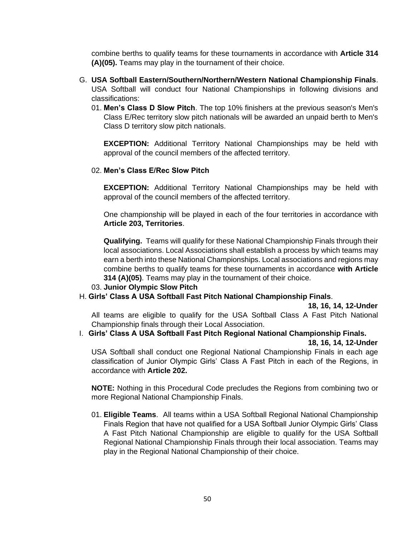combine berths to qualify teams for these tournaments in accordance with **Article 314 (A)(05).** Teams may play in the tournament of their choice.

- G. **USA Softball Eastern/Southern/Northern/Western National Championship Finals**. USA Softball will conduct four National Championships in following divisions and classifications:
	- 01. **Men's Class D Slow Pitch**. The top 10% finishers at the previous season's Men's Class E/Rec territory slow pitch nationals will be awarded an unpaid berth to Men's Class D territory slow pitch nationals.

**EXCEPTION:** Additional Territory National Championships may be held with approval of the council members of the affected territory.

#### 02. **Men's Class E/Rec Slow Pitch**

**EXCEPTION:** Additional Territory National Championships may be held with approval of the council members of the affected territory.

One championship will be played in each of the four territories in accordance with **Article 203, Territories**.

**Qualifying.** Teams will qualify for these National Championship Finals through their local associations. Local Associations shall establish a process by which teams may earn a berth into these National Championships. Local associations and regions may combine berths to qualify teams for these tournaments in accordance **with Article 314 (A)(05)**. Teams may play in the tournament of their choice.

#### 03. **Junior Olympic Slow Pitch**

#### H. **Girls' Class A USA Softball Fast Pitch National Championship Finals**.

#### **18, 16, 14, 12-Under**

All teams are eligible to qualify for the USA Softball Class A Fast Pitch National Championship finals through their Local Association.

# I. **Girls' Class A USA Softball Fast Pitch Regional National Championship Finals.**

#### **18, 16, 14, 12-Under**

USA Softball shall conduct one Regional National Championship Finals in each age classification of Junior Olympic Girls' Class A Fast Pitch in each of the Regions, in accordance with **Article 202.**

**NOTE:** Nothing in this Procedural Code precludes the Regions from combining two or more Regional National Championship Finals.

01. **Eligible Teams**. All teams within a USA Softball Regional National Championship Finals Region that have not qualified for a USA Softball Junior Olympic Girls' Class A Fast Pitch National Championship are eligible to qualify for the USA Softball Regional National Championship Finals through their local association. Teams may play in the Regional National Championship of their choice.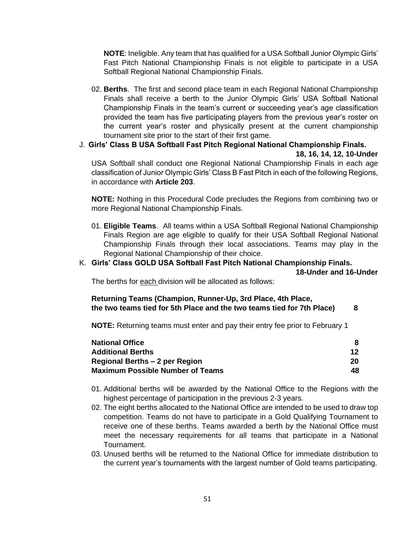**NOTE**: Ineligible. Any team that has qualified for a USA Softball Junior Olympic Girls' Fast Pitch National Championship Finals is not eligible to participate in a USA Softball Regional National Championship Finals.

- 02. **Berths**. The first and second place team in each Regional National Championship Finals shall receive a berth to the Junior Olympic Girls' USA Softball National Championship Finals in the team's current or succeeding year's age classification provided the team has five participating players from the previous year's roster on the current year's roster and physically present at the current championship tournament site prior to the start of their first game.
- J. **Girls' Class B USA Softball Fast Pitch Regional National Championship Finals. 18, 16, 14, 12, 10-Under** USA Softball shall conduct one Regional National Championship Finals in each age classification of Junior Olympic Girls' Class B Fast Pitch in each of the following Regions, in accordance with **Article 203**.

**NOTE:** Nothing in this Procedural Code precludes the Regions from combining two or more Regional National Championship Finals.

01. **Eligible Teams**. All teams within a USA Softball Regional National Championship Finals Region are age eligible to qualify for their USA Softball Regional National Championship Finals through their local associations. Teams may play in the Regional National Championship of their choice.

# K. **Girls' Class GOLD USA Softball Fast Pitch National Championship Finals.**

**18-Under and 16-Under**

The berths for each division will be allocated as follows:

#### **Returning Teams (Champion, Runner-Up, 3rd Place, 4th Place, the two teams tied for 5th Place and the two teams tied for 7th Place) 8**

**NOTE:** Returning teams must enter and pay their entry fee prior to February 1

| <b>National Office</b>                  |     |
|-----------------------------------------|-----|
| <b>Additional Berths</b>                | 12  |
| Regional Berths - 2 per Region          | 20  |
| <b>Maximum Possible Number of Teams</b> | 48. |

- 01. Additional berths will be awarded by the National Office to the Regions with the highest percentage of participation in the previous 2-3 years.
- 02. The eight berths allocated to the National Office are intended to be used to draw top competition. Teams do not have to participate in a Gold Qualifying Tournament to receive one of these berths. Teams awarded a berth by the National Office must meet the necessary requirements for all teams that participate in a National Tournament.
- 03. Unused berths will be returned to the National Office for immediate distribution to the current year's tournaments with the largest number of Gold teams participating.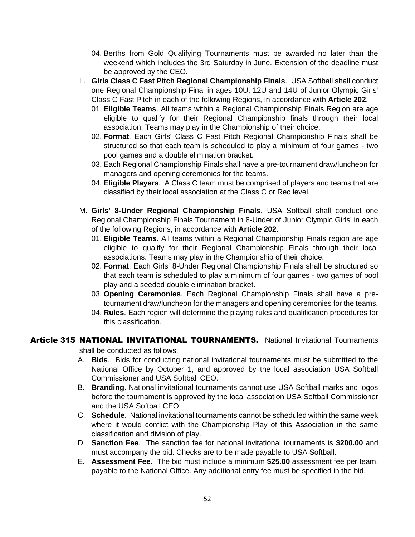- 04. Berths from Gold Qualifying Tournaments must be awarded no later than the weekend which includes the 3rd Saturday in June. Extension of the deadline must be approved by the CEO.
- L. **Girls Class C Fast Pitch Regional Championship Finals**. USA Softball shall conduct one Regional Championship Final in ages 10U, 12U and 14U of Junior Olympic Girls' Class C Fast Pitch in each of the following Regions, in accordance with **Article 202**.
	- 01. **Eligible Teams**. All teams within a Regional Championship Finals Region are age eligible to qualify for their Regional Championship finals through their local association. Teams may play in the Championship of their choice.
	- 02. **Format**. Each Girls' Class C Fast Pitch Regional Championship Finals shall be structured so that each team is scheduled to play a minimum of four games - two pool games and a double elimination bracket.
	- 03. Each Regional Championship Finals shall have a pre-tournament draw/luncheon for managers and opening ceremonies for the teams.
	- 04. **Eligible Players**. A Class C team must be comprised of players and teams that are classified by their local association at the Class C or Rec level.
- M. **Girls' 8-Under Regional Championship Finals**. USA Softball shall conduct one Regional Championship Finals Tournament in 8-Under of Junior Olympic Girls' in each of the following Regions, in accordance with **Article 202**.
	- 01. **Eligible Teams**. All teams within a Regional Championship Finals region are age eligible to qualify for their Regional Championship Finals through their local associations. Teams may play in the Championship of their choice.
	- 02. **Format**. Each Girls' 8-Under Regional Championship Finals shall be structured so that each team is scheduled to play a minimum of four games - two games of pool play and a seeded double elimination bracket.
	- 03. **Opening Ceremonies**. Each Regional Championship Finals shall have a pretournament draw/luncheon for the managers and opening ceremonies for the teams.
	- 04. **Rules**. Each region will determine the playing rules and qualification procedures for this classification.

# **Article 315 NATIONAL INVITATIONAL TOURNAMENTS.** National Invitational Tournaments

shall be conducted as follows:

- A. **Bids**. Bids for conducting national invitational tournaments must be submitted to the National Office by October 1, and approved by the local association USA Softball Commissioner and USA Softball CEO.
- B. **Branding**. National invitational tournaments cannot use USA Softball marks and logos before the tournament is approved by the local association USA Softball Commissioner and the USA Softball CEO.
- C. **Schedule**. National invitational tournaments cannot be scheduled within the same week where it would conflict with the Championship Play of this Association in the same classification and division of play.
- D. **Sanction Fee**. The sanction fee for national invitational tournaments is **\$200.00** and must accompany the bid. Checks are to be made payable to USA Softball.
- E. **Assessment Fee**. The bid must include a minimum **\$25.00** assessment fee per team, payable to the National Office. Any additional entry fee must be specified in the bid.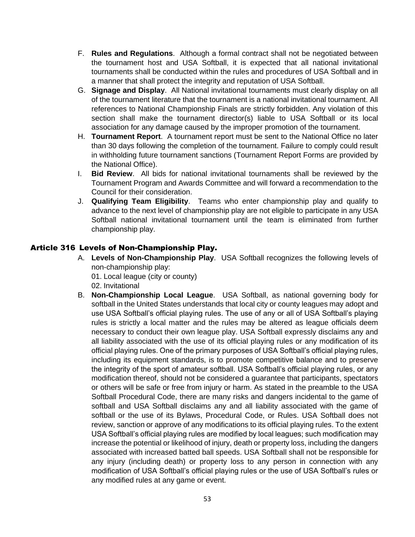- F. **Rules and Regulations**. Although a formal contract shall not be negotiated between the tournament host and USA Softball, it is expected that all national invitational tournaments shall be conducted within the rules and procedures of USA Softball and in a manner that shall protect the integrity and reputation of USA Softball.
- G. **Signage and Display**. All National invitational tournaments must clearly display on all of the tournament literature that the tournament is a national invitational tournament. All references to National Championship Finals are strictly forbidden. Any violation of this section shall make the tournament director(s) liable to USA Softball or its local association for any damage caused by the improper promotion of the tournament.
- H. **Tournament Report**. A tournament report must be sent to the National Office no later than 30 days following the completion of the tournament. Failure to comply could result in withholding future tournament sanctions (Tournament Report Forms are provided by the National Office).
- I. **Bid Review**. All bids for national invitational tournaments shall be reviewed by the Tournament Program and Awards Committee and will forward a recommendation to the Council for their consideration.
- J. **Qualifying Team Eligibility**. Teams who enter championship play and qualify to advance to the next level of championship play are not eligible to participate in any USA Softball national invitational tournament until the team is eliminated from further championship play.

# Article 316 Levels of Non-Championship Play.

- A. **Levels of Non-Championship Play**. USA Softball recognizes the following levels of non-championship play: 01. Local league (city or county)
	- 02. Invitational
- B. **Non-Championship Local League**. USA Softball, as national governing body for softball in the United States understands that local city or county leagues may adopt and use USA Softball's official playing rules. The use of any or all of USA Softball's playing rules is strictly a local matter and the rules may be altered as league officials deem necessary to conduct their own league play. USA Softball expressly disclaims any and all liability associated with the use of its official playing rules or any modification of its official playing rules. One of the primary purposes of USA Softball's official playing rules, including its equipment standards, is to promote competitive balance and to preserve the integrity of the sport of amateur softball. USA Softball's official playing rules, or any modification thereof, should not be considered a guarantee that participants, spectators or others will be safe or free from injury or harm. As stated in the preamble to the USA Softball Procedural Code, there are many risks and dangers incidental to the game of softball and USA Softball disclaims any and all liability associated with the game of softball or the use of its Bylaws, Procedural Code, or Rules. USA Softball does not review, sanction or approve of any modifications to its official playing rules. To the extent USA Softball's official playing rules are modified by local leagues; such modification may increase the potential or likelihood of injury, death or property loss, including the dangers associated with increased batted ball speeds. USA Softball shall not be responsible for any injury (including death) or property loss to any person in connection with any modification of USA Softball's official playing rules or the use of USA Softball's rules or any modified rules at any game or event.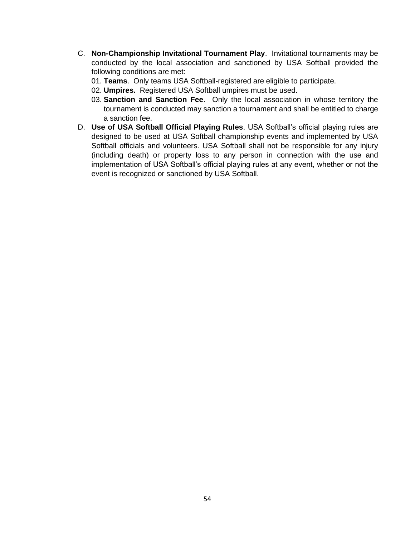- C. **Non-Championship Invitational Tournament Play**. Invitational tournaments may be conducted by the local association and sanctioned by USA Softball provided the following conditions are met:
	- 01. **Teams**. Only teams USA Softball-registered are eligible to participate.
	- 02. **Umpires.** Registered USA Softball umpires must be used.
	- 03. **Sanction and Sanction Fee**. Only the local association in whose territory the tournament is conducted may sanction a tournament and shall be entitled to charge a sanction fee.
- D. **Use of USA Softball Official Playing Rules**. USA Softball's official playing rules are designed to be used at USA Softball championship events and implemented by USA Softball officials and volunteers. USA Softball shall not be responsible for any injury (including death) or property loss to any person in connection with the use and implementation of USA Softball's official playing rules at any event, whether or not the event is recognized or sanctioned by USA Softball.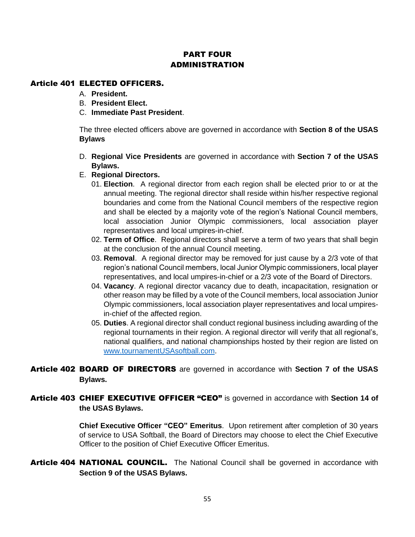# PART FOUR **ADMINISTRATION**

# Article 401 ELECTED OFFICERS.

- A. **President.**
- B. **President Elect.**
- C. **Immediate Past President**.

The three elected officers above are governed in accordance with **Section 8 of the USAS Bylaws**

- D. **Regional Vice Presidents** are governed in accordance with **Section 7 of the USAS Bylaws.**
- E. **Regional Directors.**
	- 01. **Election**. A regional director from each region shall be elected prior to or at the annual meeting. The regional director shall reside within his/her respective regional boundaries and come from the National Council members of the respective region and shall be elected by a majority vote of the region's National Council members, local association Junior Olympic commissioners, local association player representatives and local umpires-in-chief.
	- 02. **Term of Office**. Regional directors shall serve a term of two years that shall begin at the conclusion of the annual Council meeting.
	- 03. **Removal**. A regional director may be removed for just cause by a 2/3 vote of that region's national Council members, local Junior Olympic commissioners, local player representatives, and local umpires-in-chief or a 2/3 vote of the Board of Directors.
	- 04. **Vacancy**. A regional director vacancy due to death, incapacitation, resignation or other reason may be filled by a vote of the Council members, local association Junior Olympic commissioners, local association player representatives and local umpiresin-chief of the affected region.
	- 05. **Duties**. A regional director shall conduct regional business including awarding of the regional tournaments in their region. A regional director will verify that all regional's, national qualifiers, and national championships hosted by their region are listed on [www.tournamentUSAsoftball.com.](http://www.tournamentusasoftball.com/)
- Article 402 BOARD OF DIRECTORS are governed in accordance with **Section 7 of the USAS Bylaws.**

# Article 403 CHIEF EXECUTIVE OFFICER "CEO" is governed in accordance with Section 14 of **the USAS Bylaws.**

**Chief Executive Officer "CEO" Emeritus**. Upon retirement after completion of 30 years of service to USA Softball, the Board of Directors may choose to elect the Chief Executive Officer to the position of Chief Executive Officer Emeritus.

Article 404 NATIONAL COUNCIL. The National Council shall be governed in accordance with **Section 9 of the USAS Bylaws.**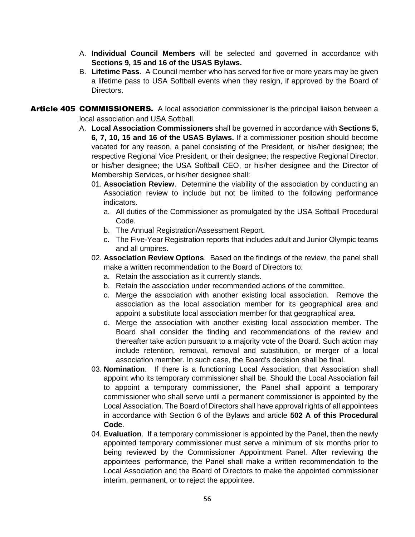- A. **Individual Council Members** will be selected and governed in accordance with **Sections 9, 15 and 16 of the USAS Bylaws.**
- B. **Lifetime Pass**. A Council member who has served for five or more years may be given a lifetime pass to USA Softball events when they resign, if approved by the Board of Directors.

Article 405 COMMISSIONERS. A local association commissioner is the principal liaison between a local association and USA Softball.

- A. **Local Association Commissioners** shall be governed in accordance with **Sections 5, 6, 7, 10, 15 and 16 of the USAS Bylaws.** If a commissioner position should become vacated for any reason, a panel consisting of the President, or his/her designee; the respective Regional Vice President, or their designee; the respective Regional Director, or his/her designee; the USA Softball CEO, or his/her designee and the Director of Membership Services, or his/her designee shall:
	- 01. **Association Review**. Determine the viability of the association by conducting an Association review to include but not be limited to the following performance indicators.
		- a. All duties of the Commissioner as promulgated by the USA Softball Procedural Code.
		- b. The Annual Registration/Assessment Report.
		- c. The Five-Year Registration reports that includes adult and Junior Olympic teams and all umpires.
	- 02. **Association Review Options**. Based on the findings of the review, the panel shall make a written recommendation to the Board of Directors to:
		- a. Retain the association as it currently stands.
		- b. Retain the association under recommended actions of the committee.
		- c. Merge the association with another existing local association. Remove the association as the local association member for its geographical area and appoint a substitute local association member for that geographical area.
		- d. Merge the association with another existing local association member. The Board shall consider the finding and recommendations of the review and thereafter take action pursuant to a majority vote of the Board. Such action may include retention, removal, removal and substitution, or merger of a local association member. In such case, the Board's decision shall be final.
	- 03. **Nomination**. If there is a functioning Local Association, that Association shall appoint who its temporary commissioner shall be. Should the Local Association fail to appoint a temporary commissioner, the Panel shall appoint a temporary commissioner who shall serve until a permanent commissioner is appointed by the Local Association. The Board of Directors shall have approval rights of all appointees in accordance with Section 6 of the Bylaws and article **502 A of this Procedural Code**.
	- 04. **Evaluation**. If a temporary commissioner is appointed by the Panel, then the newly appointed temporary commissioner must serve a minimum of six months prior to being reviewed by the Commissioner Appointment Panel. After reviewing the appointees' performance, the Panel shall make a written recommendation to the Local Association and the Board of Directors to make the appointed commissioner interim, permanent, or to reject the appointee.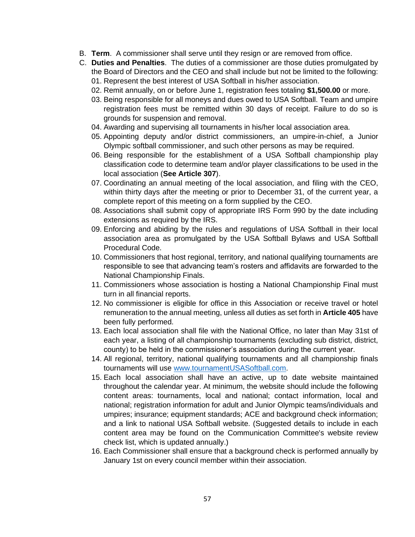- B. **Term**. A commissioner shall serve until they resign or are removed from office.
- C. **Duties and Penalties**. The duties of a commissioner are those duties promulgated by the Board of Directors and the CEO and shall include but not be limited to the following:
	- 01. Represent the best interest of USA Softball in his/her association.
	- 02. Remit annually, on or before June 1, registration fees totaling **\$1,500.00** or more.
	- 03. Being responsible for all moneys and dues owed to USA Softball. Team and umpire registration fees must be remitted within 30 days of receipt. Failure to do so is grounds for suspension and removal.
	- 04. Awarding and supervising all tournaments in his/her local association area.
	- 05. Appointing deputy and/or district commissioners, an umpire-in-chief, a Junior Olympic softball commissioner, and such other persons as may be required.
	- 06. Being responsible for the establishment of a USA Softball championship play classification code to determine team and/or player classifications to be used in the local association (**See Article 307**).
	- 07. Coordinating an annual meeting of the local association, and filing with the CEO, within thirty days after the meeting or prior to December 31, of the current year, a complete report of this meeting on a form supplied by the CEO.
	- 08. Associations shall submit copy of appropriate IRS Form 990 by the date including extensions as required by the IRS.
	- 09. Enforcing and abiding by the rules and regulations of USA Softball in their local association area as promulgated by the USA Softball Bylaws and USA Softball Procedural Code.
	- 10. Commissioners that host regional, territory, and national qualifying tournaments are responsible to see that advancing team's rosters and affidavits are forwarded to the National Championship Finals.
	- 11. Commissioners whose association is hosting a National Championship Final must turn in all financial reports.
	- 12. No commissioner is eligible for office in this Association or receive travel or hotel remuneration to the annual meeting, unless all duties as set forth in **Article 405** have been fully performed.
	- 13. Each local association shall file with the National Office, no later than May 31st of each year, a listing of all championship tournaments (excluding sub district, district, county) to be held in the commissioner's association during the current year.
	- 14. All regional, territory, national qualifying tournaments and all championship finals tournaments will use [www.tournamentUSASoftball.com.](http://www.tournamentusasoftball.com/)
	- 15. Each local association shall have an active, up to date website maintained throughout the calendar year. At minimum, the website should include the following content areas: tournaments, local and national; contact information, local and national; registration information for adult and Junior Olympic teams/individuals and umpires; insurance; equipment standards; ACE and background check information; and a link to national USA Softball website. (Suggested details to include in each content area may be found on the Communication Committee's website review check list, which is updated annually.)
	- 16. Each Commissioner shall ensure that a background check is performed annually by January 1st on every council member within their association.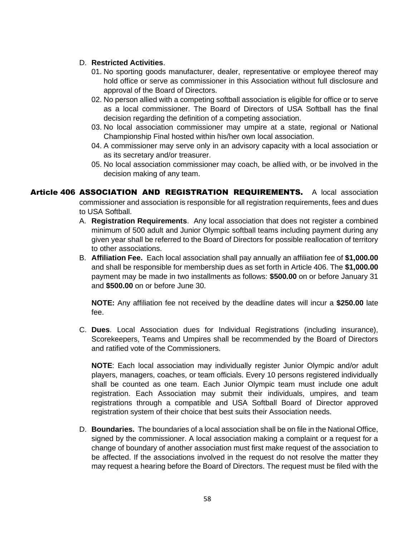#### D. **Restricted Activities**.

- 01. No sporting goods manufacturer, dealer, representative or employee thereof may hold office or serve as commissioner in this Association without full disclosure and approval of the Board of Directors.
- 02. No person allied with a competing softball association is eligible for office or to serve as a local commissioner. The Board of Directors of USA Softball has the final decision regarding the definition of a competing association.
- 03. No local association commissioner may umpire at a state, regional or National Championship Final hosted within his/her own local association.
- 04. A commissioner may serve only in an advisory capacity with a local association or as its secretary and/or treasurer.
- 05. No local association commissioner may coach, be allied with, or be involved in the decision making of any team.

Article 406 ASSOCIATION AND REGISTRATION REQUIREMENTS. A local association commissioner and association is responsible for all registration requirements, fees and dues to USA Softball.

- A. **Registration Requirements**. Any local association that does not register a combined minimum of 500 adult and Junior Olympic softball teams including payment during any given year shall be referred to the Board of Directors for possible reallocation of territory to other associations.
- B. **Affiliation Fee.** Each local association shall pay annually an affiliation fee of **\$1,000.00**  and shall be responsible for membership dues as set forth in Article 406. The **\$1,000.00** payment may be made in two installments as follows: **\$500.00** on or before January 31 and **\$500.00** on or before June 30.

**NOTE:** Any affiliation fee not received by the deadline dates will incur a **\$250.00** late fee.

C. **Dues**. Local Association dues for Individual Registrations (including insurance), Scorekeepers, Teams and Umpires shall be recommended by the Board of Directors and ratified vote of the Commissioners.

**NOTE**: Each local association may individually register Junior Olympic and/or adult players, managers, coaches, or team officials. Every 10 persons registered individually shall be counted as one team. Each Junior Olympic team must include one adult registration. Each Association may submit their individuals, umpires, and team registrations through a compatible and USA Softball Board of Director approved registration system of their choice that best suits their Association needs.

D. **Boundaries.** The boundaries of a local association shall be on file in the National Office, signed by the commissioner. A local association making a complaint or a request for a change of boundary of another association must first make request of the association to be affected. If the associations involved in the request do not resolve the matter they may request a hearing before the Board of Directors. The request must be filed with the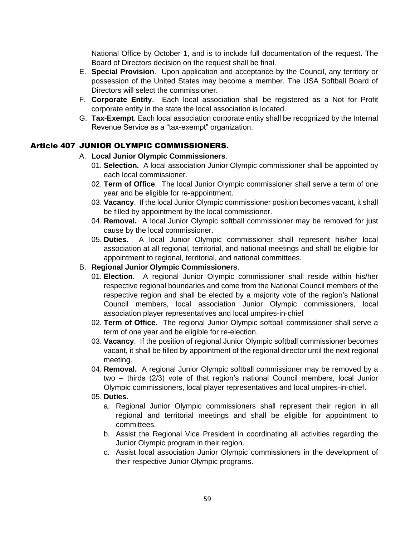National Office by October 1, and is to include full documentation of the request. The Board of Directors decision on the request shall be final.

- E. **Special Provision**. Upon application and acceptance by the Council, any territory or possession of the United States may become a member. The USA Softball Board of Directors will select the commissioner.
- F. **Corporate Entity**. Each local association shall be registered as a Not for Profit corporate entity in the state the local association is located.
- G. **Tax-Exempt**. Each local association corporate entity shall be recognized by the Internal Revenue Service as a "tax-exempt" organization.

# Article 407 JUNIOR OLYMPIC COMMISSIONERS.

#### A. **Local Junior Olympic Commissioners**.

- 01. **Selection.** A local association Junior Olympic commissioner shall be appointed by each local commissioner.
- 02. **Term of Office**. The local Junior Olympic commissioner shall serve a term of one year and be eligible for re-appointment.
- 03. **Vacancy**. If the local Junior Olympic commissioner position becomes vacant, it shall be filled by appointment by the local commissioner.
- 04. **Removal.** A local Junior Olympic softball commissioner may be removed for just cause by the local commissioner.
- 05. **Duties**. A local Junior Olympic commissioner shall represent his/her local association at all regional, territorial, and national meetings and shall be eligible for appointment to regional, territorial, and national committees.

#### B. **Regional Junior Olympic Commissioners**.

- 01. **Election**. A regional Junior Olympic commissioner shall reside within his/her respective regional boundaries and come from the National Council members of the respective region and shall be elected by a majority vote of the region's National Council members, local association Junior Olympic commissioners, local association player representatives and local umpires-in-chief
- 02. **Term of Office**. The regional Junior Olympic softball commissioner shall serve a term of one year and be eligible for re-election.
- 03. **Vacancy**. If the position of regional Junior Olympic softball commissioner becomes vacant, it shall be filled by appointment of the regional director until the next regional meeting.
- 04. **Removal.** A regional Junior Olympic softball commissioner may be removed by a two – thirds (2/3) vote of that region's national Council members, local Junior Olympic commissioners, local player representatives and local umpires-in-chief.

#### 05. **Duties.**

- a. Regional Junior Olympic commissioners shall represent their region in all regional and territorial meetings and shall be eligible for appointment to committees.
- b. Assist the Regional Vice President in coordinating all activities regarding the Junior Olympic program in their region.
- c. Assist local association Junior Olympic commissioners in the development of their respective Junior Olympic programs.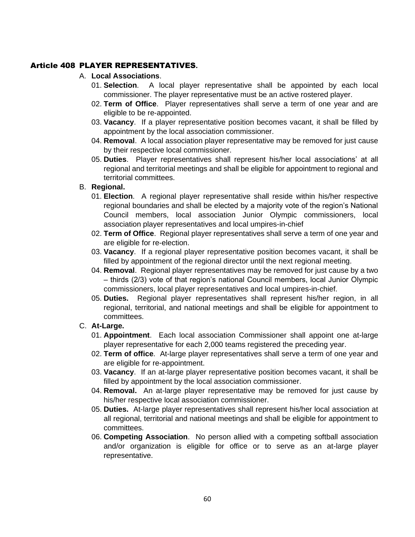# Article 408 PLAYER REPRESENTATIVES**.**

# A. **Local Associations**.

- 01. **Selection**. A local player representative shall be appointed by each local commissioner. The player representative must be an active rostered player.
- 02. **Term of Office**. Player representatives shall serve a term of one year and are eligible to be re-appointed.
- 03. **Vacancy**. If a player representative position becomes vacant, it shall be filled by appointment by the local association commissioner.
- 04. **Removal**. A local association player representative may be removed for just cause by their respective local commissioner.
- 05. **Duties**. Player representatives shall represent his/her local associations' at all regional and territorial meetings and shall be eligible for appointment to regional and territorial committees.

### B. **Regional.**

- 01. **Election**. A regional player representative shall reside within his/her respective regional boundaries and shall be elected by a majority vote of the region's National Council members, local association Junior Olympic commissioners, local association player representatives and local umpires-in-chief
- 02. **Term of Office**. Regional player representatives shall serve a term of one year and are eligible for re-election.
- 03. **Vacancy**. If a regional player representative position becomes vacant, it shall be filled by appointment of the regional director until the next regional meeting.
- 04. **Removal**. Regional player representatives may be removed for just cause by a two – thirds (2/3) vote of that region's national Council members, local Junior Olympic commissioners, local player representatives and local umpires-in-chief.
- 05. **Duties.** Regional player representatives shall represent his/her region, in all regional, territorial, and national meetings and shall be eligible for appointment to committees.

### C. **At-Large.**

- 01. **Appointment**. Each local association Commissioner shall appoint one at-large player representative for each 2,000 teams registered the preceding year.
- 02. **Term of office**. At-large player representatives shall serve a term of one year and are eligible for re-appointment.
- 03. **Vacancy**. If an at-large player representative position becomes vacant, it shall be filled by appointment by the local association commissioner.
- 04. **Removal.** An at-large player representative may be removed for just cause by his/her respective local association commissioner.
- 05. **Duties.** At-large player representatives shall represent his/her local association at all regional, territorial and national meetings and shall be eligible for appointment to committees.
- 06. **Competing Association**. No person allied with a competing softball association and/or organization is eligible for office or to serve as an at-large player representative.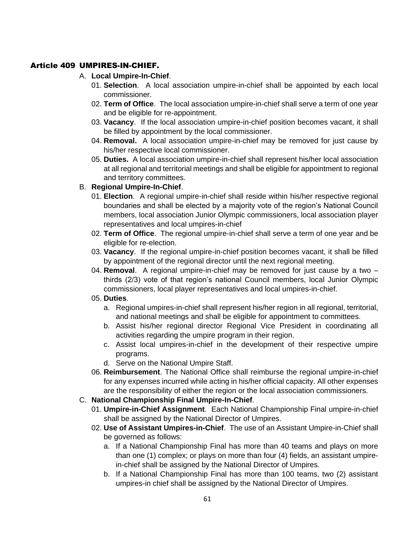# Article 409 UMPIRES-IN-CHIEF.

# A. **Local Umpire-In-Chief**.

- 01. **Selection**. A local association umpire-in-chief shall be appointed by each local commissioner.
- 02. **Term of Office**. The local association umpire-in-chief shall serve a term of one year and be eligible for re-appointment.
- 03. **Vacancy**. If the local association umpire-in-chief position becomes vacant, it shall be filled by appointment by the local commissioner.
- 04. **Removal.** A local association umpire-in-chief may be removed for just cause by his/her respective local commissioner.
- 05. **Duties.** A local association umpire-in-chief shall represent his/her local association at all regional and territorial meetings and shall be eligible for appointment to regional and territory committees.

# B. **Regional Umpire-In-Chief**.

- 01. **Election**. A regional umpire-in-chief shall reside within his/her respective regional boundaries and shall be elected by a majority vote of the region's National Council members, local association Junior Olympic commissioners, local association player representatives and local umpires-in-chief
- 02. **Term of Office**. The regional umpire-in-chief shall serve a term of one year and be eligible for re-election.
- 03. **Vacancy**. If the regional umpire-in-chief position becomes vacant, it shall be filled by appointment of the regional director until the next regional meeting.
- 04. **Removal**. A regional umpire-in-chief may be removed for just cause by a two thirds (2/3) vote of that region's national Council members, local Junior Olympic commissioners, local player representatives and local umpires-in-chief.
- 05. **Duties**.
	- a. Regional umpires-in-chief shall represent his/her region in all regional, territorial, and national meetings and shall be eligible for appointment to committees.
	- b. Assist his/her regional director Regional Vice President in coordinating all activities regarding the umpire program in their region.
	- c. Assist local umpires-in-chief in the development of their respective umpire programs.
	- d. Serve on the National Umpire Staff.
- 06. **Reimbursement**. The National Office shall reimburse the regional umpire-in-chief for any expenses incurred while acting in his/her official capacity. All other expenses are the responsibility of either the region or the local association commissioners.
- C. **National Championship Final Umpire-In-Chief**.
	- 01. **Umpire-in-Chief Assignment**. Each National Championship Final umpire-in-chief shall be assigned by the National Director of Umpires.
	- 02. **Use of Assistant Umpires-in-Chief**. The use of an Assistant Umpire-in-Chief shall be governed as follows:
		- a. If a National Championship Final has more than 40 teams and plays on more than one (1) complex; or plays on more than four (4) fields, an assistant umpirein-chief shall be assigned by the National Director of Umpires.
		- b. If a National Championship Final has more than 100 teams, two (2) assistant umpires-in chief shall be assigned by the National Director of Umpires.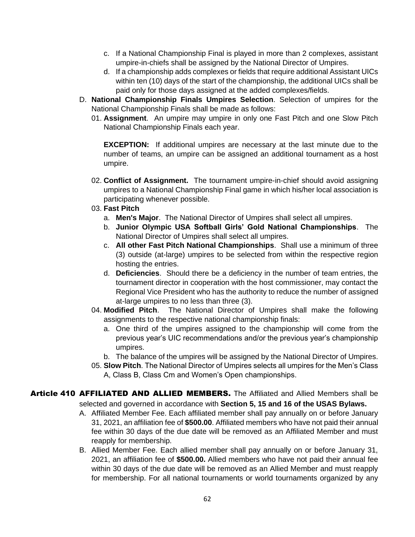- c. If a National Championship Final is played in more than 2 complexes, assistant umpire-in-chiefs shall be assigned by the National Director of Umpires.
- d. If a championship adds complexes or fields that require additional Assistant UICs within ten (10) days of the start of the championship, the additional UICs shall be paid only for those days assigned at the added complexes/fields.
- D. **National Championship Finals Umpires Selection**. Selection of umpires for the National Championship Finals shall be made as follows:
	- 01. **Assignment**. An umpire may umpire in only one Fast Pitch and one Slow Pitch National Championship Finals each year.

**EXCEPTION:** If additional umpires are necessary at the last minute due to the number of teams, an umpire can be assigned an additional tournament as a host umpire.

- 02. **Conflict of Assignment.** The tournament umpire-in-chief should avoid assigning umpires to a National Championship Final game in which his/her local association is participating whenever possible.
- 03. **Fast Pitch**
	- a. **Men's Major**. The National Director of Umpires shall select all umpires.
	- b. **Junior Olympic USA Softball Girls' Gold National Championships**. The National Director of Umpires shall select all umpires.
	- c. **All other Fast Pitch National Championships**. Shall use a minimum of three (3) outside (at-large) umpires to be selected from within the respective region hosting the entries.
	- d. **Deficiencies**. Should there be a deficiency in the number of team entries, the tournament director in cooperation with the host commissioner, may contact the Regional Vice President who has the authority to reduce the number of assigned at-large umpires to no less than three (3).
- 04. **Modified Pitch**. The National Director of Umpires shall make the following assignments to the respective national championship finals:
	- a. One third of the umpires assigned to the championship will come from the previous year's UIC recommendations and/or the previous year's championship umpires.
	- b. The balance of the umpires will be assigned by the National Director of Umpires.
- 05. **Slow Pitch**. The National Director of Umpires selects all umpires for the Men's Class A, Class B, Class Cm and Women's Open championships.
- Article 410 AFFILIATED AND ALLIED MEMBERS. The Affiliated and Allied Members shall be selected and governed in accordance with **Section 5, 15 and 16 of the USAS Bylaws.**
	- A. Affiliated Member Fee. Each affiliated member shall pay annually on or before January 31, 2021, an affiliation fee of **\$500.00**. Affiliated members who have not paid their annual fee within 30 days of the due date will be removed as an Affiliated Member and must reapply for membership.
	- B. Allied Member Fee. Each allied member shall pay annually on or before January 31, 2021, an affiliation fee of **\$500.00.** Allied members who have not paid their annual fee within 30 days of the due date will be removed as an Allied Member and must reapply for membership. For all national tournaments or world tournaments organized by any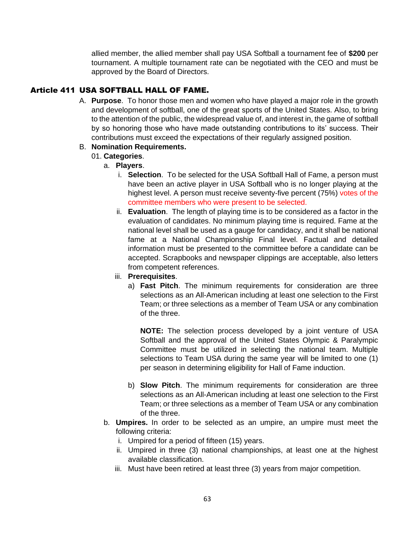allied member, the allied member shall pay USA Softball a tournament fee of **\$200** per tournament. A multiple tournament rate can be negotiated with the CEO and must be approved by the Board of Directors.

# Article 411 USA SOFTBALL HALL OF FAME.

A. **Purpose**. To honor those men and women who have played a major role in the growth and development of softball, one of the great sports of the United States. Also, to bring to the attention of the public, the widespread value of, and interest in, the game of softball by so honoring those who have made outstanding contributions to its' success. Their contributions must exceed the expectations of their regularly assigned position.

# B. **Nomination Requirements.**

- 01. **Categories**.
	- a. **Players**.
		- i. **Selection**. To be selected for the USA Softball Hall of Fame, a person must have been an active player in USA Softball who is no longer playing at the highest level. A person must receive seventy-five percent (75%) votes of the committee members who were present to be selected.
		- ii. **Evaluation**. The length of playing time is to be considered as a factor in the evaluation of candidates. No minimum playing time is required. Fame at the national level shall be used as a gauge for candidacy, and it shall be national fame at a National Championship Final level. Factual and detailed information must be presented to the committee before a candidate can be accepted. Scrapbooks and newspaper clippings are acceptable, also letters from competent references.
		- iii. **Prerequisites**.
			- a) **Fast Pitch**. The minimum requirements for consideration are three selections as an All-American including at least one selection to the First Team; or three selections as a member of Team USA or any combination of the three.

**NOTE:** The selection process developed by a joint venture of USA Softball and the approval of the United States Olympic & Paralympic Committee must be utilized in selecting the national team. Multiple selections to Team USA during the same year will be limited to one (1) per season in determining eligibility for Hall of Fame induction.

- b) **Slow Pitch**. The minimum requirements for consideration are three selections as an All-American including at least one selection to the First Team; or three selections as a member of Team USA or any combination of the three.
- b. **Umpires.** In order to be selected as an umpire, an umpire must meet the following criteria:
	- i. Umpired for a period of fifteen (15) years.
	- ii. Umpired in three (3) national championships, at least one at the highest available classification.
	- iii. Must have been retired at least three (3) years from major competition.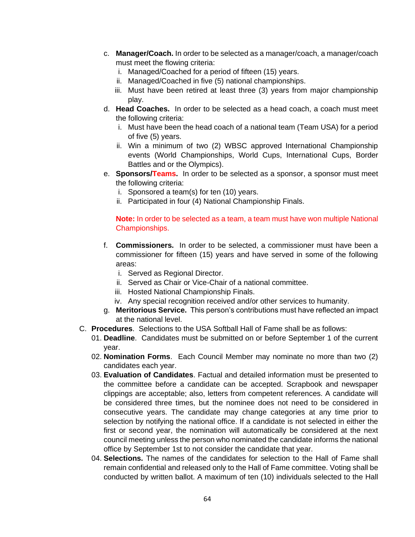- c. **Manager/Coach.** In order to be selected as a manager/coach, a manager/coach must meet the flowing criteria:
	- i. Managed/Coached for a period of fifteen (15) years.
	- ii. Managed/Coached in five (5) national championships.
	- iii. Must have been retired at least three (3) years from major championship play.
- d. **Head Coaches.** In order to be selected as a head coach, a coach must meet the following criteria:
	- i. Must have been the head coach of a national team (Team USA) for a period of five (5) years.
	- ii. Win a minimum of two (2) WBSC approved International Championship events (World Championships, World Cups, International Cups, Border Battles and or the Olympics).
- e. **Sponsors/Teams.** In order to be selected as a sponsor, a sponsor must meet the following criteria:
	- i. Sponsored a team(s) for ten (10) years.
	- ii. Participated in four (4) National Championship Finals.

#### **Note:** In order to be selected as a team, a team must have won multiple National Championships.

- f. **Commissioners.** In order to be selected, a commissioner must have been a commissioner for fifteen (15) years and have served in some of the following areas:
	- i. Served as Regional Director.
	- ii. Served as Chair or Vice-Chair of a national committee.
	- iii. Hosted National Championship Finals.
	- iv. Any special recognition received and/or other services to humanity.
- g. **Meritorious Service.** This person's contributions must have reflected an impact at the national level.
- C. **Procedures**. Selections to the USA Softball Hall of Fame shall be as follows:
	- 01. **Deadline**. Candidates must be submitted on or before September 1 of the current year.
	- 02. **Nomination Forms**. Each Council Member may nominate no more than two (2) candidates each year.
	- 03. **Evaluation of Candidates**. Factual and detailed information must be presented to the committee before a candidate can be accepted. Scrapbook and newspaper clippings are acceptable; also, letters from competent references. A candidate will be considered three times, but the nominee does not need to be considered in consecutive years. The candidate may change categories at any time prior to selection by notifying the national office. If a candidate is not selected in either the first or second year, the nomination will automatically be considered at the next council meeting unless the person who nominated the candidate informs the national office by September 1st to not consider the candidate that year.
	- 04. **Selections.** The names of the candidates for selection to the Hall of Fame shall remain confidential and released only to the Hall of Fame committee. Voting shall be conducted by written ballot. A maximum of ten (10) individuals selected to the Hall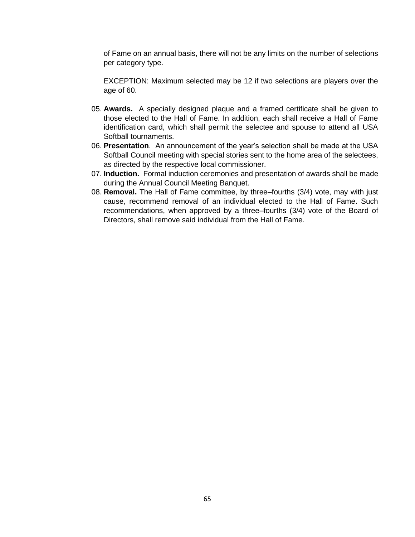of Fame on an annual basis, there will not be any limits on the number of selections per category type.

EXCEPTION: Maximum selected may be 12 if two selections are players over the age of 60.

- 05. **Awards.** A specially designed plaque and a framed certificate shall be given to those elected to the Hall of Fame. In addition, each shall receive a Hall of Fame identification card, which shall permit the selectee and spouse to attend all USA Softball tournaments.
- 06. **Presentation**. An announcement of the year's selection shall be made at the USA Softball Council meeting with special stories sent to the home area of the selectees, as directed by the respective local commissioner.
- 07. **Induction.** Formal induction ceremonies and presentation of awards shall be made during the Annual Council Meeting Banquet.
- 08. **Removal.** The Hall of Fame committee, by three–fourths (3/4) vote, may with just cause, recommend removal of an individual elected to the Hall of Fame. Such recommendations, when approved by a three–fourths (3/4) vote of the Board of Directors, shall remove said individual from the Hall of Fame.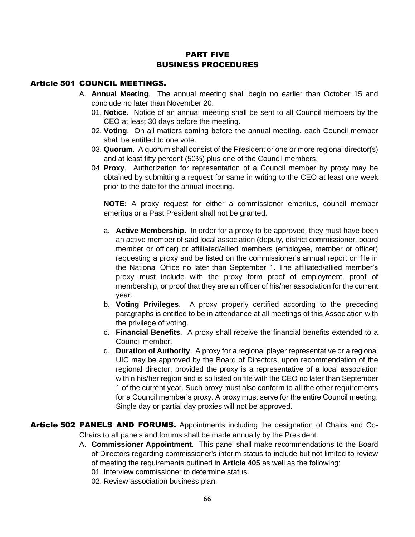# PART FIVE BUSINESS PROCEDURES

### Article 501 COUNCIL MEETINGS.

- A. **Annual Meeting**. The annual meeting shall begin no earlier than October 15 and conclude no later than November 20.
	- 01. **Notice**. Notice of an annual meeting shall be sent to all Council members by the CEO at least 30 days before the meeting.
	- 02. **Voting**. On all matters coming before the annual meeting, each Council member shall be entitled to one vote.
	- 03. **Quorum**. A quorum shall consist of the President or one or more regional director(s) and at least fifty percent (50%) plus one of the Council members.
	- 04. **Proxy**. Authorization for representation of a Council member by proxy may be obtained by submitting a request for same in writing to the CEO at least one week prior to the date for the annual meeting.

**NOTE:** A proxy request for either a commissioner emeritus, council member emeritus or a Past President shall not be granted.

- a. **Active Membership**. In order for a proxy to be approved, they must have been an active member of said local association (deputy, district commissioner, board member or officer) or affiliated/allied members (employee, member or officer) requesting a proxy and be listed on the commissioner's annual report on file in the National Office no later than September 1. The affiliated/allied member's proxy must include with the proxy form proof of employment, proof of membership, or proof that they are an officer of his/her association for the current year.
- b. **Voting Privileges**. A proxy properly certified according to the preceding paragraphs is entitled to be in attendance at all meetings of this Association with the privilege of voting.
- c. **Financial Benefits**. A proxy shall receive the financial benefits extended to a Council member.
- d. **Duration of Authority**. A proxy for a regional player representative or a regional UIC may be approved by the Board of Directors, upon recommendation of the regional director, provided the proxy is a representative of a local association within his/her region and is so listed on file with the CEO no later than September 1 of the current year. Such proxy must also conform to all the other requirements for a Council member's proxy. A proxy must serve for the entire Council meeting. Single day or partial day proxies will not be approved.
- Article 502 PANELS AND FORUMS. Appointments including the designation of Chairs and Co-Chairs to all panels and forums shall be made annually by the President.
	- A. **Commissioner Appointment**. This panel shall make recommendations to the Board of Directors regarding commissioner's interim status to include but not limited to review of meeting the requirements outlined in **Article 405** as well as the following:
		- 01. Interview commissioner to determine status.
		- 02. Review association business plan.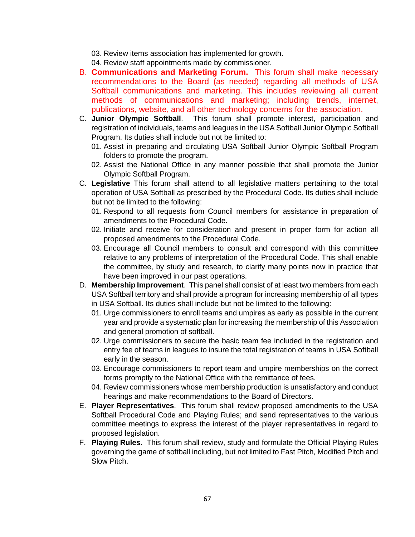03. Review items association has implemented for growth.

04. Review staff appointments made by commissioner.

- B. **Communications and Marketing Forum.** This forum shall make necessary recommendations to the Board (as needed) regarding all methods of USA Softball communications and marketing. This includes reviewing all current methods of communications and marketing; including trends, internet, publications, website, and all other technology concerns for the association.
- C. **Junior Olympic Softball**. This forum shall promote interest, participation and registration of individuals, teams and leagues in the USA Softball Junior Olympic Softball Program. Its duties shall include but not be limited to:
	- 01. Assist in preparing and circulating USA Softball Junior Olympic Softball Program folders to promote the program.
	- 02. Assist the National Office in any manner possible that shall promote the Junior Olympic Softball Program.
- C. **Legislative** This forum shall attend to all legislative matters pertaining to the total operation of USA Softball as prescribed by the Procedural Code. Its duties shall include but not be limited to the following:
	- 01. Respond to all requests from Council members for assistance in preparation of amendments to the Procedural Code.
	- 02. Initiate and receive for consideration and present in proper form for action all proposed amendments to the Procedural Code.
	- 03. Encourage all Council members to consult and correspond with this committee relative to any problems of interpretation of the Procedural Code. This shall enable the committee, by study and research, to clarify many points now in practice that have been improved in our past operations.
- D. **Membership Improvement**. This panel shall consist of at least two members from each USA Softball territory and shall provide a program for increasing membership of all types in USA Softball. Its duties shall include but not be limited to the following:
	- 01. Urge commissioners to enroll teams and umpires as early as possible in the current year and provide a systematic plan for increasing the membership of this Association and general promotion of softball.
	- 02. Urge commissioners to secure the basic team fee included in the registration and entry fee of teams in leagues to insure the total registration of teams in USA Softball early in the season.
	- 03. Encourage commissioners to report team and umpire memberships on the correct forms promptly to the National Office with the remittance of fees.
	- 04. Review commissioners whose membership production is unsatisfactory and conduct hearings and make recommendations to the Board of Directors.
- E. **Player Representatives**. This forum shall review proposed amendments to the USA Softball Procedural Code and Playing Rules; and send representatives to the various committee meetings to express the interest of the player representatives in regard to proposed legislation.
- F. **Playing Rules**. This forum shall review, study and formulate the Official Playing Rules governing the game of softball including, but not limited to Fast Pitch, Modified Pitch and Slow Pitch.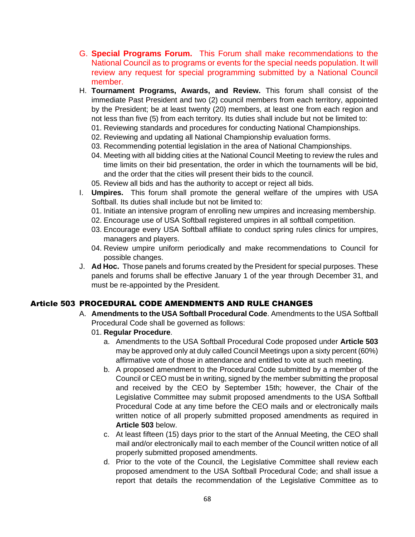- G. **Special Programs Forum.** This Forum shall make recommendations to the National Council as to programs or events for the special needs population. It will review any request for special programming submitted by a National Council member.
- H. **Tournament Programs, Awards, and Review.** This forum shall consist of the immediate Past President and two (2) council members from each territory, appointed by the President; be at least twenty (20) members, at least one from each region and not less than five (5) from each territory. Its duties shall include but not be limited to:
	- 01. Reviewing standards and procedures for conducting National Championships.
	- 02. Reviewing and updating all National Championship evaluation forms.
	- 03. Recommending potential legislation in the area of National Championships.
	- 04. Meeting with all bidding cities at the National Council Meeting to review the rules and time limits on their bid presentation, the order in which the tournaments will be bid, and the order that the cities will present their bids to the council.
	- 05. Review all bids and has the authority to accept or reject all bids.
- I. **Umpires.** This forum shall promote the general welfare of the umpires with USA Softball. Its duties shall include but not be limited to:
	- 01. Initiate an intensive program of enrolling new umpires and increasing membership.
	- 02. Encourage use of USA Softball registered umpires in all softball competition.
	- 03. Encourage every USA Softball affiliate to conduct spring rules clinics for umpires, managers and players.
	- 04. Review umpire uniform periodically and make recommendations to Council for possible changes.
- J. **Ad Hoc.** Those panels and forums created by the President for special purposes. These panels and forums shall be effective January 1 of the year through December 31, and must be re-appointed by the President.

# Article 503 PROCEDURAL CODE AMENDMENTS AND RULE CHANGES

- A. **Amendments to the USA Softball Procedural Code**. Amendments to the USA Softball Procedural Code shall be governed as follows:
	- 01. **Regular Procedure**.
		- a. Amendments to the USA Softball Procedural Code proposed under **Article 503** may be approved only at duly called Council Meetings upon a sixty percent (60%) affirmative vote of those in attendance and entitled to vote at such meeting.
		- b. A proposed amendment to the Procedural Code submitted by a member of the Council or CEO must be in writing, signed by the member submitting the proposal and received by the CEO by September 15th; however, the Chair of the Legislative Committee may submit proposed amendments to the USA Softball Procedural Code at any time before the CEO mails and or electronically mails written notice of all properly submitted proposed amendments as required in **Article 503** below.
		- c. At least fifteen (15) days prior to the start of the Annual Meeting, the CEO shall mail and/or electronically mail to each member of the Council written notice of all properly submitted proposed amendments.
		- d. Prior to the vote of the Council, the Legislative Committee shall review each proposed amendment to the USA Softball Procedural Code; and shall issue a report that details the recommendation of the Legislative Committee as to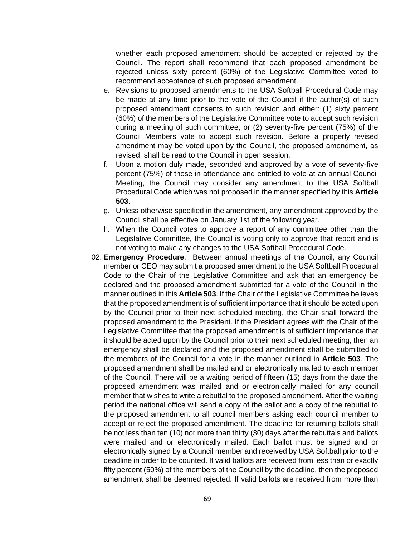whether each proposed amendment should be accepted or rejected by the Council. The report shall recommend that each proposed amendment be rejected unless sixty percent (60%) of the Legislative Committee voted to recommend acceptance of such proposed amendment.

- e. Revisions to proposed amendments to the USA Softball Procedural Code may be made at any time prior to the vote of the Council if the author(s) of such proposed amendment consents to such revision and either: (1) sixty percent (60%) of the members of the Legislative Committee vote to accept such revision during a meeting of such committee; or (2) seventy-five percent (75%) of the Council Members vote to accept such revision. Before a properly revised amendment may be voted upon by the Council, the proposed amendment, as revised, shall be read to the Council in open session.
- f. Upon a motion duly made, seconded and approved by a vote of seventy-five percent (75%) of those in attendance and entitled to vote at an annual Council Meeting, the Council may consider any amendment to the USA Softball Procedural Code which was not proposed in the manner specified by this **Article 503**.
- g. Unless otherwise specified in the amendment, any amendment approved by the Council shall be effective on January 1st of the following year.
- h. When the Council votes to approve a report of any committee other than the Legislative Committee, the Council is voting only to approve that report and is not voting to make any changes to the USA Softball Procedural Code.
- 02. **Emergency Procedure**. Between annual meetings of the Council, any Council member or CEO may submit a proposed amendment to the USA Softball Procedural Code to the Chair of the Legislative Committee and ask that an emergency be declared and the proposed amendment submitted for a vote of the Council in the manner outlined in this **Article 503**. If the Chair of the Legislative Committee believes that the proposed amendment is of sufficient importance that it should be acted upon by the Council prior to their next scheduled meeting, the Chair shall forward the proposed amendment to the President. If the President agrees with the Chair of the Legislative Committee that the proposed amendment is of sufficient importance that it should be acted upon by the Council prior to their next scheduled meeting, then an emergency shall be declared and the proposed amendment shall be submitted to the members of the Council for a vote in the manner outlined in **Article 503**. The proposed amendment shall be mailed and or electronically mailed to each member of the Council. There will be a waiting period of fifteen (15) days from the date the proposed amendment was mailed and or electronically mailed for any council member that wishes to write a rebuttal to the proposed amendment. After the waiting period the national office will send a copy of the ballot and a copy of the rebuttal to the proposed amendment to all council members asking each council member to accept or reject the proposed amendment. The deadline for returning ballots shall be not less than ten (10) nor more than thirty (30) days after the rebuttals and ballots were mailed and or electronically mailed. Each ballot must be signed and or electronically signed by a Council member and received by USA Softball prior to the deadline in order to be counted. If valid ballots are received from less than or exactly fifty percent (50%) of the members of the Council by the deadline, then the proposed amendment shall be deemed rejected. If valid ballots are received from more than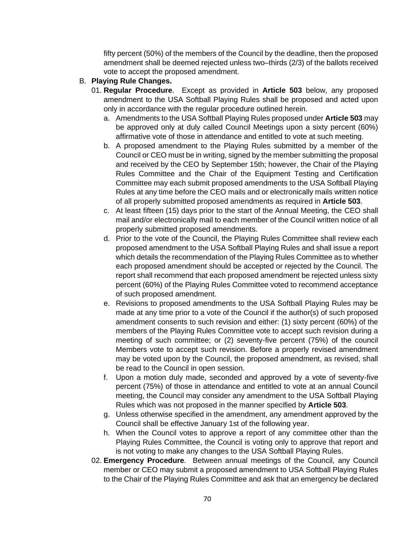fifty percent (50%) of the members of the Council by the deadline, then the proposed amendment shall be deemed rejected unless two–thirds (2/3) of the ballots received vote to accept the proposed amendment.

# B. **Playing Rule Changes.**

- 01. **Regular Procedure**. Except as provided in **Article 503** below, any proposed amendment to the USA Softball Playing Rules shall be proposed and acted upon only in accordance with the regular procedure outlined herein.
	- a. Amendments to the USA Softball Playing Rules proposed under **Article 503** may be approved only at duly called Council Meetings upon a sixty percent (60%) affirmative vote of those in attendance and entitled to vote at such meeting.
	- b. A proposed amendment to the Playing Rules submitted by a member of the Council or CEO must be in writing, signed by the member submitting the proposal and received by the CEO by September 15th; however, the Chair of the Playing Rules Committee and the Chair of the Equipment Testing and Certification Committee may each submit proposed amendments to the USA Softball Playing Rules at any time before the CEO mails and or electronically mails written notice of all properly submitted proposed amendments as required in **Article 503**.
	- c. At least fifteen (15) days prior to the start of the Annual Meeting, the CEO shall mail and/or electronically mail to each member of the Council written notice of all properly submitted proposed amendments.
	- d. Prior to the vote of the Council, the Playing Rules Committee shall review each proposed amendment to the USA Softball Playing Rules and shall issue a report which details the recommendation of the Playing Rules Committee as to whether each proposed amendment should be accepted or rejected by the Council. The report shall recommend that each proposed amendment be rejected unless sixty percent (60%) of the Playing Rules Committee voted to recommend acceptance of such proposed amendment.
	- e. Revisions to proposed amendments to the USA Softball Playing Rules may be made at any time prior to a vote of the Council if the author(s) of such proposed amendment consents to such revision and either: (1) sixty percent (60%) of the members of the Playing Rules Committee vote to accept such revision during a meeting of such committee; or (2) seventy-five percent (75%) of the council Members vote to accept such revision. Before a properly revised amendment may be voted upon by the Council, the proposed amendment, as revised, shall be read to the Council in open session.
	- f. Upon a motion duly made, seconded and approved by a vote of seventy-five percent (75%) of those in attendance and entitled to vote at an annual Council meeting, the Council may consider any amendment to the USA Softball Playing Rules which was not proposed in the manner specified by **Article 503**.
	- g. Unless otherwise specified in the amendment, any amendment approved by the Council shall be effective January 1st of the following year.
	- h. When the Council votes to approve a report of any committee other than the Playing Rules Committee, the Council is voting only to approve that report and is not voting to make any changes to the USA Softball Playing Rules.
- 02. **Emergency Procedure**. Between annual meetings of the Council, any Council member or CEO may submit a proposed amendment to USA Softball Playing Rules to the Chair of the Playing Rules Committee and ask that an emergency be declared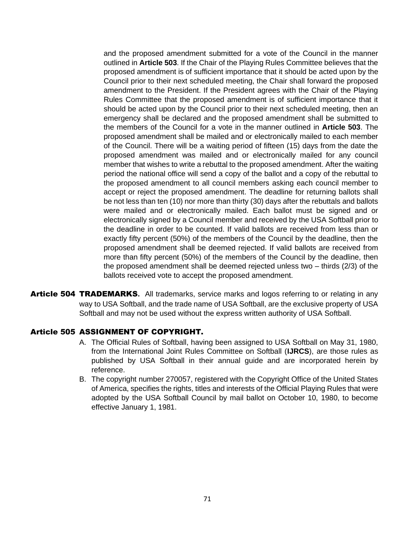and the proposed amendment submitted for a vote of the Council in the manner outlined in **Article 503**. If the Chair of the Playing Rules Committee believes that the proposed amendment is of sufficient importance that it should be acted upon by the Council prior to their next scheduled meeting, the Chair shall forward the proposed amendment to the President. If the President agrees with the Chair of the Playing Rules Committee that the proposed amendment is of sufficient importance that it should be acted upon by the Council prior to their next scheduled meeting, then an emergency shall be declared and the proposed amendment shall be submitted to the members of the Council for a vote in the manner outlined in **Article 503**. The proposed amendment shall be mailed and or electronically mailed to each member of the Council. There will be a waiting period of fifteen (15) days from the date the proposed amendment was mailed and or electronically mailed for any council member that wishes to write a rebuttal to the proposed amendment. After the waiting period the national office will send a copy of the ballot and a copy of the rebuttal to the proposed amendment to all council members asking each council member to accept or reject the proposed amendment. The deadline for returning ballots shall be not less than ten (10) nor more than thirty (30) days after the rebuttals and ballots were mailed and or electronically mailed. Each ballot must be signed and or electronically signed by a Council member and received by the USA Softball prior to the deadline in order to be counted. If valid ballots are received from less than or exactly fifty percent (50%) of the members of the Council by the deadline, then the proposed amendment shall be deemed rejected. If valid ballots are received from more than fifty percent (50%) of the members of the Council by the deadline, then the proposed amendment shall be deemed rejected unless two – thirds (2/3) of the ballots received vote to accept the proposed amendment.

Article 504 TRADEMARKS**.** All trademarks, service marks and logos referring to or relating in any way to USA Softball, and the trade name of USA Softball, are the exclusive property of USA Softball and may not be used without the express written authority of USA Softball.

### Article 505 ASSIGNMENT OF COPYRIGHT.

- A. The Official Rules of Softball, having been assigned to USA Softball on May 31, 1980, from the International Joint Rules Committee on Softball (**IJRCS**), are those rules as published by USA Softball in their annual guide and are incorporated herein by reference.
- B. The copyright number 270057, registered with the Copyright Office of the United States of America, specifies the rights, titles and interests of the Official Playing Rules that were adopted by the USA Softball Council by mail ballot on October 10, 1980, to become effective January 1, 1981.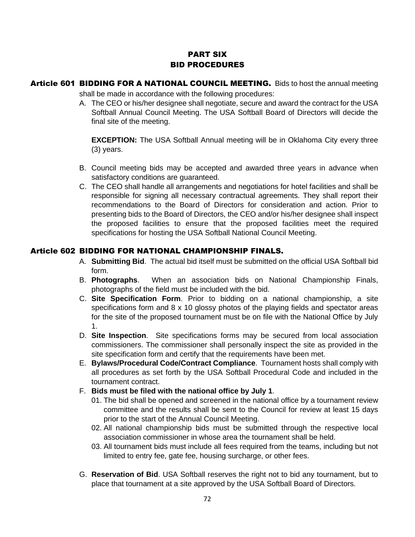# PART SIX BID PROCEDURES

- Article 601 BIDDING FOR A NATIONAL COUNCIL MEETING. Bids to host the annual meeting shall be made in accordance with the following procedures:
	- A. The CEO or his/her designee shall negotiate, secure and award the contract for the USA Softball Annual Council Meeting. The USA Softball Board of Directors will decide the final site of the meeting.

**EXCEPTION:** The USA Softball Annual meeting will be in Oklahoma City every three (3) years.

- B. Council meeting bids may be accepted and awarded three years in advance when satisfactory conditions are guaranteed.
- C. The CEO shall handle all arrangements and negotiations for hotel facilities and shall be responsible for signing all necessary contractual agreements. They shall report their recommendations to the Board of Directors for consideration and action. Prior to presenting bids to the Board of Directors, the CEO and/or his/her designee shall inspect the proposed facilities to ensure that the proposed facilities meet the required specifications for hosting the USA Softball National Council Meeting.

# Article 602 BIDDING FOR NATIONAL CHAMPIONSHIP FINALS.

- A. **Submitting Bid**. The actual bid itself must be submitted on the official USA Softball bid form.
- B. **Photographs**. When an association bids on National Championship Finals, photographs of the field must be included with the bid.
- C. **Site Specification Form**. Prior to bidding on a national championship, a site specifications form and 8 x 10 glossy photos of the playing fields and spectator areas for the site of the proposed tournament must be on file with the National Office by July 1.
- D. **Site Inspection**. Site specifications forms may be secured from local association commissioners. The commissioner shall personally inspect the site as provided in the site specification form and certify that the requirements have been met.
- E. **Bylaws/Procedural Code/Contract Compliance**. Tournament hosts shall comply with all procedures as set forth by the USA Softball Procedural Code and included in the tournament contract.
- F. **Bids must be filed with the national office by July 1**.
	- 01. The bid shall be opened and screened in the national office by a tournament review committee and the results shall be sent to the Council for review at least 15 days prior to the start of the Annual Council Meeting.
	- 02. All national championship bids must be submitted through the respective local association commissioner in whose area the tournament shall be held.
	- 03. All tournament bids must include all fees required from the teams, including but not limited to entry fee, gate fee, housing surcharge, or other fees.
- G. **Reservation of Bid**. USA Softball reserves the right not to bid any tournament, but to place that tournament at a site approved by the USA Softball Board of Directors.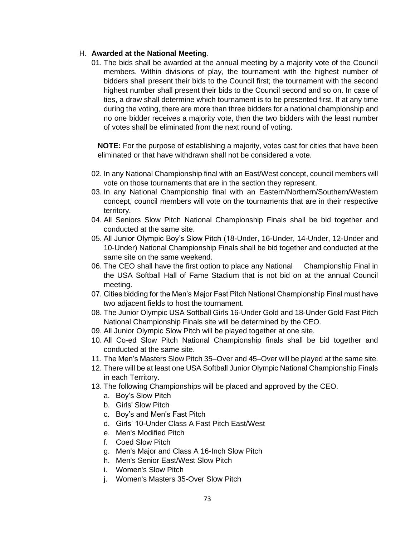## H. **Awarded at the National Meeting**.

01. The bids shall be awarded at the annual meeting by a majority vote of the Council members. Within divisions of play, the tournament with the highest number of bidders shall present their bids to the Council first; the tournament with the second highest number shall present their bids to the Council second and so on. In case of ties, a draw shall determine which tournament is to be presented first. If at any time during the voting, there are more than three bidders for a national championship and no one bidder receives a majority vote, then the two bidders with the least number of votes shall be eliminated from the next round of voting.

**NOTE:** For the purpose of establishing a majority, votes cast for cities that have been eliminated or that have withdrawn shall not be considered a vote.

- 02. In any National Championship final with an East/West concept, council members will vote on those tournaments that are in the section they represent.
- 03. In any National Championship final with an Eastern/Northern/Southern/Western concept, council members will vote on the tournaments that are in their respective territory.
- 04. All Seniors Slow Pitch National Championship Finals shall be bid together and conducted at the same site.
- 05. All Junior Olympic Boy's Slow Pitch (18-Under, 16-Under, 14-Under, 12-Under and 10-Under) National Championship Finals shall be bid together and conducted at the same site on the same weekend.
- 06. The CEO shall have the first option to place any National Championship Final in the USA Softball Hall of Fame Stadium that is not bid on at the annual Council meeting.
- 07. Cities bidding for the Men's Major Fast Pitch National Championship Final must have two adjacent fields to host the tournament.
- 08. The Junior Olympic USA Softball Girls 16-Under Gold and 18-Under Gold Fast Pitch National Championship Finals site will be determined by the CEO.
- 09. All Junior Olympic Slow Pitch will be played together at one site.
- 10. All Co-ed Slow Pitch National Championship finals shall be bid together and conducted at the same site.
- 11. The Men's Masters Slow Pitch 35–Over and 45–Over will be played at the same site.
- 12. There will be at least one USA Softball Junior Olympic National Championship Finals in each Territory.
- 13. The following Championships will be placed and approved by the CEO.
	- a. Boy's Slow Pitch
	- b. Girls' Slow Pitch
	- c. Boy's and Men's Fast Pitch
	- d. Girls' 10-Under Class A Fast Pitch East/West
	- e. Men's Modified Pitch
	- f. Coed Slow Pitch
	- g. Men's Major and Class A 16-Inch Slow Pitch
	- h. Men's Senior East/West Slow Pitch
	- i. Women's Slow Pitch
	- j. Women's Masters 35-Over Slow Pitch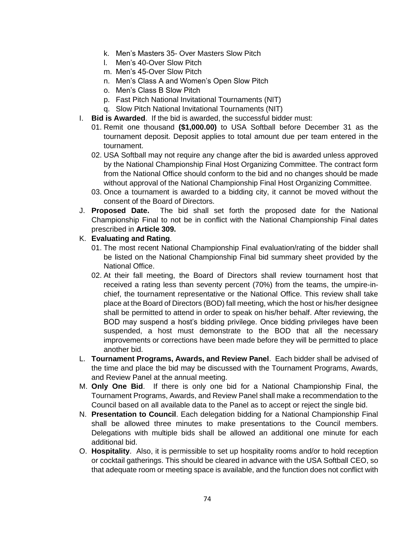- k. Men's Masters 35- Over Masters Slow Pitch
- l. Men's 40-Over Slow Pitch
- m. Men's 45-Over Slow Pitch
- n. Men's Class A and Women's Open Slow Pitch
- o. Men's Class B Slow Pitch
- p. Fast Pitch National Invitational Tournaments (NIT)
- q. Slow Pitch National Invitational Tournaments (NIT)
- I. **Bid is Awarded**. If the bid is awarded, the successful bidder must:
	- 01. Remit one thousand **(\$1,000.00)** to USA Softball before December 31 as the tournament deposit. Deposit applies to total amount due per team entered in the tournament.
	- 02. USA Softball may not require any change after the bid is awarded unless approved by the National Championship Final Host Organizing Committee. The contract form from the National Office should conform to the bid and no changes should be made without approval of the National Championship Final Host Organizing Committee.
	- 03. Once a tournament is awarded to a bidding city, it cannot be moved without the consent of the Board of Directors.
- J. **Proposed Date.** The bid shall set forth the proposed date for the National Championship Final to not be in conflict with the National Championship Final dates prescribed in **Article 309.**

## K. **Evaluating and Rating**.

- 01. The most recent National Championship Final evaluation/rating of the bidder shall be listed on the National Championship Final bid summary sheet provided by the National Office.
- 02. At their fall meeting, the Board of Directors shall review tournament host that received a rating less than seventy percent (70%) from the teams, the umpire-inchief, the tournament representative or the National Office. This review shall take place at the Board of Directors (BOD) fall meeting, which the host or his/her designee shall be permitted to attend in order to speak on his/her behalf. After reviewing, the BOD may suspend a host's bidding privilege. Once bidding privileges have been suspended, a host must demonstrate to the BOD that all the necessary improvements or corrections have been made before they will be permitted to place another bid.
- L. **Tournament Programs, Awards, and Review Panel**. Each bidder shall be advised of the time and place the bid may be discussed with the Tournament Programs, Awards, and Review Panel at the annual meeting.
- M. **Only One Bid**. If there is only one bid for a National Championship Final, the Tournament Programs, Awards, and Review Panel shall make a recommendation to the Council based on all available data to the Panel as to accept or reject the single bid.
- N. **Presentation to Council**. Each delegation bidding for a National Championship Final shall be allowed three minutes to make presentations to the Council members. Delegations with multiple bids shall be allowed an additional one minute for each additional bid.
- O. **Hospitality**. Also, it is permissible to set up hospitality rooms and/or to hold reception or cocktail gatherings. This should be cleared in advance with the USA Softball CEO, so that adequate room or meeting space is available, and the function does not conflict with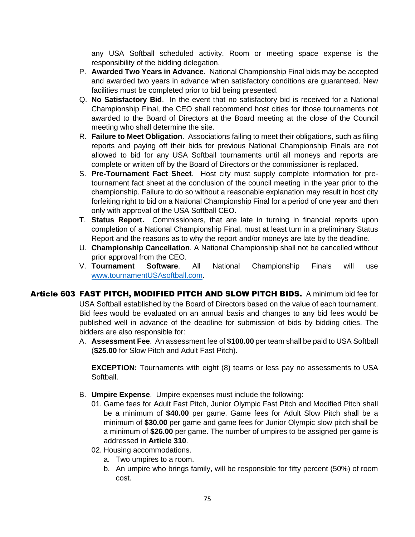any USA Softball scheduled activity. Room or meeting space expense is the responsibility of the bidding delegation.

- P. **Awarded Two Years in Advance**. National Championship Final bids may be accepted and awarded two years in advance when satisfactory conditions are guaranteed. New facilities must be completed prior to bid being presented.
- Q. **No Satisfactory Bid**. In the event that no satisfactory bid is received for a National Championship Final, the CEO shall recommend host cities for those tournaments not awarded to the Board of Directors at the Board meeting at the close of the Council meeting who shall determine the site.
- R. **Failure to Meet Obligation**. Associations failing to meet their obligations, such as filing reports and paying off their bids for previous National Championship Finals are not allowed to bid for any USA Softball tournaments until all moneys and reports are complete or written off by the Board of Directors or the commissioner is replaced.
- S. **Pre-Tournament Fact Sheet**. Host city must supply complete information for pretournament fact sheet at the conclusion of the council meeting in the year prior to the championship. Failure to do so without a reasonable explanation may result in host city forfeiting right to bid on a National Championship Final for a period of one year and then only with approval of the USA Softball CEO.
- T. **Status Report.** Commissioners, that are late in turning in financial reports upon completion of a National Championship Final, must at least turn in a preliminary Status Report and the reasons as to why the report and/or moneys are late by the deadline.
- U. **Championship Cancellation**. A National Championship shall not be cancelled without prior approval from the CEO.
- V. **Tournament Software**. All National Championship Finals will use [www.tournamentUSAsoftball.com.](http://www.tournamentusasoftball.com/)
- Article 603 FAST PITCH, MODIFIED PITCH AND SLOW PITCH BIDS. A minimum bid fee for USA Softball established by the Board of Directors based on the value of each tournament. Bid fees would be evaluated on an annual basis and changes to any bid fees would be published well in advance of the deadline for submission of bids by bidding cities. The bidders are also responsible for:
	- A. **Assessment Fee**. An assessment fee of **\$100.00** per team shall be paid to USA Softball (**\$25.00** for Slow Pitch and Adult Fast Pitch).

**EXCEPTION:** Tournaments with eight (8) teams or less pay no assessments to USA Softball.

- B. **Umpire Expense**. Umpire expenses must include the following:
	- 01. Game fees for Adult Fast Pitch, Junior Olympic Fast Pitch and Modified Pitch shall be a minimum of **\$40.00** per game. Game fees for Adult Slow Pitch shall be a minimum of **\$30.00** per game and game fees for Junior Olympic slow pitch shall be a minimum of **\$26.00** per game. The number of umpires to be assigned per game is addressed in **Article 310**.
	- 02. Housing accommodations.
		- a. Two umpires to a room.
		- b. An umpire who brings family, will be responsible for fifty percent (50%) of room cost.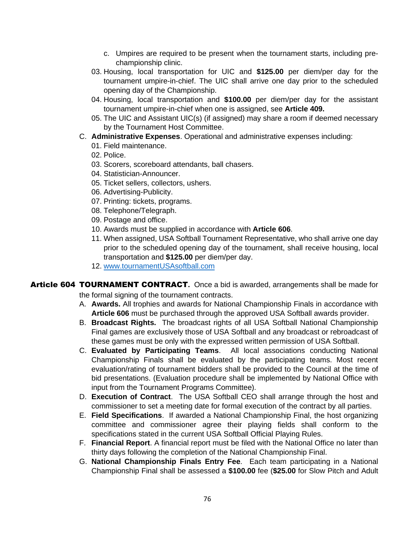- c. Umpires are required to be present when the tournament starts, including prechampionship clinic.
- 03. Housing, local transportation for UIC and **\$125.00** per diem/per day for the tournament umpire-in-chief. The UIC shall arrive one day prior to the scheduled opening day of the Championship.
- 04. Housing, local transportation and **\$100.00** per diem/per day for the assistant tournament umpire-in-chief when one is assigned, see **Article 409.**
- 05. The UIC and Assistant UIC(s) (if assigned) may share a room if deemed necessary by the Tournament Host Committee.
- C. **Administrative Expenses**. Operational and administrative expenses including:
	- 01. Field maintenance.
	- 02. Police.
	- 03. Scorers, scoreboard attendants, ball chasers.
	- 04. Statistician-Announcer.
	- 05. Ticket sellers, collectors, ushers.
	- 06. Advertising-Publicity.
	- 07. Printing: tickets, programs.
	- 08. Telephone/Telegraph.
	- 09. Postage and office.
	- 10. Awards must be supplied in accordance with **Article 606**.
	- 11. When assigned, USA Softball Tournament Representative, who shall arrive one day prior to the scheduled opening day of the tournament, shall receive housing, local transportation and **\$125.00** per diem/per day.
	- 12. [www.tournamentUSAsoftball.com](http://www.tournamentusasoftball.com/)
- Article 604 TOURNAMENT CONTRACT**.** Once a bid is awarded, arrangements shall be made for the formal signing of the tournament contracts.
	- A. **Awards.** All trophies and awards for National Championship Finals in accordance with **Article 606** must be purchased through the approved USA Softball awards provider.
	- B. **Broadcast Rights.** The broadcast rights of all USA Softball National Championship Final games are exclusively those of USA Softball and any broadcast or rebroadcast of these games must be only with the expressed written permission of USA Softball.
	- C. **Evaluated by Participating Teams**. All local associations conducting National Championship Finals shall be evaluated by the participating teams. Most recent evaluation/rating of tournament bidders shall be provided to the Council at the time of bid presentations. (Evaluation procedure shall be implemented by National Office with input from the Tournament Programs Committee).
	- D. **Execution of Contract**. The USA Softball CEO shall arrange through the host and commissioner to set a meeting date for formal execution of the contract by all parties.
	- E. **Field Specifications**. If awarded a National Championship Final, the host organizing committee and commissioner agree their playing fields shall conform to the specifications stated in the current USA Softball Official Playing Rules.
	- F. **Financial Report**. A financial report must be filed with the National Office no later than thirty days following the completion of the National Championship Final.
	- G. **National Championship Finals Entry Fee**. Each team participating in a National Championship Final shall be assessed a **\$100.00** fee (**\$25.00** for Slow Pitch and Adult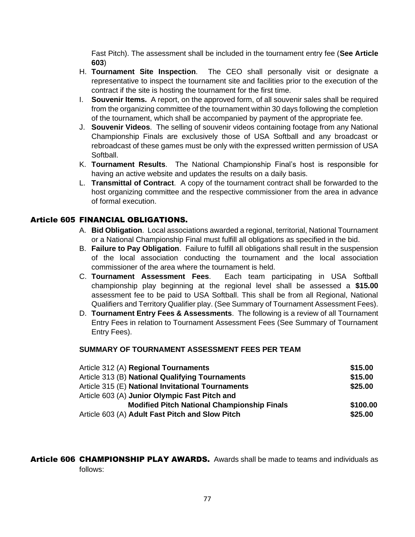Fast Pitch). The assessment shall be included in the tournament entry fee (**See Article 603**)

- H. **Tournament Site Inspection**. The CEO shall personally visit or designate a representative to inspect the tournament site and facilities prior to the execution of the contract if the site is hosting the tournament for the first time.
- I. **Souvenir Items.** A report, on the approved form, of all souvenir sales shall be required from the organizing committee of the tournament within 30 days following the completion of the tournament, which shall be accompanied by payment of the appropriate fee.
- J. **Souvenir Videos**. The selling of souvenir videos containing footage from any National Championship Finals are exclusively those of USA Softball and any broadcast or rebroadcast of these games must be only with the expressed written permission of USA Softball.
- K. **Tournament Results**. The National Championship Final's host is responsible for having an active website and updates the results on a daily basis.
- L. **Transmittal of Contract**. A copy of the tournament contract shall be forwarded to the host organizing committee and the respective commissioner from the area in advance of formal execution.

## Article 605 FINANCIAL OBLIGATIONS.

- A. **Bid Obligation**. Local associations awarded a regional, territorial, National Tournament or a National Championship Final must fulfill all obligations as specified in the bid.
- B. **Failure to Pay Obligation**. Failure to fulfill all obligations shall result in the suspension of the local association conducting the tournament and the local association commissioner of the area where the tournament is held.
- C. **Tournament Assessment Fees**. Each team participating in USA Softball championship play beginning at the regional level shall be assessed a **\$15.00** assessment fee to be paid to USA Softball. This shall be from all Regional, National Qualifiers and Territory Qualifier play. (See Summary of Tournament Assessment Fees).
- D. **Tournament Entry Fees & Assessments**. The following is a review of all Tournament Entry Fees in relation to Tournament Assessment Fees (See Summary of Tournament Entry Fees).

### **SUMMARY OF TOURNAMENT ASSESSMENT FEES PER TEAM**

| Article 312 (A) Regional Tournaments               | \$15.00  |
|----------------------------------------------------|----------|
| Article 313 (B) National Qualifying Tournaments    | \$15.00  |
| Article 315 (E) National Invitational Tournaments  | \$25.00  |
| Article 603 (A) Junior Olympic Fast Pitch and      |          |
| <b>Modified Pitch National Championship Finals</b> | \$100.00 |
| Article 603 (A) Adult Fast Pitch and Slow Pitch    | \$25.00  |

Article 606 CHAMPIONSHIP PLAY AWARDS. Awards shall be made to teams and individuals as follows: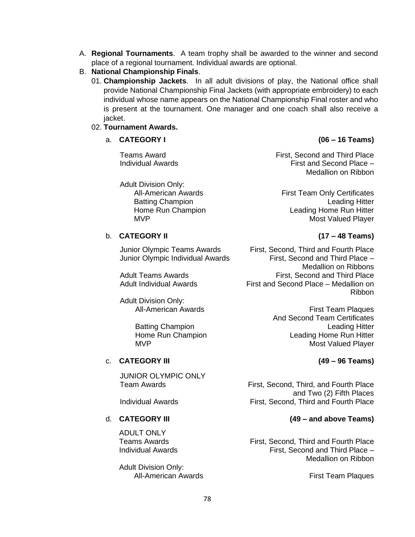- A. **Regional Tournaments**. A team trophy shall be awarded to the winner and second place of a regional tournament. Individual awards are optional.
- B. **National Championship Finals**.
	- 01. **Championship Jackets**. In all adult divisions of play, the National office shall provide National Championship Final Jackets (with appropriate embroidery) to each individual whose name appears on the National Championship Final roster and who is present at the tournament. One manager and one coach shall also receive a jacket.

### 02. **Tournament Awards.**

### a. **CATEGORY I (06 – 16 Teams)**

Adult Division Only:

b. **CATEGORY II (17 – 48 Teams)**

Adult Division Only:

## c. **CATEGORY III (49 – 96 Teams)**

JUNIOR OLYMPIC ONLY<br>Team Awards

ADULT ONLY

Adult Division Only: All-American Awards **First Team Plaques** 

**Teams Award First, Second and Third Place** Individual Awards First and Second Place – Medallion on Ribbon

All-American Awards **First Team Only Certificates** Batting Champion **Leading Hitter** Home Run Champion **Leading Home Run Hitter** MVP **Most Valued Player** Most Valued Player

Junior Olympic Teams Awards First, Second, Third and Fourth Place Junior Olympic Individual Awards First, Second and Third Place – Medallion on Ribbons Adult Teams Awards **First, Second and Third Place** Adult Individual Awards First and Second Place – Medallion on Ribbon

All-American Awards **First Team Plaques** And Second Team Certificates Batting Champion **Leading Hitter** Home Run Champion **Leading Home Run Hitter** MVP Most Valued Player

First, Second, Third, and Fourth Place and Two (2) Fifth Places Individual Awards **First, Second, Third and Fourth Place** 

# d. **CATEGORY III (49 – and above Teams)**

Teams Awards **First, Second, Third and Fourth Place** Individual Awards First, Second and Third Place – Medallion on Ribbon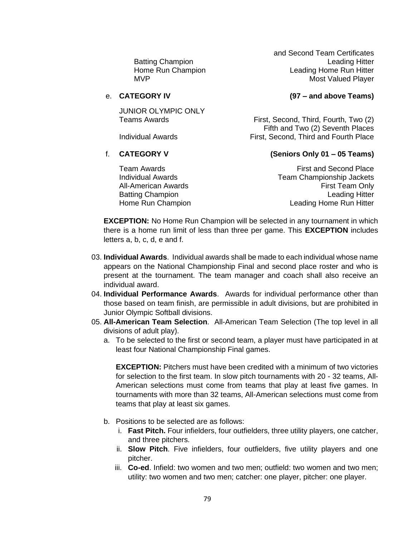and Second Team Certificates Batting Champion **Leading Hitter** Home Run Champion **Leading Home Run Hitter** MVP MOST Valued Player

### e. **CATEGORY IV (97 – and above Teams)**

JUNIOR OLYMPIC ONLY<br>Teams Awards

Individual Awards First, Second, Third and Fourth Place

### f. **CATEGORY V (Seniors Only 01 – 05 Teams)**

First, Second, Third, Fourth, Two (2) Fifth and Two (2) Seventh Places

**Team Awards First and Second Place** Individual Awards Team Championship Jackets All-American Awards **First Team Only All-American Awards** Batting Champion **Leading Hitter Leading Hitter** Home Run Champion **Leading Home Run Hitter** 

**EXCEPTION:** No Home Run Champion will be selected in any tournament in which there is a home run limit of less than three per game. This **EXCEPTION** includes letters a, b, c, d, e and f.

- 03. **Individual Awards**. Individual awards shall be made to each individual whose name appears on the National Championship Final and second place roster and who is present at the tournament. The team manager and coach shall also receive an individual award.
- 04. **Individual Performance Awards**. Awards for individual performance other than those based on team finish, are permissible in adult divisions, but are prohibited in Junior Olympic Softball divisions.
- 05. **All-American Team Selection**. All-American Team Selection (The top level in all divisions of adult play).
	- a. To be selected to the first or second team, a player must have participated in at least four National Championship Final games.

**EXCEPTION:** Pitchers must have been credited with a minimum of two victories for selection to the first team. In slow pitch tournaments with 20 - 32 teams, All-American selections must come from teams that play at least five games. In tournaments with more than 32 teams, All-American selections must come from teams that play at least six games.

- b. Positions to be selected are as follows:
	- i. **Fast Pitch.** Four infielders, four outfielders, three utility players, one catcher, and three pitchers.
	- ii. **Slow Pitch**. Five infielders, four outfielders, five utility players and one pitcher.
	- iii. **Co-ed**. Infield: two women and two men; outfield: two women and two men; utility: two women and two men; catcher: one player, pitcher: one player.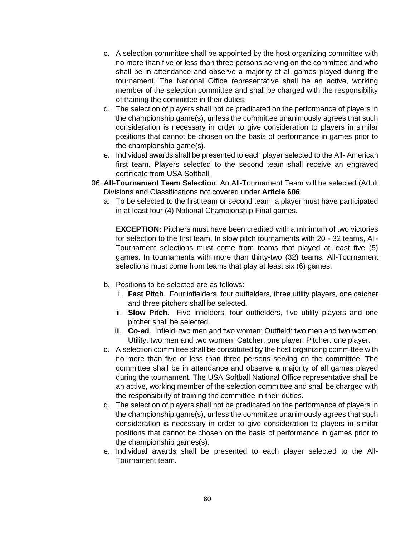- c. A selection committee shall be appointed by the host organizing committee with no more than five or less than three persons serving on the committee and who shall be in attendance and observe a majority of all games played during the tournament. The National Office representative shall be an active, working member of the selection committee and shall be charged with the responsibility of training the committee in their duties.
- d. The selection of players shall not be predicated on the performance of players in the championship game(s), unless the committee unanimously agrees that such consideration is necessary in order to give consideration to players in similar positions that cannot be chosen on the basis of performance in games prior to the championship game(s).
- e. Individual awards shall be presented to each player selected to the All- American first team. Players selected to the second team shall receive an engraved certificate from USA Softball.
- 06. **All-Tournament Team Selection**. An All-Tournament Team will be selected (Adult Divisions and Classifications not covered under **Article 606**.
	- a. To be selected to the first team or second team, a player must have participated in at least four (4) National Championship Final games.

**EXCEPTION:** Pitchers must have been credited with a minimum of two victories for selection to the first team. In slow pitch tournaments with 20 - 32 teams, All-Tournament selections must come from teams that played at least five (5) games. In tournaments with more than thirty-two (32) teams, All-Tournament selections must come from teams that play at least six (6) games.

- b. Positions to be selected are as follows:
	- i. **Fast Pitch**. Four infielders, four outfielders, three utility players, one catcher and three pitchers shall be selected.
	- ii. **Slow Pitch**. Five infielders, four outfielders, five utility players and one pitcher shall be selected.
	- iii. **Co-ed**. Infield: two men and two women; Outfield: two men and two women; Utility: two men and two women; Catcher: one player; Pitcher: one player.
- c. A selection committee shall be constituted by the host organizing committee with no more than five or less than three persons serving on the committee. The committee shall be in attendance and observe a majority of all games played during the tournament. The USA Softball National Office representative shall be an active, working member of the selection committee and shall be charged with the responsibility of training the committee in their duties.
- d. The selection of players shall not be predicated on the performance of players in the championship game(s), unless the committee unanimously agrees that such consideration is necessary in order to give consideration to players in similar positions that cannot be chosen on the basis of performance in games prior to the championship games(s).
- e. Individual awards shall be presented to each player selected to the All-Tournament team.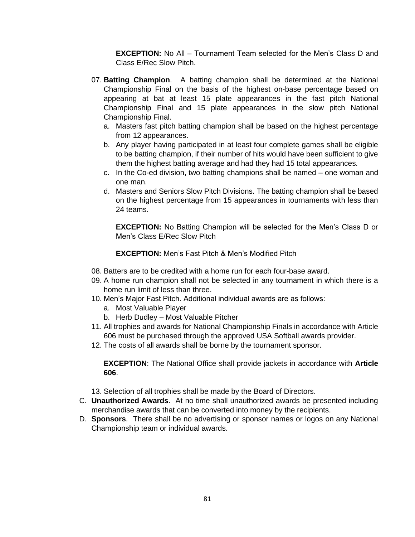**EXCEPTION:** No All – Tournament Team selected for the Men's Class D and Class E/Rec Slow Pitch.

- 07. **Batting Champion**. A batting champion shall be determined at the National Championship Final on the basis of the highest on-base percentage based on appearing at bat at least 15 plate appearances in the fast pitch National Championship Final and 15 plate appearances in the slow pitch National Championship Final.
	- a. Masters fast pitch batting champion shall be based on the highest percentage from 12 appearances.
	- b. Any player having participated in at least four complete games shall be eligible to be batting champion, if their number of hits would have been sufficient to give them the highest batting average and had they had 15 total appearances.
	- c. In the Co-ed division, two batting champions shall be named one woman and one man.
	- d. Masters and Seniors Slow Pitch Divisions. The batting champion shall be based on the highest percentage from 15 appearances in tournaments with less than 24 teams.

**EXCEPTION:** No Batting Champion will be selected for the Men's Class D or Men's Class E/Rec Slow Pitch

**EXCEPTION:** Men's Fast Pitch & Men's Modified Pitch

- 08. Batters are to be credited with a home run for each four-base award.
- 09. A home run champion shall not be selected in any tournament in which there is a home run limit of less than three.
- 10. Men's Major Fast Pitch. Additional individual awards are as follows:
	- a. Most Valuable Player
	- b. Herb Dudley Most Valuable Pitcher
- 11. All trophies and awards for National Championship Finals in accordance with Article 606 must be purchased through the approved USA Softball awards provider.
- 12. The costs of all awards shall be borne by the tournament sponsor.

**EXCEPTION**: The National Office shall provide jackets in accordance with **Article 606**.

- 13. Selection of all trophies shall be made by the Board of Directors.
- C. **Unauthorized Awards**. At no time shall unauthorized awards be presented including merchandise awards that can be converted into money by the recipients.
- D. **Sponsors**. There shall be no advertising or sponsor names or logos on any National Championship team or individual awards.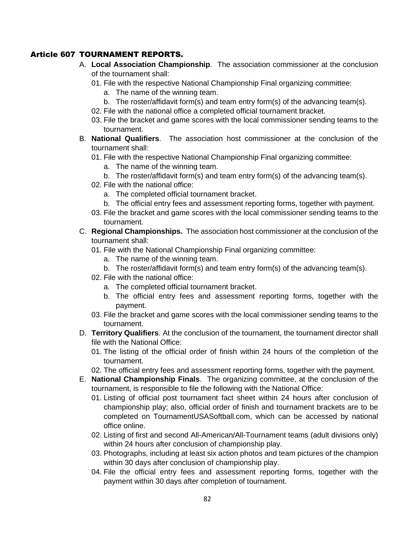# Article 607 TOURNAMENT REPORTS.

- A. **Local Association Championship**. The association commissioner at the conclusion of the tournament shall:
	- 01. File with the respective National Championship Final organizing committee:
		- a. The name of the winning team.
		- b. The roster/affidavit form(s) and team entry form(s) of the advancing team(s).
	- 02. File with the national office a completed official tournament bracket.
	- 03. File the bracket and game scores with the local commissioner sending teams to the tournament.
- B. **National Qualifiers**. The association host commissioner at the conclusion of the tournament shall:
	- 01. File with the respective National Championship Final organizing committee:
		- a. The name of the winning team.
		- b. The roster/affidavit form(s) and team entry form(s) of the advancing team(s).
	- 02. File with the national office:
		- a. The completed official tournament bracket.
		- b. The official entry fees and assessment reporting forms, together with payment.
	- 03. File the bracket and game scores with the local commissioner sending teams to the tournament.
- C. **Regional Championships.** The association host commissioner at the conclusion of the tournament shall:
	- 01. File with the National Championship Final organizing committee:
		- a. The name of the winning team.
		- b. The roster/affidavit form(s) and team entry form(s) of the advancing team(s).
	- 02. File with the national office:
		- a. The completed official tournament bracket.
		- b. The official entry fees and assessment reporting forms, together with the payment.
	- 03. File the bracket and game scores with the local commissioner sending teams to the tournament.
- D. **Territory Qualifiers**. At the conclusion of the tournament, the tournament director shall file with the National Office:
	- 01. The listing of the official order of finish within 24 hours of the completion of the tournament.
	- 02. The official entry fees and assessment reporting forms, together with the payment.
- E. **National Championship Finals**. The organizing committee, at the conclusion of the tournament, is responsible to file the following with the National Office:
	- 01. Listing of official post tournament fact sheet within 24 hours after conclusion of championship play; also, official order of finish and tournament brackets are to be completed on TournamentUSASoftball.com, which can be accessed by national office online.
	- 02. Listing of first and second All-American/All-Tournament teams (adult divisions only) within 24 hours after conclusion of championship play.
	- 03. Photographs, including at least six action photos and team pictures of the champion within 30 days after conclusion of championship play.
	- 04. File the official entry fees and assessment reporting forms, together with the payment within 30 days after completion of tournament.